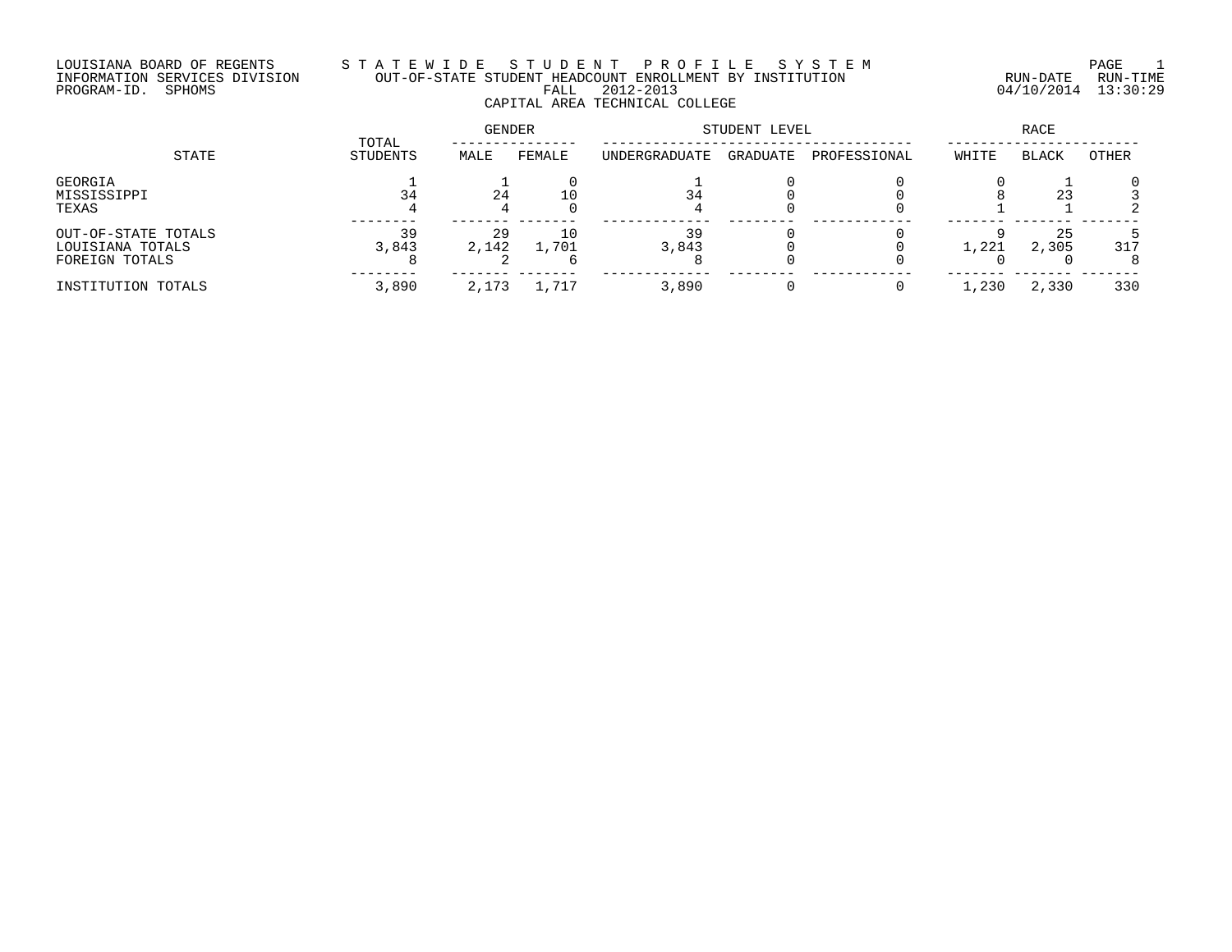# LOUISIANA BOARD OF REGENTS S T A T E W I D E S T U D E N T P R O F I L E S Y S T E M PAGE 1 INFORMATION SERVICES DIVISION OUT-OF-STATE STUDENT HEADCOUNT ENROLLMENT BY INSTITUTION RUN-DATE RUN-TIME PROGRAM-ID. SPHOMS FALL 2012-2013 04/10/2014 13:30:29 CAPITAL AREA TECHNICAL COLLEGE

|                                                           |                   | GENDER      |             | STUDENT LEVEL |          | RACE         |       |              |          |
|-----------------------------------------------------------|-------------------|-------------|-------------|---------------|----------|--------------|-------|--------------|----------|
| STATE                                                     | TOTAL<br>STUDENTS | MALE        | FEMALE      | UNDERGRADUATE | GRADUATE | PROFESSIONAL | WHITE | <b>BLACK</b> | OTHER    |
| GEORGIA<br>MISSISSIPPI<br>TEXAS                           |                   | 24          |             | 34            |          |              |       | 23           |          |
| OUT-OF-STATE TOTALS<br>LOUISIANA TOTALS<br>FOREIGN TOTALS | 39<br>3,843       | 29<br>2,142 | 10<br>1,701 | 39<br>3,843   |          |              | 1,221 | 25<br>2,305  | 317<br>8 |
| INSTITUTION TOTALS                                        | 3,890             | 2,173       | 1,717       | 3,890         |          |              | 1,230 | 2,330        | 330      |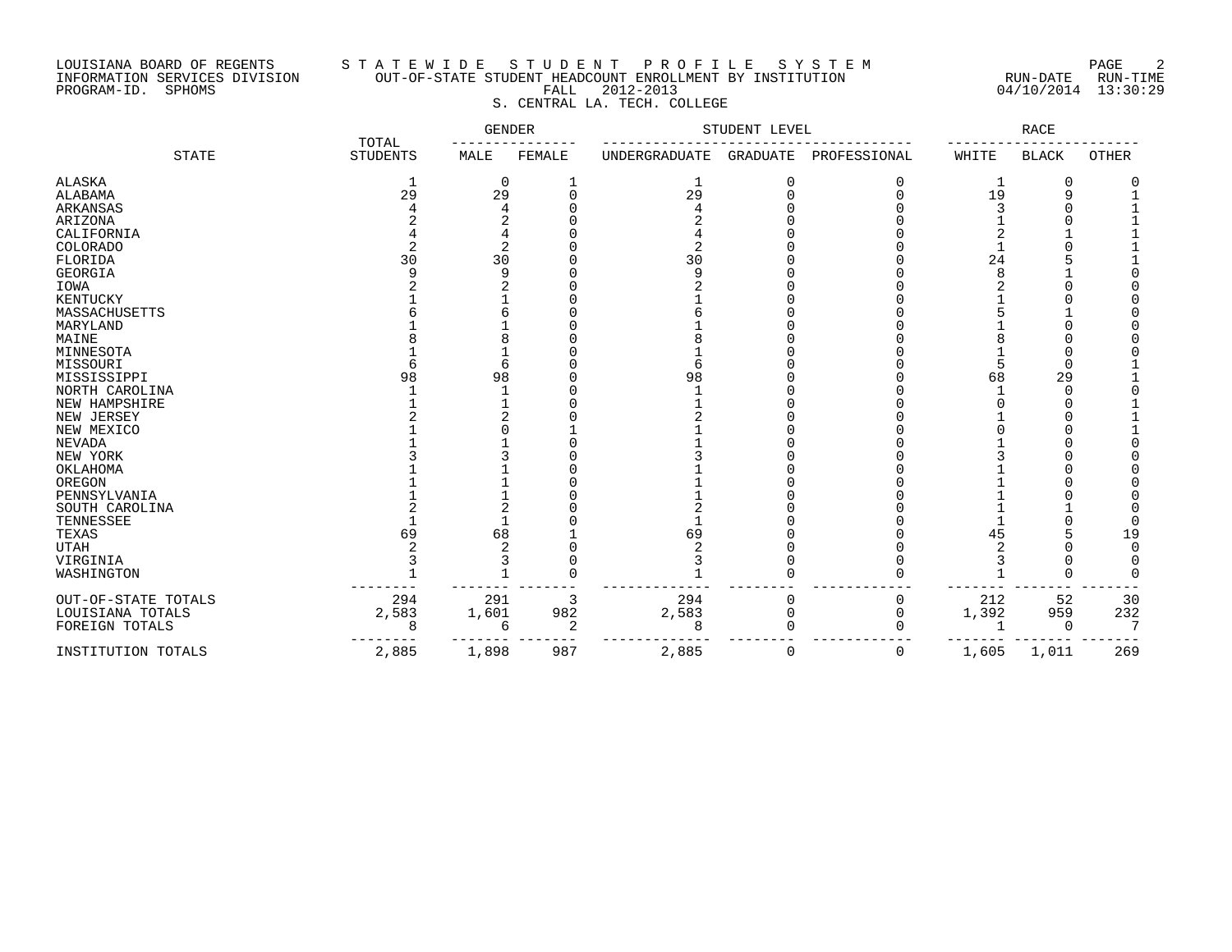## LOUISIANA BOARD OF REGENTS S T A T E W I D E S T U D E N T P R O F I L E S Y S T E M PAGE 2 INFORMATION SERVICES DIVISION OUT-OF-STATE STUDENT HEADCOUNT ENROLLMENT BY INSTITUTION RUN-DATE RUN-TIME PROGRAM-ID. SPHOMS FALL 2012-2013 04/10/2014 13:30:29 S. CENTRAL LA. TECH. COLLEGE

|                     | TOTAL           | <b>GENDER</b> |          | STUDENT LEVEL |                 | RACE         |       |              |       |
|---------------------|-----------------|---------------|----------|---------------|-----------------|--------------|-------|--------------|-------|
| <b>STATE</b>        | <b>STUDENTS</b> | MALE          | FEMALE   | UNDERGRADUATE | <b>GRADUATE</b> | PROFESSIONAL | WHITE | <b>BLACK</b> | OTHER |
| <b>ALASKA</b>       | 1               | $\Omega$      |          | 1             |                 |              |       | 0            |       |
| ALABAMA             | 29              | 29            |          | 29            |                 |              | 19    | 9            |       |
| <b>ARKANSAS</b>     |                 |               |          |               |                 |              |       |              |       |
| ARIZONA             |                 |               |          |               |                 |              |       |              |       |
| CALIFORNIA          |                 |               |          |               |                 |              |       |              |       |
| COLORADO            |                 |               |          |               |                 |              |       |              |       |
| FLORIDA             | 30              | 30            |          | 30            |                 |              | 24    |              |       |
| <b>GEORGIA</b>      |                 | q             |          | $\Omega$      |                 |              |       |              |       |
| IOWA                |                 |               |          |               |                 |              |       |              |       |
| <b>KENTUCKY</b>     |                 |               |          |               |                 |              |       |              |       |
| MASSACHUSETTS       |                 |               |          |               |                 |              |       |              |       |
| MARYLAND            |                 |               |          |               |                 |              |       |              |       |
| MAINE               |                 |               |          |               |                 |              |       |              |       |
| MINNESOTA           |                 |               |          |               |                 |              |       |              |       |
| MISSOURI            |                 |               |          |               |                 |              |       |              |       |
| MISSISSIPPI         | 98              | 98            |          | 98            |                 |              | 68    | 29           |       |
| NORTH CAROLINA      |                 |               |          |               |                 |              |       | ∩            |       |
| NEW HAMPSHIRE       |                 |               |          |               |                 |              |       |              |       |
| NEW JERSEY          |                 |               |          |               |                 |              |       |              |       |
| NEW MEXICO          |                 |               |          |               |                 |              |       |              |       |
| <b>NEVADA</b>       |                 |               |          |               |                 |              |       |              |       |
| NEW YORK            |                 |               |          |               |                 |              |       |              |       |
| OKLAHOMA            |                 |               |          |               |                 |              |       |              |       |
| OREGON              |                 |               |          |               |                 |              |       |              |       |
| PENNSYLVANIA        |                 |               |          |               |                 |              |       |              |       |
| SOUTH CAROLINA      |                 |               |          |               |                 |              |       |              |       |
| TENNESSEE           |                 |               |          |               |                 |              |       |              |       |
| TEXAS               | 69              | 68            |          | 69            |                 |              | 45    |              | 19    |
| <b>UTAH</b>         |                 |               |          |               |                 |              |       |              |       |
| VIRGINIA            |                 |               |          |               |                 |              |       |              |       |
| WASHINGTON          |                 |               | $\Omega$ |               |                 |              |       | $\cap$       |       |
| OUT-OF-STATE TOTALS | 294             | 291           | 3        | 294           | $\Omega$        | 0            | 212   | 52           | 30    |
| LOUISIANA TOTALS    | 2,583           | 1,601         | 982      | 2,583         | 0               | 0            | 1,392 | 959          | 232   |
| FOREIGN TOTALS      | 8               | 6             | 2        | 8             |                 |              |       | $\Omega$     |       |
| INSTITUTION TOTALS  | 2,885           | 1,898         | 987      | 2,885         | $\Omega$        | 0            | 1,605 | 1,011        | 269   |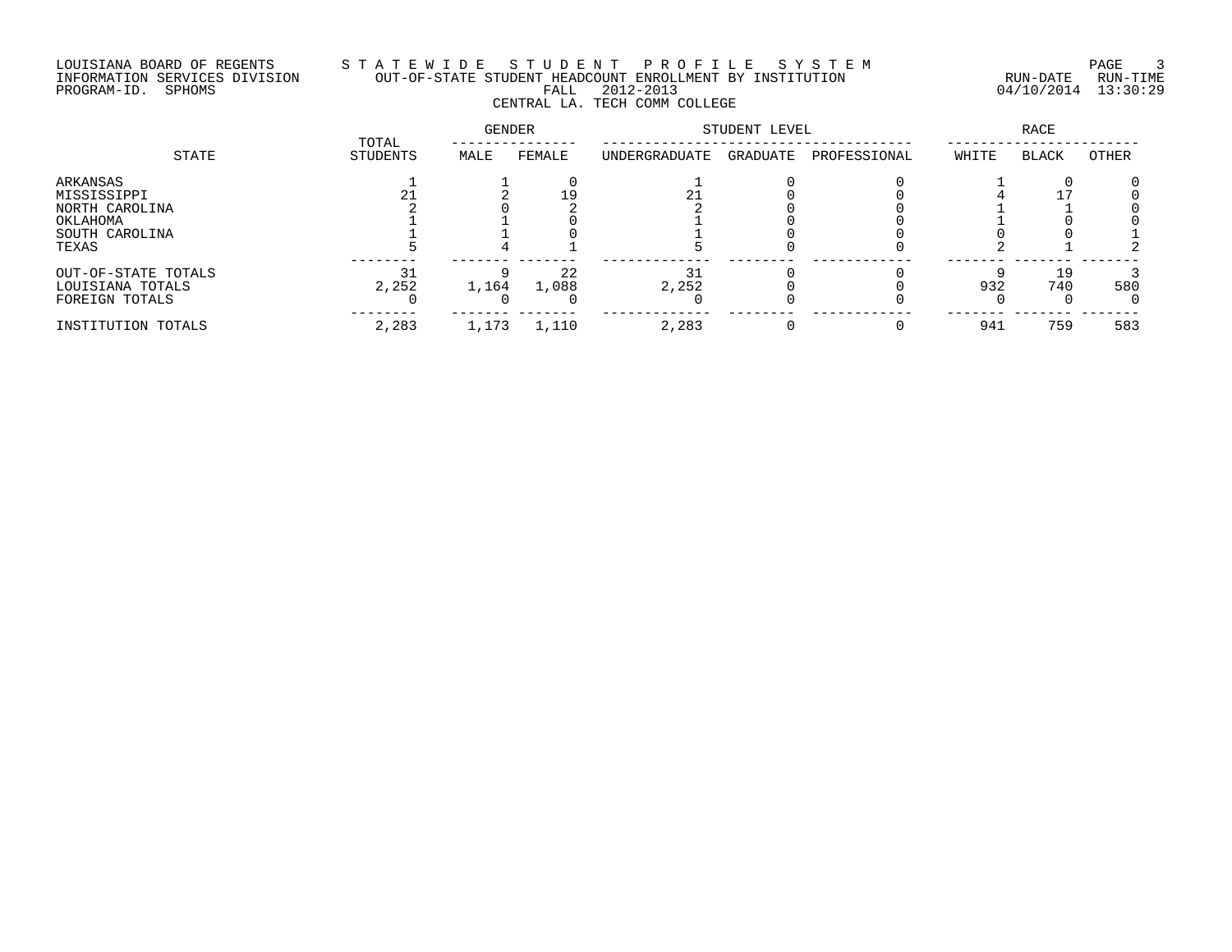# LOUISIANA BOARD OF REGENTS S T A T E W I D E S T U D E N T P R O F I L E S Y S T E M PAGE 3 INFORMATION SERVICES DIVISION OUT-OF-STATE STUDENT HEADCOUNT ENROLLMENT BY INSTITUTION RUN-DATE RUN-TIME PROGRAM-ID. SPHOMS FALL 2012-2013 04/10/2014 13:30:29 CENTRAL LA. TECH COMM COLLEGE

|                                                                                  |                   | GENDER |             | STUDENT LEVEL | <b>RACE</b> |              |       |              |       |
|----------------------------------------------------------------------------------|-------------------|--------|-------------|---------------|-------------|--------------|-------|--------------|-------|
| STATE                                                                            | TOTAL<br>STUDENTS | MALE   | FEMALE      | UNDERGRADUATE | GRADUATE    | PROFESSIONAL | WHITE | <b>BLACK</b> | OTHER |
| ARKANSAS<br>MISSISSIPPI<br>NORTH CAROLINA<br>OKLAHOMA<br>SOUTH CAROLINA<br>TEXAS | 21                |        |             |               |             |              |       |              |       |
| OUT-OF-STATE TOTALS<br>LOUISIANA TOTALS<br>FOREIGN TOTALS                        | 31<br>2,252       | 1,164  | 22<br>1,088 | 31<br>2,252   |             |              | 932   | 19<br>740    | 580   |
| INSTITUTION TOTALS                                                               | 2,283             | 1,173  | 1,110       | 2,283         |             | 0            | 941   | 759          | 583   |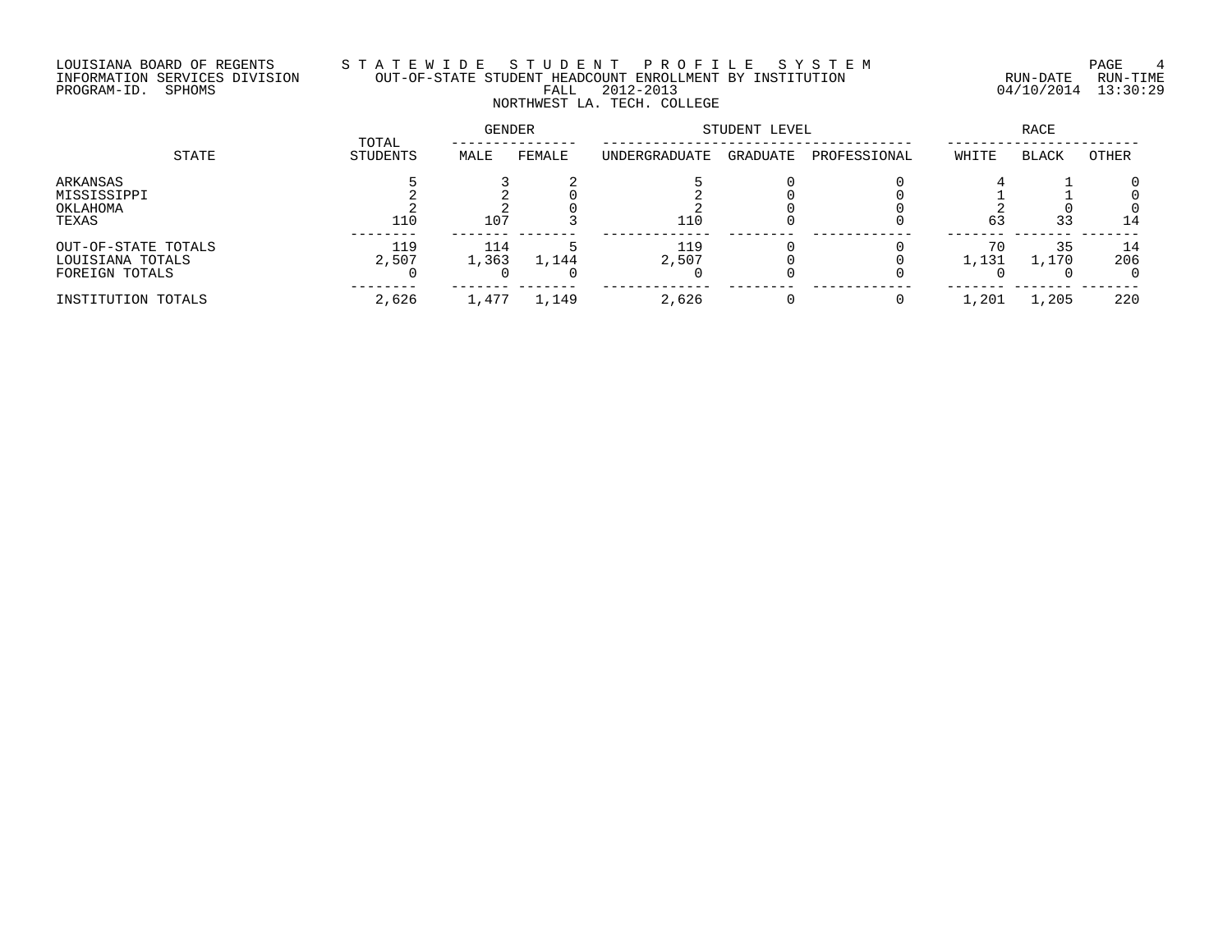# LOUISIANA BOARD OF REGENTS S T A T E W I D E S T U D E N T P R O F I L E S Y S T E M PAGE 4 INFORMATION SERVICES DIVISION OUT-OF-STATE STUDENT HEADCOUNT ENROLLMENT BY INSTITUTION RUN-DATE RUN-TIME PROGRAM-ID. SPHOMS FALL 2012-2013 04/10/2014 13:30:29 NORTHWEST LA. TECH. COLLEGE

| STATE                                                     |                   | GENDER       |        | STUDENT LEVEL |          | RACE         |             |              |           |
|-----------------------------------------------------------|-------------------|--------------|--------|---------------|----------|--------------|-------------|--------------|-----------|
|                                                           | TOTAL<br>STUDENTS | MALE         | FEMALE | UNDERGRADUATE | GRADUATE | PROFESSIONAL | WHITE       | <b>BLACK</b> | OTHER     |
| ARKANSAS<br>MISSISSIPPI<br>OKLAHOMA<br>TEXAS              | 110               | 107          |        | 110           |          |              | 63          | 33           | 14        |
| OUT-OF-STATE TOTALS<br>LOUISIANA TOTALS<br>FOREIGN TOTALS | 119<br>2,507      | 114<br>1,363 | 1,144  | 119<br>2,507  |          |              | 70<br>1,131 | 35<br>1,170  | 14<br>206 |
| INSTITUTION TOTALS                                        | 2,626             | 1,477        | 1,149  | 2,626         |          |              | 1,201       | 1,205        | 220       |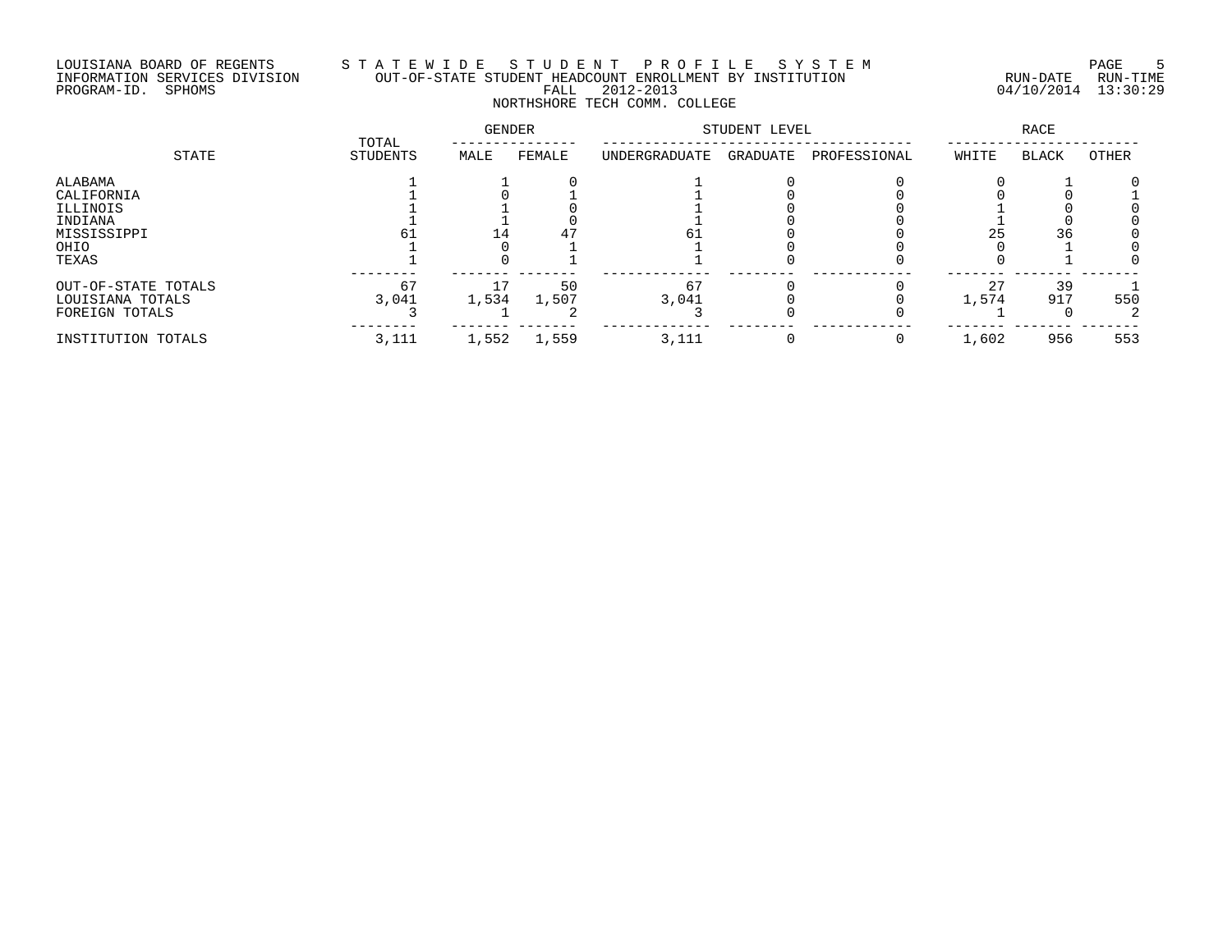# LOUISIANA BOARD OF REGENTS S T A T E W I D E S T U D E N T P R O F I L E S Y S T E M PAGE 5 INFORMATION SERVICES DIVISION OUT-OF-STATE STUDENT HEADCOUNT ENROLLMENT BY INSTITUTION RUN-DATE RUN-TIME PROGRAM-ID. SPHOMS FALL 2012-2013 04/10/2014 13:30:29 NORTHSHORE TECH COMM. COLLEGE

|                                                                              | TOTAL       | <b>GENDER</b> |             | STUDENT LEVEL |          | <b>RACE</b>  |             |              |       |
|------------------------------------------------------------------------------|-------------|---------------|-------------|---------------|----------|--------------|-------------|--------------|-------|
| STATE                                                                        | STUDENTS    | MALE          | FEMALE      | UNDERGRADUATE | GRADUATE | PROFESSIONAL | WHITE       | <b>BLACK</b> | OTHER |
| ALABAMA<br>CALIFORNIA<br>ILLINOIS<br>INDIANA<br>MISSISSIPPI<br>OHIO<br>TEXAS |             | 14.           |             | 61            |          |              | 25          | 36           |       |
| OUT-OF-STATE TOTALS<br>LOUISIANA TOTALS<br>FOREIGN TOTALS                    | 67<br>3,041 | 1,534         | 50<br>1,507 | 67<br>3,041   |          |              | 27<br>1,574 | 39<br>917    | 550   |
| INSTITUTION TOTALS                                                           | 3,111       | 1,552         | 1,559       | 3,111         |          |              | 1,602       | 956          | 553   |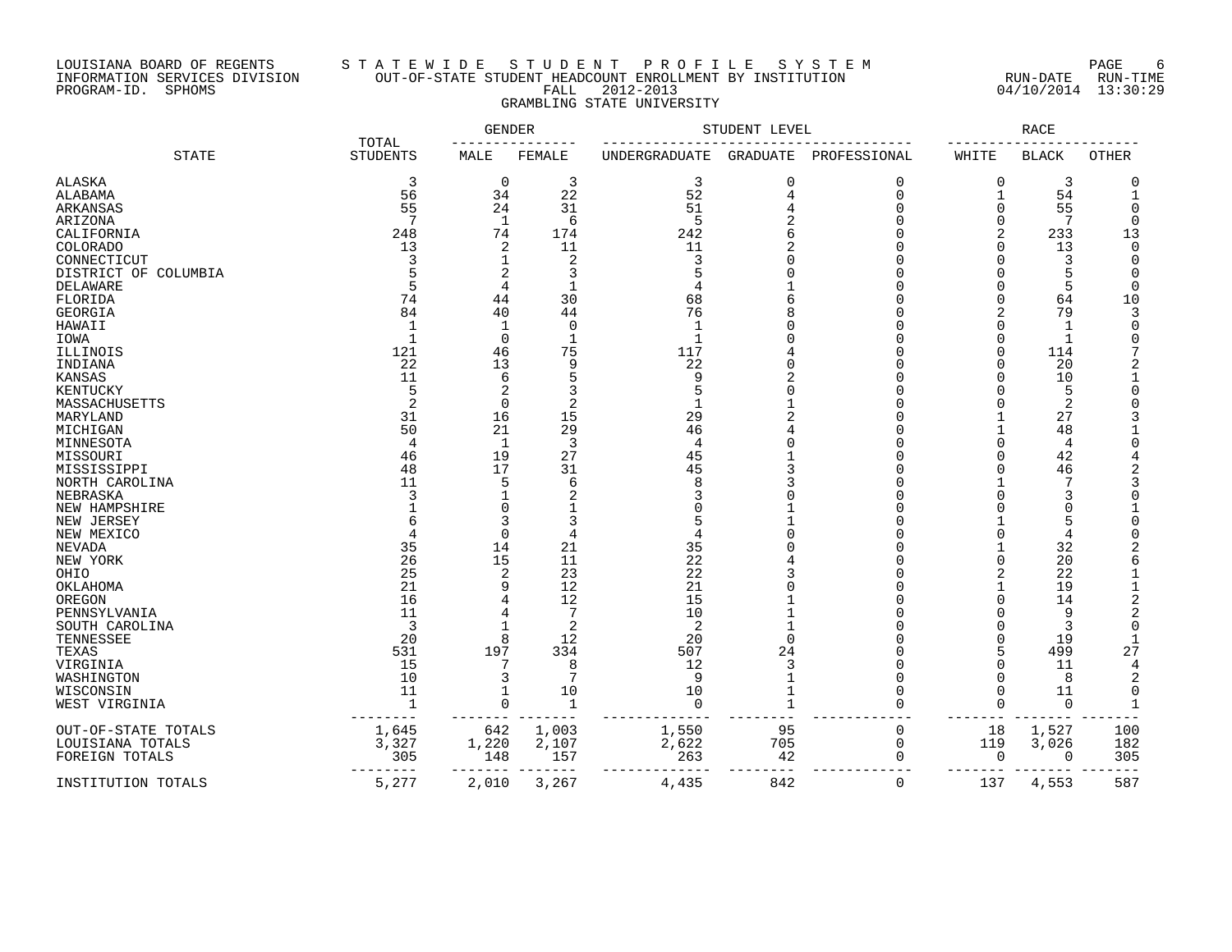## LOUISIANA BOARD OF REGENTS S T A T E W I D E S T U D E N T P R O F I L E S Y S T E M PAGE 6 INFORMATION SERVICES DIVISION OUT-OF-STATE STUDENT HEADCOUNT ENROLLMENT BY INSTITUTION RUN-DATE RUN-TIME PROGRAM-ID. SPHOMS FALL 2012-2013 04/10/2014 13:30:29 GRAMBLING STATE UNIVERSITY

|                                  |                 | GENDER<br>TOTAL |                | STUDENT LEVEL        |                 | RACE         |              |                |                |
|----------------------------------|-----------------|-----------------|----------------|----------------------|-----------------|--------------|--------------|----------------|----------------|
| <b>STATE</b>                     | <b>STUDENTS</b> | MALE            | <b>FEMALE</b>  | <b>UNDERGRADUATE</b> | <b>GRADUATE</b> | PROFESSIONAL | WHITE        | <b>BLACK</b>   | <b>OTHER</b>   |
| <b>ALASKA</b>                    | 3               | $\overline{0}$  | 3              | 3                    | $\mathbf 0$     | $\Omega$     | 0            | 3              | $\Omega$       |
| ALABAMA                          | 56              | 34              | 22             | 52                   | 4               | $\Omega$     | $\mathbf{1}$ | 54             | $\mathbf{1}$   |
| ARKANSAS                         | 55              | 24              | 31             | 51                   |                 | $\Omega$     | O            | 55             | ∩              |
| ARIZONA                          | 7               | 1               | 6              | -5                   |                 | ∩            | O            | 7              | $\Omega$       |
| CALIFORNIA                       | 248             | 74              | 174            | 242                  |                 | $\Omega$     | 2            | 233            | 13             |
| COLORADO                         | 13              | 2               | 11             | 11                   |                 |              | 0            | 13             | $\Omega$       |
| CONNECTICUT                      | 3               | 1               | $\overline{2}$ | 3                    |                 | $\cap$       | U            | 3              | $\Omega$       |
|                                  |                 | 2               | 3              |                      |                 |              |              |                | $\Omega$       |
| DISTRICT OF COLUMBIA<br>DELAWARE | 5               | 4               | $\mathbf{1}$   | 4                    |                 |              | O            | 5              | $\Omega$       |
| FLORIDA                          | 74              | 44              | 30             | 68                   |                 |              | 0            | 64             | 10             |
| <b>GEORGIA</b>                   | 84              | 40              | 44             | 76                   |                 |              | 2            | 79             |                |
|                                  |                 |                 | 0              |                      |                 |              |              |                | ∩              |
| HAWAII                           | $\mathbf{1}$    | 1               |                |                      |                 |              |              | $\mathbf{1}$   | O              |
| IOWA                             |                 | $\Omega$        | $\mathbf 1$    | $\mathbf{1}$         |                 |              | O            |                |                |
| ILLINOIS                         | 121             | 46              | 75             | 117                  |                 |              | U            | 114            |                |
| INDIANA                          | 22              | 13              | 9              | 22                   |                 |              | O            | 20             |                |
| KANSAS                           | 11              | 6               | 5              | 9                    |                 |              | U            | 10             |                |
| KENTUCKY                         | 5               | 2               | 3              | 5                    | ∩               |              | U            | 5              | U              |
| MASSACHUSETTS                    | $\overline{2}$  | $\Omega$        | $\overline{2}$ | $\mathbf{1}$         |                 |              |              | 2              |                |
| MARYLAND                         | 31              | 16              | 15             | 29                   |                 |              |              | 27             |                |
| MICHIGAN                         | 50              | 21              | 29             | 46                   |                 | ∩            |              | 48             |                |
| MINNESOTA                        | 4               | 1               | 3              | $\overline{4}$       | $\Omega$        |              | U            | $\overline{4}$ |                |
| MISSOURI                         | 46              | 19              | 27             | 45                   |                 | $\cap$       | U            | 42             |                |
| MISSISSIPPI                      | 48              | 17              | 31             | 45                   |                 | ∩            | O            | 46             |                |
| NORTH CAROLINA                   | 11              | 5               | 6              | 8                    | 3               | ∩            |              |                |                |
| NEBRASKA                         |                 |                 | 2              |                      |                 | ∩            |              | 3              |                |
| NEW HAMPSHIRE                    |                 | $\Omega$        |                |                      |                 | ∩            |              | $\sqrt{ }$     |                |
| NEW JERSEY                       |                 | 3               | 3              | 5                    |                 | ∩            |              | 5              |                |
| NEW MEXICO                       |                 | $\Omega$        | 4              |                      | $\Omega$        |              | O            | 4              |                |
| NEVADA                           | 35              | 14              | 21             | 35                   |                 |              |              | 32             |                |
| NEW YORK                         | 26              | 15              | 11             | 22                   |                 |              | 0            | 20             | 6              |
| OHIO                             | 25              | 2               | 23             | 22                   |                 | ∩            | 2            | 22             |                |
| OKLAHOMA                         | 21              | 9               | 12             | 21                   |                 |              | 1            | 19             | $\mathbf{1}$   |
| OREGON                           | 16              | 4               | 12             | 15                   |                 | ∩            | U            | 14             | 2              |
| PENNSYLVANIA                     | 11              | 4               | 7              | 10                   |                 |              | U            | 9              | $\overline{2}$ |
| SOUTH CAROLINA                   | 3               |                 | 2              | 2                    |                 | ∩            | U            | 3              | $\Omega$       |
| TENNESSEE                        | 20              | 8               | 12             | 20                   | $\Omega$        | $\Omega$     | O            | 19             | -1             |
| TEXAS                            | 531             | 197             | 334            | 507                  | 24              | $\Omega$     | 5            | 499            | 27             |
| VIRGINIA                         | 15              | 7               | 8              | 12                   | 3               |              | 0            | 11             | 4              |
| WASHINGTON                       | 10              | 3               | 7              | 9                    | $\mathbf{1}$    | $\Omega$     | O            | 8              | 2              |
| WISCONSIN                        | 11              | 1               | 10             | 10                   | $\mathbf{1}$    | $\Omega$     | 0            | 11             | 0              |
| WEST VIRGINIA                    | $\mathbf{1}$    | $\Omega$        | 1              | $\mathbf 0$          | $\mathbf{1}$    | $\Omega$     | $\Omega$     | $\Omega$       | $\mathbf{1}$   |
| OUT-OF-STATE TOTALS              | 1,645           | 642             | 1,003          | 1,550                | 95              | 0            | 18           | 1,527          | 100            |
| LOUISIANA TOTALS                 | 3,327           | 1,220           | 2,107          | 2,622                | 705             | $\mathbf 0$  | 119          | 3,026          | 182            |
| FOREIGN TOTALS                   | 305             | 148             | 157            | 263                  | 42              | 0            | 0            | 0              | 305            |
| INSTITUTION TOTALS               | ------<br>5,277 | 2,010           | 3,267          | 4,435                | 842             | $\mathbf 0$  | 137          | 4,553          | 587            |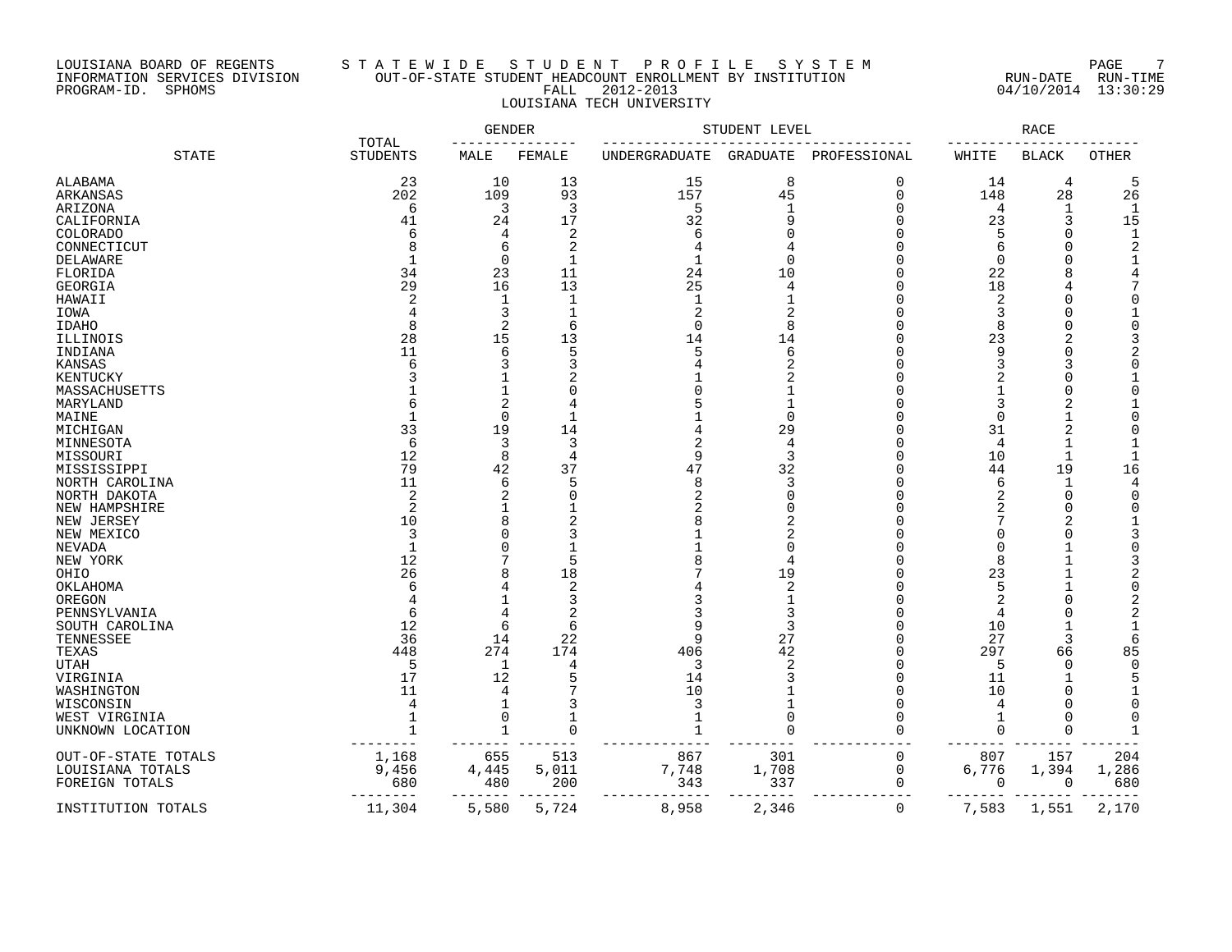## LOUISIANA BOARD OF REGENTS S T A T E W I D E S T U D E N T P R O F I L E S Y S T E M PAGE 7 INFORMATION SERVICES DIVISION OUT-OF-STATE STUDENT HEADCOUNT ENROLLMENT BY INSTITUTION RUN-DATE RUN-TIME PROGRAM-ID. SPHOMS FALL 2012-2013 04/10/2014 13:30:29 LOUISIANA TECH UNIVERSITY

|                     | TOTAL             | GENDER         |              |                | STUDENT LEVEL |              |                | RACE          |                         |
|---------------------|-------------------|----------------|--------------|----------------|---------------|--------------|----------------|---------------|-------------------------|
| <b>STATE</b>        | <b>STUDENTS</b>   | MALE           | FEMALE       | UNDERGRADUATE  | GRADUATE      | PROFESSIONAL | WHITE          | <b>BLACK</b>  | OTHER                   |
| ALABAMA             | 23                | 10             | 13           | 15             | 8             | 0            | 14             | 4             | 5                       |
| <b>ARKANSAS</b>     | 202               | 109            | 93           | 157            | 45            | 0            | 148            | 28            | 26                      |
| ARIZONA             | 6                 | 3              | 3            | 5              | $\mathbf{1}$  | 0            | 4              | $\mathbf 1$   | $\mathbf{1}$            |
| CALIFORNIA          | 41                | 24             | 17           | 32             | 9             | 0            | 23             | 3             | 15                      |
| <b>COLORADO</b>     | 6                 | 4              | 2            | 6              | O             | 0            | 5              | $\mathbf 0$   | $\mathbf{1}$            |
| CONNECTICUT         |                   | 6              | 2            | 4              |               | O            | 6              | 0             | 2                       |
| <b>DELAWARE</b>     | -1                | $\Omega$       | $\mathbf{1}$ |                | $\Omega$      | U            |                | $\Omega$      | 1                       |
| FLORIDA             | 34                | 23             | 11           | 24             | 10            | U            | 22             | 8             | 4                       |
|                     | 29                |                | 13           |                |               | U            |                |               | 7                       |
| GEORGIA             |                   | 16             |              | 25             | 4             |              | 18             | 4             |                         |
| HAWAII              | 2                 | 1              | $\mathbf 1$  | 1              |               | O            | 2              | 0             | $\Omega$                |
| IOWA                |                   | 3              | $\mathbf 1$  | $\overline{2}$ | 2             | U            | 3              | 0             | 1                       |
| IDAHO               | 8                 | $\mathfrak{D}$ | 6            | $\Omega$       | 8             | O            | 8              | $\Omega$      | $\mathbf 0$             |
| ILLINOIS            | 28                | 15             | 13           | 14             | 14            | O            | 23             | 2             | 3                       |
| INDIANA             | 11                | 6              | 5            | 5              | 6             | U            | 9              | $\mathbf 0$   | $\overline{a}$          |
| KANSAS              | 6                 | 3              | 3            | 4              | 2             | O            | 3              | 3             | $\Omega$                |
| KENTUCKY            |                   |                | 2            |                | 2             | O            |                | $\mathbf 0$   | 1                       |
| MASSACHUSETTS       |                   |                | $\Omega$     |                |               | O            |                | $\mathbf 0$   | $\Omega$                |
| MARYLAND            |                   | 2              | 4            |                |               | O            | 3              | 2             |                         |
| MAINE               |                   | $\Omega$       | 1            |                | 0             | U            | $\cap$         | 1             | $\Omega$                |
| MICHIGAN            | 33                | 19             | 14           |                | 29            | O            | 31             | 2             | $\Omega$                |
| MINNESOTA           | 6                 | 3              | 3            |                | 4             | U            | 4              | 1             | 1                       |
| MISSOURI            | 12                | 8              | 4            | 9              | 3             | O            | 10             | $\mathbf 1$   | $\mathbf{1}$            |
| MISSISSIPPI         | 79                | 42             | 37           | 47             | 32            | 0            | 44             | 19            | 16                      |
| NORTH CAROLINA      | 11                | 6              | 5            | 8              | 3             | O            | 6              | 1             | 4                       |
|                     | $\overline{2}$    | 2              | 0            | 2              | 0             | O            |                |               |                         |
| NORTH DAKOTA        | 2                 |                |              |                | N             | O            | 2              | 0<br>$\Omega$ | $\mathbf 0$<br>$\Omega$ |
| NEW HAMPSHIRE       |                   |                |              |                |               |              | 2              |               |                         |
| NEW JERSEY          | 10                |                |              |                | 2             | U            |                | 2             | $\mathbf{1}$            |
| NEW MEXICO          | 3                 |                | 3            |                | 2             | O            |                | 0             | 3                       |
| NEVADA              | 1                 |                |              |                | 0             | O            |                | $\mathbf 1$   | 0                       |
| NEW YORK            | 12                |                | 5            |                | 4             | O            | 8              | 1             | 3                       |
| OHIO                | 26                | 8              | 18           |                | 19            | U            | 23             | 1             | $\overline{2}$          |
| OKLAHOMA            | 6                 |                | 2            |                | 2             | U            | 5              | $\mathbf{1}$  | $\Omega$                |
| OREGON              |                   |                | 3            |                |               | O            | 2              | $\mathbf 0$   | $\overline{a}$          |
| PENNSYLVANIA        | 6                 |                | 2            |                | 3             | 0            | 4              | 0             | $\overline{a}$          |
| SOUTH CAROLINA      | 12                | 6              | 6            |                | 3             | O            | 10             | $\mathbf{1}$  | $\mathbf{1}$            |
| TENNESSEE           | 36                | 14             | 22           | q              | 27            | 0            | 27             | 3             | 6                       |
| TEXAS               | 448               | 274            | 174          | 406            | 42            | 0            | 297            | 66            | 85                      |
| UTAH                | 5                 | $\mathbf 1$    | 4            | 3              | 2             | 0            | 5              | $\Omega$      | $\mathbf 0$             |
| VIRGINIA            | 17                | 12             | 5            | 14             | 3             | 0            | 11             | 1             | 5                       |
| WASHINGTON          | 11                |                | 7            | 10             |               | O            | 10             | 0             | 1                       |
| WISCONSIN           | 4                 |                | 3            | 3              |               | 0            | $\overline{4}$ | 0             | $\mathbf 0$             |
| WEST VIRGINIA       | 1                 | $\Omega$       | 1            | 1              | 0             | U            |                | 0             | $\Omega$                |
|                     | $\mathbf{1}$      | $\mathbf{1}$   | $\Omega$     | 1              | $\Omega$      | U            | ∩              | $\mathbf 0$   | 1                       |
| UNKNOWN LOCATION    |                   |                |              |                |               |              |                |               |                         |
|                     |                   |                |              |                |               |              |                |               |                         |
| OUT-OF-STATE TOTALS | 1,168             | 655            | 513          | 867            | 301           | 0            | 807            | 157           | 204                     |
| LOUISIANA TOTALS    | 9,456             | 4,445          | 5,011        | 7,748          | 1,708         | 0            | 6,776          | 1,394         | 1,286                   |
| FOREIGN TOTALS      | 680               | 480            | 200          | 343            | 337           | 0            | 0              | $\mathbf 0$   | 680                     |
| INSTITUTION TOTALS  | $- - -$<br>11,304 | 5,580          | ---<br>5,724 | 8,958          | 2,346         | 0            | 7,583          | 1,551         | 2,170                   |
|                     |                   |                |              |                |               |              |                |               |                         |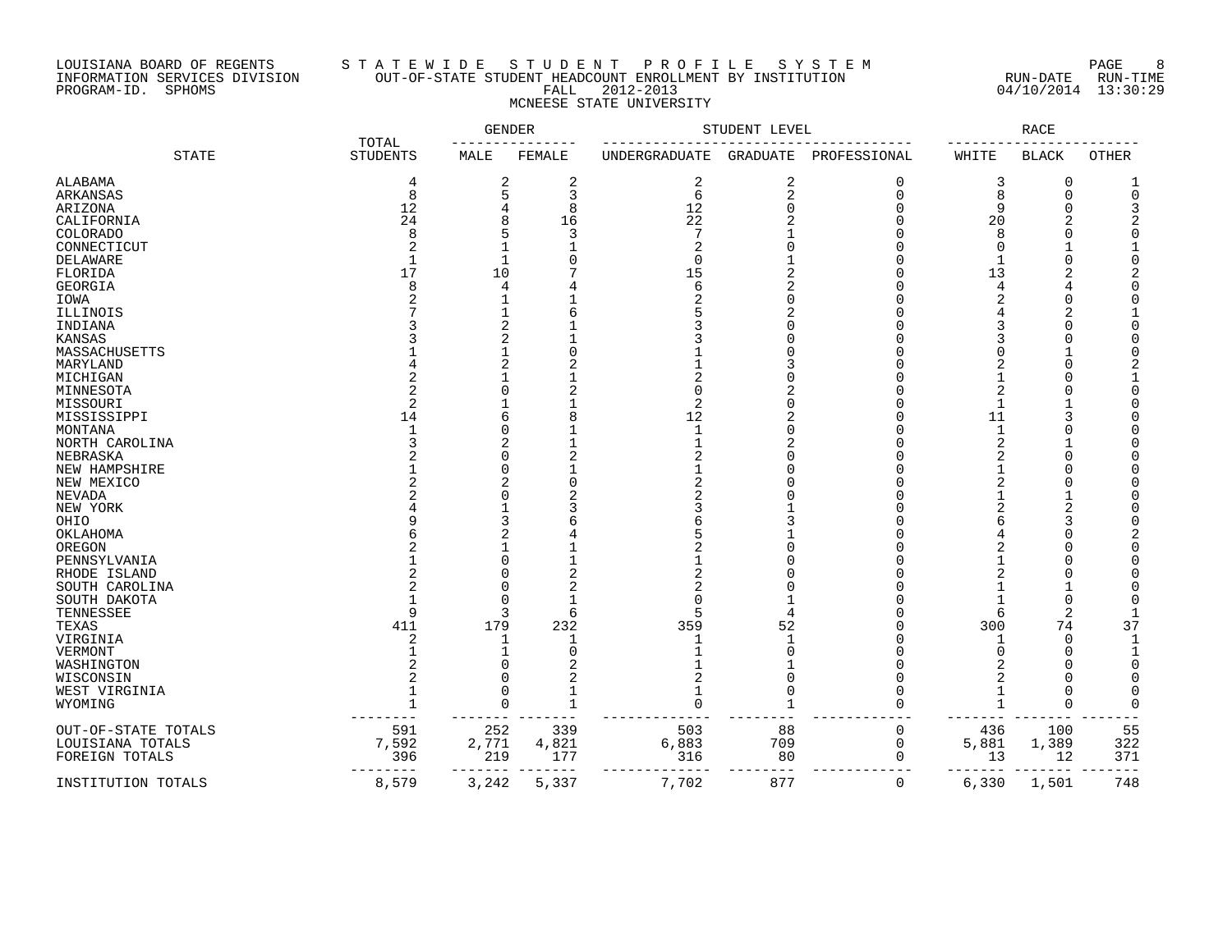## LOUISIANA BOARD OF REGENTS S T A T E W I D E S T U D E N T P R O F I L E S Y S T E M PAGE 8 INFORMATION SERVICES DIVISION OUT-OF-STATE STUDENT HEADCOUNT ENROLLMENT BY INSTITUTION RUN-DATE RUN-TIME PROGRAM-ID. SPHOMS FALL 2012-2013 04/10/2014 13:30:29 MCNEESE STATE UNIVERSITY

|                     | TOTAL           | GENDER       |              |                | STUDENT LEVEL  |              |                | RACE         |              |
|---------------------|-----------------|--------------|--------------|----------------|----------------|--------------|----------------|--------------|--------------|
| <b>STATE</b>        | <b>STUDENTS</b> | MALE         | FEMALE       | UNDERGRADUATE  | GRADUATE       | PROFESSIONAL | WHITE          | <b>BLACK</b> | <b>OTHER</b> |
| ALABAMA             | 4               | 2            | 2            | 2              | $\overline{c}$ | 0            | 3              | 0            |              |
| ARKANSAS            | 8               | 5            | 3            | 6              | $\overline{2}$ | $\mathbf 0$  | 8              | $\mathbf 0$  | $\Omega$     |
| ARIZONA             | 12              | 4            | 8            | 12             | $\Omega$       | $\Omega$     | 9              |              |              |
| CALIFORNIA          | 24              | 8            | 16           | 22             |                |              | 20             |              |              |
| COLORADO            |                 | 5            | 3            | 7              |                |              | 8              |              |              |
|                     |                 |              |              |                |                |              | $\Omega$       |              |              |
| CONNECTICUT         |                 |              |              |                |                |              |                |              |              |
| DELAWARE            |                 | 1            | O            | U              |                |              |                |              |              |
| FLORIDA             | 17              | 10           |              | 15             |                |              | 13             |              |              |
| GEORGIA             |                 | 4            |              | б              | 2              |              | 4              |              |              |
| IOWA                |                 |              |              |                |                |              | 2              |              |              |
| ILLINOIS            |                 |              |              |                |                |              |                | 2            |              |
| INDIANA             |                 | 2            |              |                |                |              | 3              | U            |              |
| KANSAS              |                 | 2            |              |                |                |              | 3              |              |              |
| MASSACHUSETTS       |                 |              |              |                |                |              |                |              |              |
| MARYLAND            |                 | 2            |              |                |                |              |                |              |              |
| MICHIGAN            |                 |              |              |                |                |              |                |              |              |
| MINNESOTA           |                 | U            |              |                |                |              | $\overline{2}$ |              |              |
|                     |                 |              |              |                |                |              | 1              |              |              |
| MISSOURI            |                 |              |              | 2              |                |              |                |              |              |
| MISSISSIPPI         | 14              | 6            |              | 12             |                |              | 11             |              |              |
| MONTANA             |                 | U            |              | $\overline{1}$ |                |              | 1              |              |              |
| NORTH CAROLINA      |                 | 2            |              |                |                |              | $\overline{c}$ |              |              |
| NEBRASKA            |                 | U            |              |                |                |              | 2              |              |              |
| NEW HAMPSHIRE       |                 | U            |              |                |                |              |                |              |              |
| NEW MEXICO          |                 | 2            |              |                |                |              |                |              |              |
| NEVADA              |                 | O            |              |                |                |              |                |              |              |
| NEW YORK            |                 |              |              |                |                |              |                |              |              |
| OHIO                |                 | 3            |              |                |                |              |                |              |              |
| OKLAHOMA            |                 | 2            |              |                |                |              |                |              |              |
| OREGON              |                 |              |              |                |                |              |                |              |              |
|                     |                 | N            |              |                |                |              |                |              |              |
| PENNSYLVANIA        |                 | N            |              |                |                |              |                |              |              |
| RHODE ISLAND        |                 |              |              |                |                |              |                |              |              |
| SOUTH CAROLINA      |                 | O            |              |                |                |              |                |              |              |
| SOUTH DAKOTA        |                 | <sup>n</sup> |              |                |                |              |                |              |              |
| TENNESSEE           | q               | 3            | 6            |                |                |              | 6              | 2            |              |
| TEXAS               | 411             | 179          | 232          | 359            | 52             |              | 300            | 74           | 37           |
| VIRGINIA            |                 | 1            | -1           |                |                |              |                | ∩            |              |
| VERMONT             |                 |              | O            |                |                |              | $\Omega$       |              |              |
| WASHINGTON          |                 | O            |              |                |                |              |                |              |              |
| WISCONSIN           |                 | ∩            |              |                | $\cap$         |              |                |              |              |
| WEST VIRGINIA       |                 | $\Omega$     |              | 1              | $\Omega$       |              | 1              |              |              |
| WYOMING             |                 | O            | $\mathbf{1}$ | $\Omega$       | -1             |              |                | $\bigcap$    |              |
|                     |                 |              |              |                |                |              |                |              |              |
| OUT-OF-STATE TOTALS | 591             | 252          | 339          | 503            | 88             | $\mathbf 0$  | 436            | 100          | 55           |
| LOUISIANA TOTALS    | 7,592           | 2,771        | 4,821        | 6,883          | 709            | $\mathbf 0$  | 5,881          | 1,389        | 322          |
|                     |                 | 219          | 177          |                |                | $\Omega$     |                |              | 371          |
| FOREIGN TOTALS      | 396             |              |              | 316            | 80             |              | 13             | 12           |              |
| INSTITUTION TOTALS  | 8,579           | 3,242        | 5,337        | 7,702          | 877            | 0            | 6,330          | 1,501        | 748          |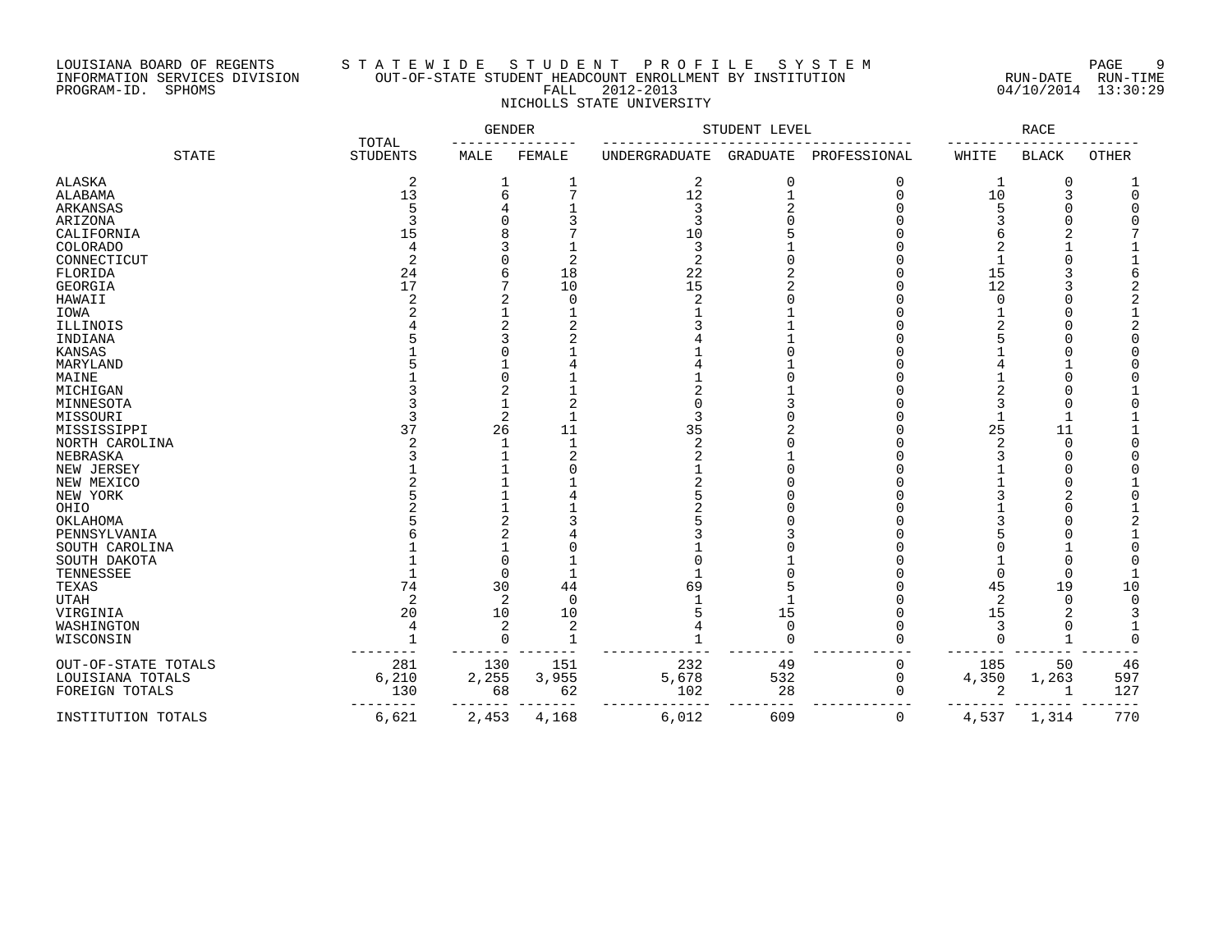# LOUISIANA BOARD OF REGENTS S T A T E W I D E S T U D E N T P R O F I L E S Y S T E M PAGE 9 INFORMATION SERVICES DIVISION OUT-OF-STATE STUDENT HEADCOUNT ENROLLMENT BY INSTITUTION RUN-DATE RUN-TIME PROGRAM-ID. SPHOMS FALL 2012-2013 04/10/2014 13:30:29 NICHOLLS STATE UNIVERSITY

|                     | TOTAL           | GENDER         |                |                | STUDENT LEVEL   |              |                | RACE         |        |
|---------------------|-----------------|----------------|----------------|----------------|-----------------|--------------|----------------|--------------|--------|
| <b>STATE</b>        | <b>STUDENTS</b> | MALE           | FEMALE         | UNDERGRADUATE  | <b>GRADUATE</b> | PROFESSIONAL | WHITE          | <b>BLACK</b> | OTHER  |
| <b>ALASKA</b>       | $\overline{c}$  |                | 1              | $\sqrt{2}$     | $\mathbf 0$     | 0            | 1              | 0            |        |
| ALABAMA             | 13              | 6              | 7              | 12             | $\mathbf{1}$    | $\Omega$     | 10             | 3            |        |
| ARKANSAS            | 5               |                |                | $\overline{3}$ | $\overline{c}$  |              | 5              | ∩            |        |
| ARIZONA             | ₹               |                |                | 3              |                 |              |                |              |        |
| CALIFORNIA          | 15              |                |                | 10             |                 |              |                |              |        |
| COLORADO            | $\overline{4}$  |                |                | 3              |                 |              |                |              |        |
| CONNECTICUT         | $\overline{2}$  |                | $\overline{2}$ | $\overline{2}$ |                 |              |                |              |        |
| FLORIDA             | 24              | 6              | 18             | 22             |                 |              | 15             |              |        |
| <b>GEORGIA</b>      | 17              |                | 10             | 15             | 2               |              | 12             |              |        |
| HAWAII              |                 | 2              | $\mathbf 0$    |                |                 |              | U              |              |        |
| IOWA                |                 |                |                |                |                 |              |                |              |        |
| ILLINOIS            |                 | $\overline{2}$ |                |                |                 |              |                |              |        |
| INDIANA             |                 | ς              |                |                |                 |              |                |              |        |
| <b>KANSAS</b>       |                 |                |                |                |                 |              |                |              |        |
| MARYLAND            |                 |                |                |                |                 |              |                |              |        |
| MAINE               |                 | ∩              |                |                |                 |              |                |              |        |
| MICHIGAN            |                 | 2              |                |                |                 |              |                |              |        |
| MINNESOTA           |                 |                |                |                |                 |              |                | $\Omega$     |        |
| MISSOURI            |                 | 2              | $\mathbf{1}$   | 3              |                 |              |                | $\mathbf{1}$ |        |
| MISSISSIPPI         | 37              | 26             | 11             | 35             |                 |              | 25             | 11           |        |
| NORTH CAROLINA      |                 | 1              | $\mathbf{1}$   | $\overline{2}$ |                 |              | $\overline{c}$ | $\Omega$     |        |
| NEBRASKA            |                 |                | 2              |                |                 |              |                | 0            |        |
| NEW JERSEY          |                 |                |                |                |                 |              |                | $\Omega$     |        |
| NEW MEXICO          |                 |                |                |                |                 |              |                | O            |        |
| NEW YORK            |                 |                |                |                |                 |              |                |              |        |
| OHIO                |                 |                |                |                |                 |              |                |              |        |
| OKLAHOMA            |                 | $\overline{2}$ |                |                |                 |              |                |              |        |
| PENNSYLVANIA        |                 | 2              |                |                |                 |              |                |              |        |
| SOUTH CAROLINA      |                 |                |                |                |                 |              |                |              |        |
| SOUTH DAKOTA        |                 | O              |                |                |                 |              |                | $\Omega$     |        |
| TENNESSEE           |                 | 0              |                |                |                 |              | U              | $\Omega$     |        |
| TEXAS               | 74              | 30             | 44             | 69             |                 |              | 45             | 19           | 10     |
| <b>UTAH</b>         | $\overline{2}$  | 2              | $\overline{0}$ |                |                 |              | 2              | $\mathbf 0$  | $\cap$ |
| VIRGINIA            | 20              | 10             | 10             |                | 15              | $\cap$       | 15             | 2            |        |
| WASHINGTON          | 4               | 2              | $\overline{2}$ |                | $\mathbf 0$     |              |                | $\Omega$     |        |
| WISCONSIN           |                 | $\Omega$       | $\mathbf{1}$   |                | $\bigcap$       |              |                |              |        |
| OUT-OF-STATE TOTALS | 281             | 130            | 151            | 232            | 49              | 0            | 185            | 50           | 46     |
| LOUISIANA TOTALS    | 6,210           | 2,255          | 3,955          | 5,678          | 532             | $\mathbf 0$  | 4,350          | 1,263        | 597    |
| FOREIGN TOTALS      | 130             | 68             | 62             | 102            | 28              | $\Omega$     | 2              | $\mathbf{1}$ | 127    |
|                     |                 |                |                |                |                 |              |                |              |        |
| INSTITUTION TOTALS  | 6,621           | 2,453          | 4,168          | 6,012          | 609             | 0            | 4,537          | 1,314        | 770    |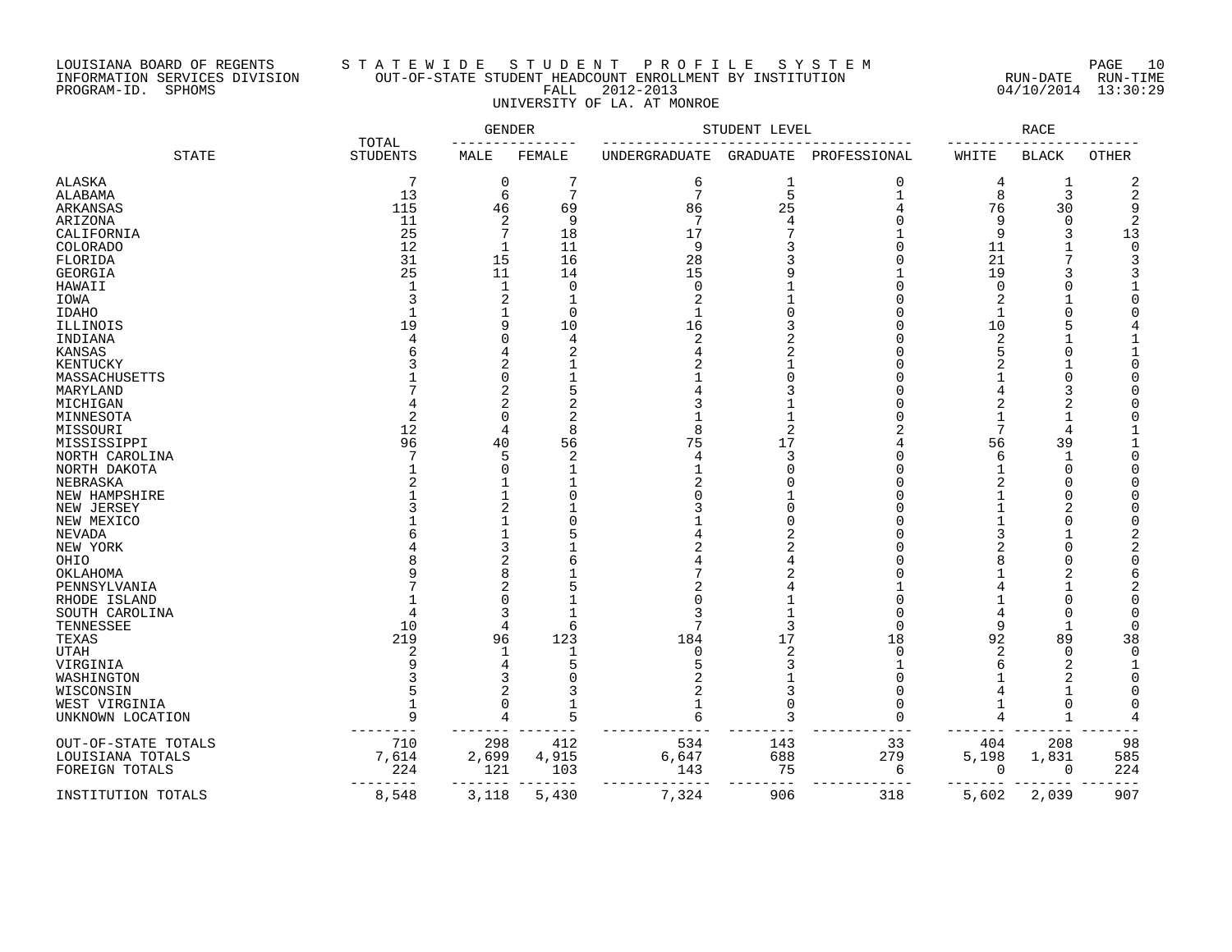#### LOUISIANA BOARD OF REGENTS S T A T E W I D E S T U D E N T P R O F I L E S Y S T E M PAGE 10 INFORMATION SERVICES DIVISION OUT-OF-STATE STUDENT HEADCOUNT ENROLLMENT BY INSTITUTION RUN-DATE RUN-TIME PROGRAM-ID. SPHOMS FALL 2012-2013 04/10/2014 13:30:29 UNIVERSITY OF LA. AT MONROE

|                     |                 | <b>GENDER</b><br>TOTAL |                | STUDENT LEVEL | <b>RACE</b> |              |          |                |             |
|---------------------|-----------------|------------------------|----------------|---------------|-------------|--------------|----------|----------------|-------------|
| <b>STATE</b>        | <b>STUDENTS</b> | MALE                   | FEMALE         | UNDERGRADUATE | GRADUATE    | PROFESSIONAL | WHITE    | <b>BLACK</b>   | OTHER       |
| ALASKA              | 7               | 0                      | 7              | 6             | 1           | 0            | 4        | $\mathbf 1$    | 2           |
| ALABAMA             | 13              | 6                      | $\overline{7}$ | 7             | 5           | 1            | 8        | $\overline{3}$ | 2           |
| ARKANSAS            | 115             | 46                     | 69             | 86            | 25          |              | 76       | 30             | 9           |
| ARIZONA             | 11              | 2                      | 9              | 7             | 4           |              | 9        | $\Omega$       |             |
|                     | 25              | 7                      | 18             | 17            |             |              | 9        | 3              | 13          |
| CALIFORNIA          |                 |                        |                |               |             |              |          |                |             |
| COLORADO            | 12              |                        | 11             | 9             |             |              | 11       |                | $\mathbf 0$ |
| FLORIDA             | 31              | 15                     | 16             | 28            |             |              | 21       | 7              | 3           |
| GEORGIA             | 25              | 11                     | 14             | 15            |             |              | 19       | 3              |             |
| HAWAII              | -1              | 1                      | $\Omega$       | $\Omega$      |             |              | $\Omega$ |                |             |
| IOWA                |                 | 2                      |                |               |             |              |          |                |             |
| <b>IDAHO</b>        |                 |                        | $\Omega$       | 1             |             |              | 1        |                |             |
| ILLINOIS            | 19              | 9                      | 10             | 16            |             |              | 10       |                |             |
| INDIANA             |                 | 0                      | 4              | 2             |             |              | 2        |                |             |
| <b>KANSAS</b>       |                 | 4                      | 2              |               | 2           |              |          | C              |             |
| KENTUCKY            |                 | 2                      |                |               |             |              |          |                |             |
| MASSACHUSETTS       |                 | O                      |                |               |             |              |          | C              |             |
| MARYLAND            |                 | 2                      | 5              |               |             |              |          | 3              |             |
| MICHIGAN            |                 | 2                      |                |               |             |              |          |                |             |
| MINNESOTA           | 2               | O                      |                |               |             |              |          |                |             |
|                     | 12              | 4                      |                |               |             |              | 7        |                |             |
| MISSOURI            | 96              |                        |                | 75            | 17          |              |          |                |             |
| MISSISSIPPI         |                 | 40                     | 56             |               |             |              | 56       | 39             |             |
| NORTH CAROLINA      |                 | 5                      | 2              | 4             | 3           |              | 6        |                |             |
| NORTH DAKOTA        |                 | 0                      |                |               |             |              |          | $\Omega$       |             |
| NEBRASKA            |                 |                        |                |               |             |              |          | C              |             |
| NEW HAMPSHIRE       |                 |                        |                |               |             |              |          | C              |             |
| NEW JERSEY          |                 | 2                      |                |               |             |              |          |                |             |
| NEW MEXICO          |                 |                        |                |               |             |              |          | C              |             |
| NEVADA              |                 |                        |                |               |             |              |          |                |             |
| NEW YORK            |                 | 3                      |                |               |             |              |          |                |             |
| OHIO                |                 | 2                      |                |               |             |              |          |                |             |
| OKLAHOMA            |                 | 8                      |                |               |             |              |          |                |             |
| PENNSYLVANIA        |                 | 2                      |                |               |             |              |          |                |             |
| RHODE ISLAND        |                 | 0                      |                |               |             |              |          |                |             |
| SOUTH CAROLINA      |                 | 3                      |                |               |             |              | 4        | C              |             |
| TENNESSEE           | 10              | 4                      | 6              | 7             | ₹           | ∩            | 9        | $\mathbf{1}$   |             |
| TEXAS               | 219             | 96                     | 123            | 184           | 17          | 18           | 92       | 89             | 38          |
| <b>UTAH</b>         | $\overline{c}$  |                        |                | O             | 2           | $\cap$       | 2        | $\Omega$       | $\Omega$    |
|                     |                 | 4                      |                |               |             |              | 6        | 2              |             |
| VIRGINIA            |                 |                        |                |               |             |              |          |                |             |
| WASHINGTON          |                 | 3                      |                |               |             |              |          |                |             |
| WISCONSIN           |                 | 2                      |                |               |             |              |          |                |             |
| WEST VIRGINIA       |                 | O                      |                |               | $\Omega$    |              |          | $\Omega$       |             |
| UNKNOWN LOCATION    | 9               | 4                      |                | 6             | 3           | $\Omega$     | 4        | $\mathbf{1}$   |             |
| OUT-OF-STATE TOTALS | 710             | 298                    | 412            | 534           | 143         | 33           | 404      | 208            | 98          |
| LOUISIANA TOTALS    | 7,614           | 2,699                  | 4,915          | 6,647         | 688         | 279          | 5,198    | 1,831          | 585         |
| FOREIGN TOTALS      | 224             | 121                    | 103            | 143           | 75          | 6            | 0        | 0              | 224         |
|                     |                 |                        |                |               | 906         |              |          |                | 907         |
| INSTITUTION TOTALS  | 8,548           | 3,118                  | 5,430          | 7,324         |             | 318          | 5,602    | 2,039          |             |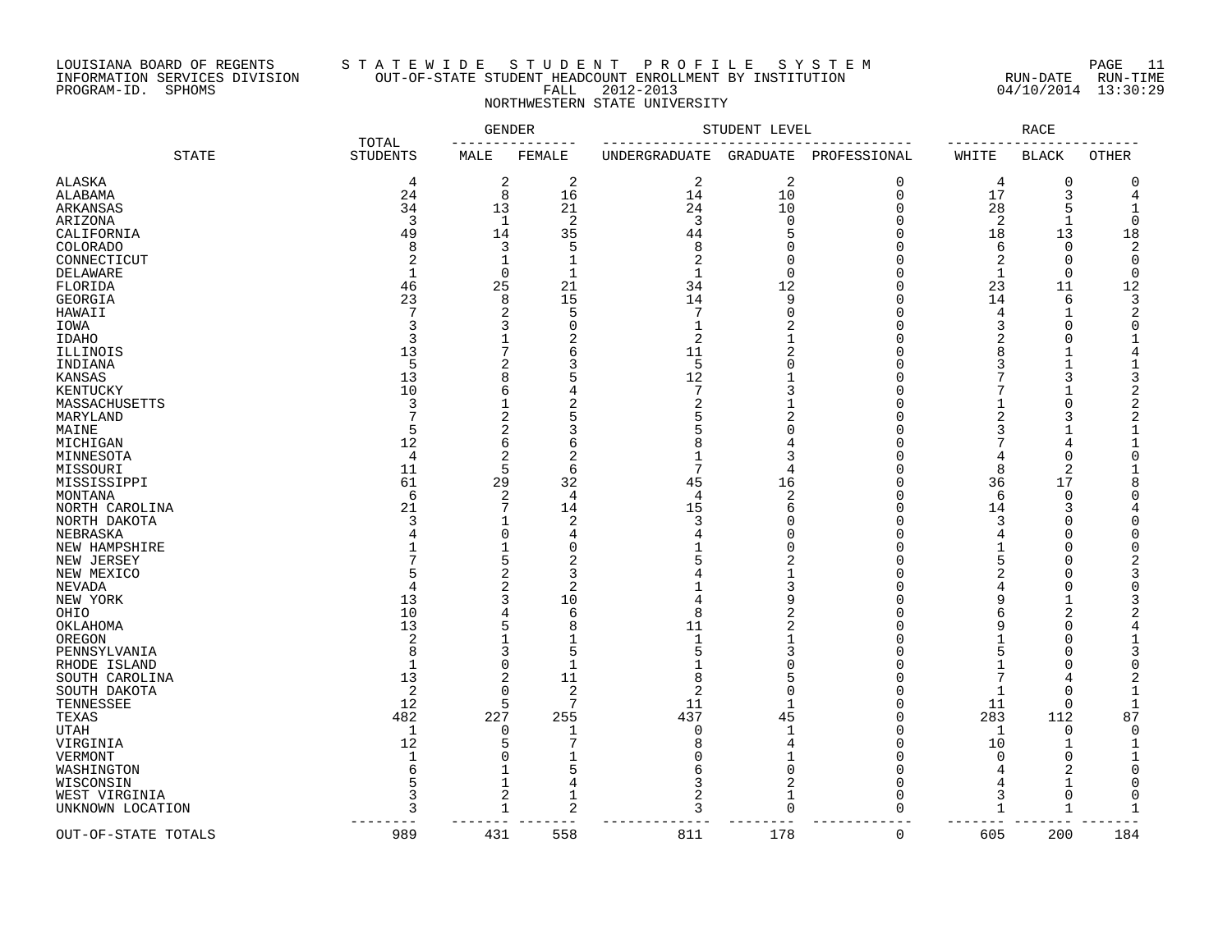### LOUISIANA BOARD OF REGENTS S T A T E W I D E S T U D E N T P R O F I L E S Y S T E M PAGE 11 INFORMATION SERVICES DIVISION OUT-OF-STATE STUDENT HEADCOUNT ENROLLMENT BY INSTITUTION RUN-DATE RUN-TIME PROGRAM-ID. SPHOMS FALL 2012-2013 04/10/2014 13:30:29 NORTHWESTERN STATE UNIVERSITY

|                     |                          | <b>GENDER</b>           |                | STUDENT LEVEL  |                | <b>RACE</b>  |                |                |                |
|---------------------|--------------------------|-------------------------|----------------|----------------|----------------|--------------|----------------|----------------|----------------|
| <b>STATE</b>        | TOTAL<br><b>STUDENTS</b> | MALE                    | FEMALE         | UNDERGRADUATE  | GRADUATE       | PROFESSIONAL | WHITE          | <b>BLACK</b>   | OTHER          |
| <b>ALASKA</b>       | 4                        | $\overline{\mathbf{c}}$ | $\overline{2}$ | $\sqrt{2}$     | $\overline{2}$ | 0            | 4              | $\mathbf 0$    | $\Omega$       |
| ALABAMA             | 24                       | $\,8\,$                 | 16             | 14             | 10             | $\mathbf 0$  | 17             | 3              | 4              |
| ARKANSAS            | 34                       | 13                      | 21             | 24             | 10             | $\Omega$     | 28             | 5              | $\mathbf{1}$   |
| ARIZONA             | 3                        | $\mathbf{1}$            | 2              | 3              | $\Omega$       | $\Omega$     | 2              | $\mathbf{1}$   | $\Omega$       |
| CALIFORNIA          | 49                       | 14                      | 35             | 44             | 5              | 0            | 18             | 13             | 18             |
| <b>COLORADO</b>     | 8                        | 3                       | 5              | 8              | O              | ∩            | 6              | $\Omega$       | 2              |
| CONNECTICUT         | 2                        | $\mathbf{1}$            | -1             | $\overline{2}$ | $\Omega$       | O            | 2              | $\Omega$       | $\Omega$       |
| DELAWARE            |                          | $\mathbf 0$             | $\mathbf{1}$   | 1              | $\Omega$       | 0            | $\mathbf{1}$   | $\Omega$       | $\Omega$       |
| FLORIDA             | 46                       | 25                      | 21             | 34             | 12             | ∩            | 23             | 11             | 12             |
| GEORGIA             | 23                       | 8                       | 15             | 14             | 9              | U            | 14             | 6              | 3              |
| HAWAII              | 7                        | 2                       | 5              | 7              | $\mathbf 0$    | O            | 4              | 1              | 2              |
| IOWA                | 3                        | 3                       | ∩              | 1              | 2              | U            | 3              | ∩              | $\Omega$       |
| IDAHO               | २                        |                         | 2              | 2              |                | U            | 2              | U              |                |
| ILLINOIS            | 13                       | 7                       | 6              | 11             | 2              | O            | 8              |                |                |
|                     | 5                        |                         | κ              | 5              | $\cap$         | O            | 3              |                |                |
| INDIANA             |                          | 2<br>8                  |                | 12             |                | ∩            |                |                |                |
| KANSAS              | 13                       |                         |                | 7              |                |              |                |                | $\mathcal{D}$  |
| KENTUCKY            | 10                       | 6                       |                |                | 3              | O            |                | 1              |                |
| MASSACHUSETTS       | 3                        |                         | 2              | 2              |                | O            |                | $\Omega$       | $\overline{2}$ |
| MARYLAND            |                          | $\overline{2}$          |                | 5              | 2              | U            | 2              |                | $\overline{2}$ |
| MAINE               | 5                        | $\overline{2}$          | 3              | 5              | U              | Ω            | 3              |                |                |
| MICHIGAN            | 12                       | 6                       | 6              | 8              |                | O            |                | 4              | 1              |
| MINNESOTA           | 4                        | 2                       | 2              | 1              | 3              | U            | $\overline{4}$ | O              | $\Omega$       |
| MISSOURI            | 11                       | 5                       | 6              | 7              | 4              | Ω            | 8              | 2              |                |
| MISSISSIPPI         | 61                       | 29                      | 32             | 45             | 16             | O            | 36             | 17             | 8              |
| MONTANA             | 6                        | $\overline{2}$          | 4              | 4              | $\overline{c}$ | Ω            | 6              | $\Omega$       | ∩              |
| NORTH CAROLINA      | 21                       | 7                       | 14             | 15             | 6              | U            | 14             | 3              |                |
| NORTH DAKOTA        | 3                        | $\mathbf{1}$            | 2              | 3              | U              | 0            | 3              | O              | ∩              |
| NEBRASKA            | 4                        | $\Omega$                | 4              | 4              | U              | U            | 4              | O              | ∩              |
| NEW HAMPSHIRE       |                          | $\mathbf{1}$            | $\Omega$       |                | U              | U            | -1             | U              | ∩              |
| NEW JERSEY          |                          | 5                       | $\overline{2}$ | 5              | 2              | U            | 5              | U              |                |
| NEW MEXICO          | 5                        | $\overline{2}$          | 3              | 4              | $\mathbf 1$    | U            | 2              | U              | 3              |
| NEVADA              | 4                        | 2                       | 2              |                | 3              | U            | 4              | U              | $\Omega$       |
| NEW YORK            | 13                       | 3                       | 10             | 4              | 9              | O            | 9              |                |                |
| OHIO                | 10                       | 4                       | 6              | 8              | 2              | U            | 6              | $\overline{2}$ |                |
| OKLAHOMA            | 13                       | 5                       | 8              | 11             | $\mathfrak{D}$ | Ω            | 9              | U              | 4              |
| OREGON              | $\overline{2}$           |                         |                | 1              |                | Ω            |                |                |                |
| PENNSYLVANIA        | 8                        | 3                       | 5              | 5              | 3              | U            | 5              |                |                |
| RHODE ISLAND        | $\mathbf 1$              | $\Omega$                | $\mathbf{1}$   | 1              | U              | U            | $\mathbf{1}$   |                | ∩              |
| SOUTH CAROLINA      | 13                       | 2                       | 11             | 8              | 5              | U            | 7              |                |                |
| SOUTH DAKOTA        | 2                        | $\Omega$                | 2              | 2              | $\Omega$       | 0            | $\mathbf 1$    | $\Omega$       |                |
| TENNESSEE           | 12                       | 5                       | 7              | 11             | -1             | ∩            | 11             | ∩              |                |
| TEXAS               | 482                      | 227                     | 255            | 437            | 45             | O            | 283            | 112            | 87             |
| <b>UTAH</b>         | 1                        | $\Omega$                |                | $\mathbf 0$    | $\mathbf{1}$   | 0            | $\mathbf{1}$   | $\Omega$       | $\Omega$       |
| VIRGINIA            | 12                       | 5                       |                | 8              | 4              | ∩            | 10             | -1             |                |
| VERMONT             | $\mathbf{1}$             | O                       |                | O              | $\mathbf 1$    | O            | $\cap$         | $\Omega$       | 1              |
| WASHINGTON          | 6                        |                         |                | б              | $\Omega$       | O            |                | 2              | $\Omega$       |
| WISCONSIN           |                          |                         |                | 3              | 2              | Λ            | $\overline{4}$ |                | $\Omega$       |
|                     | 3                        | $\overline{2}$          | 1              | 2              | $\mathbf{1}$   | Ω            | 3              | $\Omega$       | $\Omega$       |
| WEST VIRGINIA       | 3                        | $\mathbf{1}$            | $\overline{2}$ | 3              | $\Omega$       | $\Omega$     | $\mathbf{1}$   | $\mathbf{1}$   |                |
| UNKNOWN LOCATION    |                          |                         |                |                |                |              |                |                |                |
| OUT-OF-STATE TOTALS | 989                      | 431                     | 558            | 811            | 178            | $\mathbf 0$  | 605            | 200            | 184            |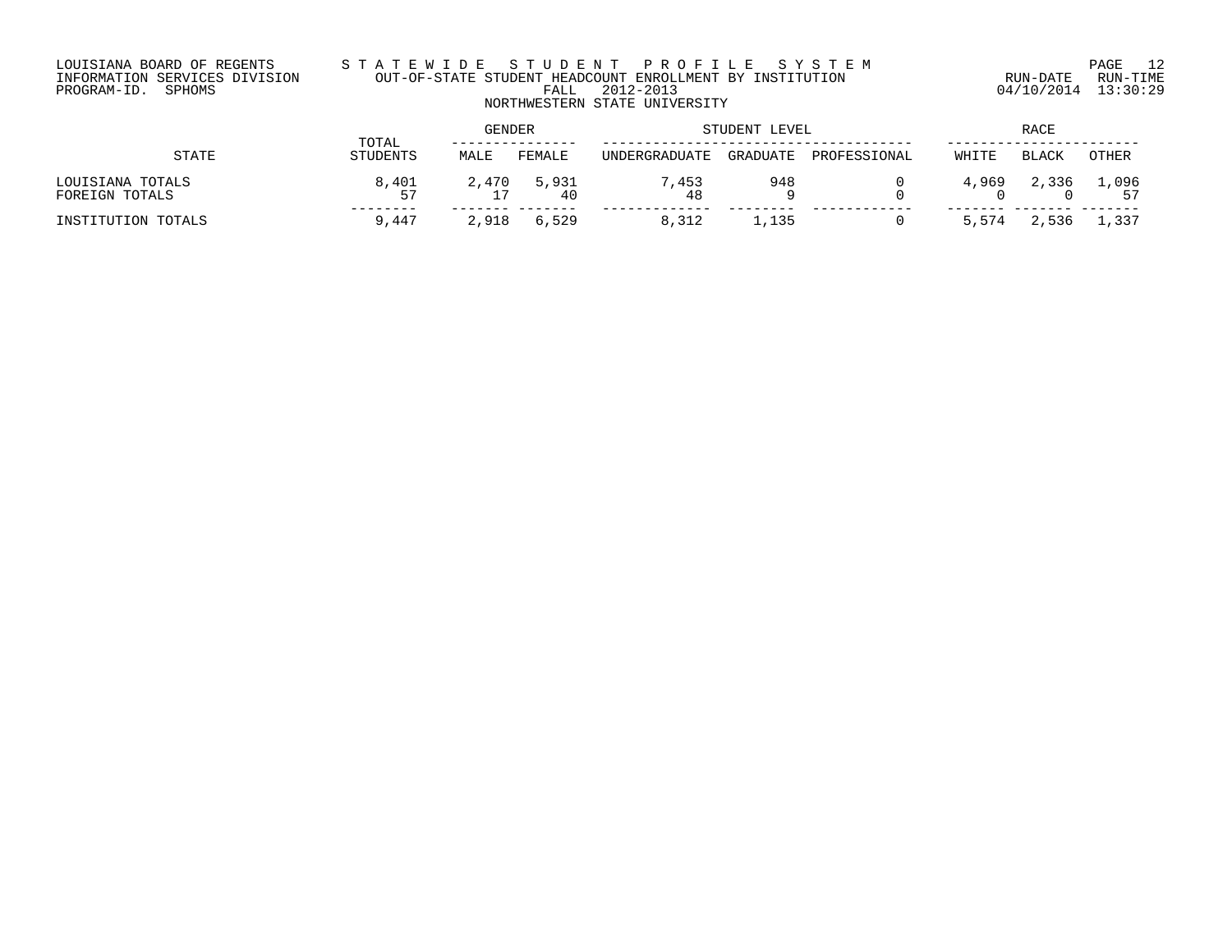## LOUISIANA BOARD OF REGENTS S T A T E W I D E S T U D E N T P R O F I L E S Y S T E M PAGE 12 INFORMATION SERVICES DIVISION OUT-OF-STATE STUDENT HEADCOUNT ENROLLMENT BY INSTITUTION RUN-DATE RUN-TIME PROGRAM-ID. SPHOMS FALL 2012-2013 04/10/2014 13:30:29 NORTHWESTERN STATE UNIVERSITY

|                                    | TOTAL       | GENDER |                   | STUDENT LEVEL          | RACE     |              |       |       |                   |
|------------------------------------|-------------|--------|-------------------|------------------------|----------|--------------|-------|-------|-------------------|
| STATE                              | STUDENTS    | MALE   | FEMALE            | <b>IINDERGRADIJATE</b> | GRADUATE | PROFESSIONAL | WHITE | BLACK | OTHER             |
| LOUISIANA TOTALS<br>FOREIGN TOTALS | 8,401<br>57 |        | 2,470 5,931<br>40 | 7,453<br>48            | 948      |              | 4,969 |       | 2,336 1,096<br>57 |
| INSTITUTION TOTALS                 | 9,447       | 2,918  | 6,529             | 8,312                  | ⊥,135    |              | 5,574 | 2,536 | 1,337             |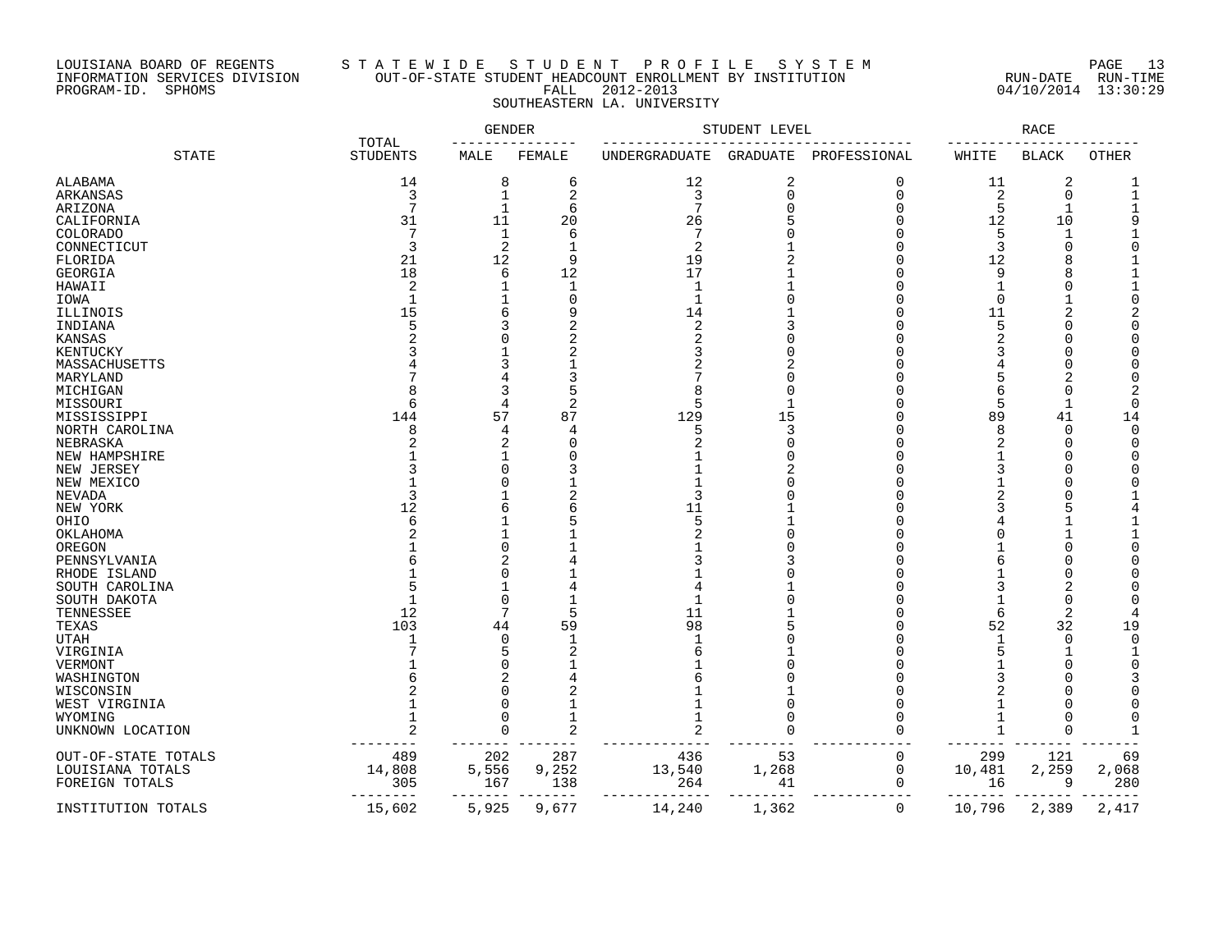### LOUISIANA BOARD OF REGENTS S T A T E W I D E S T U D E N T P R O F I L E S Y S T E M PAGE 13 INFORMATION SERVICES DIVISION OUT-OF-STATE STUDENT HEADCOUNT ENROLLMENT BY INSTITUTION RUN-DATE RUN-TIME PROGRAM-ID. SPHOMS FALL 2012-2013 04/10/2014 13:30:29 SOUTHEASTERN LA. UNIVERSITY

|                     |                          | <b>GENDER</b>  |                |               | STUDENT LEVEL   |              |                | <b>RACE</b>  |              |
|---------------------|--------------------------|----------------|----------------|---------------|-----------------|--------------|----------------|--------------|--------------|
| <b>STATE</b>        | TOTAL<br><b>STUDENTS</b> | MALE           | FEMALE         | UNDERGRADUATE | <b>GRADUATE</b> | PROFESSIONAL | WHITE          | <b>BLACK</b> | <b>OTHER</b> |
| ALABAMA             | 14                       | 8              | 6              | 12            | $\overline{2}$  | 0            | 11             | 2            |              |
| ARKANSAS            | 3                        | 1              | 2              | 3             | $\mathbf 0$     | $\Omega$     | $\overline{2}$ | $\mathbf 0$  |              |
| ARIZONA             | 7                        | $\mathbf 1$    | 6              | 7             | 0               | 0            | 5              |              |              |
| CALIFORNIA          | 31                       | 11             | 20             | 26            | 5               | ∩            | 12             | 10           | q            |
| <b>COLORADO</b>     | 7                        | $\mathbf{1}$   | 6              | 7             |                 | U            | 5              | $\mathbf{1}$ |              |
| CONNECTICUT         | 3                        | 2              |                | 2             |                 | U            | 3              |              |              |
| FLORIDA             | 21                       | 12             | 9              | 19            |                 | U            | 12             |              |              |
| GEORGIA             | 18                       | 6              | 12             | 17            |                 | U            | 9              |              |              |
| HAWAII              | $\overline{2}$           | 1              | 1              | -1            |                 |              | $\mathbf 1$    |              |              |
|                     | $\mathbf{1}$             | $\mathbf{1}$   | $\Omega$       | $\mathbf{1}$  |                 |              |                |              |              |
| IOWA                |                          |                |                |               |                 |              | $\mathbf 0$    |              |              |
| ILLINOIS            | 15                       | 6              |                | 14            |                 | U            | 11             | 2            |              |
| INDIANA             | 5                        | 3              |                | 2             |                 |              | 5              |              |              |
| <b>KANSAS</b>       |                          | $\Omega$       | $\overline{2}$ | 2             |                 |              | $\overline{2}$ |              |              |
| KENTUCKY            |                          |                |                |               | ∩               |              |                |              |              |
| MASSACHUSETTS       |                          | 3              |                |               |                 |              |                |              |              |
| MARYLAND            |                          | 4              | 3              |               | $\Omega$        | U            | 5              | 2            |              |
| MICHIGAN            |                          | 3              |                |               | $\Omega$        |              | 6              |              |              |
| MISSOURI            | 6                        | 4              | 2              | 5             |                 |              | 5              | $\mathbf{1}$ | ∩            |
| MISSISSIPPI         | 144                      | 57             | 87             | 129           | 15              |              | 89             | 41           | 14           |
| NORTH CAROLINA      | 8                        | 4              | 4              | 5             | 3               | Λ            | 8              | $\Omega$     | ∩            |
| NEBRASKA            |                          | $\overline{2}$ | $\sqrt{ }$     |               | $\Omega$        |              | 2              |              |              |
| NEW HAMPSHIRE       |                          | 1              | C              |               | $\Omega$        |              |                |              |              |
| NEW JERSEY          |                          | $\Omega$       |                |               |                 |              | 3              |              |              |
| NEW MEXICO          |                          | $\Omega$       |                |               | ∩               |              |                |              |              |
| NEVADA              | 3                        |                |                | 3             | O               |              |                |              |              |
| NEW YORK            | 12                       | 6              |                | 11            |                 |              |                |              |              |
| OHIO                | 6                        | 1              |                | 5             |                 |              |                |              |              |
| OKLAHOMA            |                          |                |                |               | $\Omega$        |              | $\Omega$       |              |              |
| OREGON              |                          | $\Omega$       |                |               |                 |              |                |              |              |
|                     |                          |                |                |               |                 |              |                |              |              |
| PENNSYLVANIA        |                          | $\overline{2}$ |                |               |                 | U            | 6              |              |              |
| RHODE ISLAND        |                          | U              |                |               |                 |              |                |              |              |
| SOUTH CAROLINA      |                          | 1              |                |               |                 |              | 3              | 2            |              |
| SOUTH DAKOTA        |                          | 0              |                |               | $\Omega$        | U            |                | $\Omega$     |              |
| TENNESSEE           | 12                       | 7              | 5              | 11            |                 |              | 6              | 2            |              |
| TEXAS               | 103                      | 44             | 59             | 98            |                 | O            | 52             | 32           | 19           |
| <b>UTAH</b>         |                          | $\Omega$       |                |               |                 |              |                | $\Omega$     | $\Omega$     |
| VIRGINIA            |                          | 5              | $\overline{2}$ |               |                 |              | 5              |              |              |
| VERMONT             |                          | 0              |                |               | ∩               | U            |                |              |              |
| WASHINGTON          |                          | 2              |                |               |                 |              |                |              |              |
| WISCONSIN           |                          | $\Omega$       |                |               |                 |              |                |              |              |
| WEST VIRGINIA       |                          | 0              |                |               | $\Omega$        |              |                |              |              |
| WYOMING             | -1                       | $\Omega$       |                |               | ∩               |              | $\mathbf 1$    |              | ∩            |
| UNKNOWN LOCATION    | $\mathcal{D}$            | $\Omega$       | $\overline{c}$ | 2             | $\Omega$        | O            | $\mathbf{1}$   |              |              |
| OUT-OF-STATE TOTALS | 489                      | 202            | 287            | 436           | 53              | 0            | 299            | 121          | 69           |
| LOUISIANA TOTALS    | 14,808                   | 5,556          | 9,252          | 13,540        | 1,268           | 0            | 10,481         | 2,259        | 2,068        |
| FOREIGN TOTALS      | 305                      | 167            | 138            | 264           | 41              | 0            | 16             | 9            | 280          |
| INSTITUTION TOTALS  | 15,602                   | 5,925          | 9,677          | 14,240        | 1,362           | 0            | 10,796         | 2,389        | 2,417        |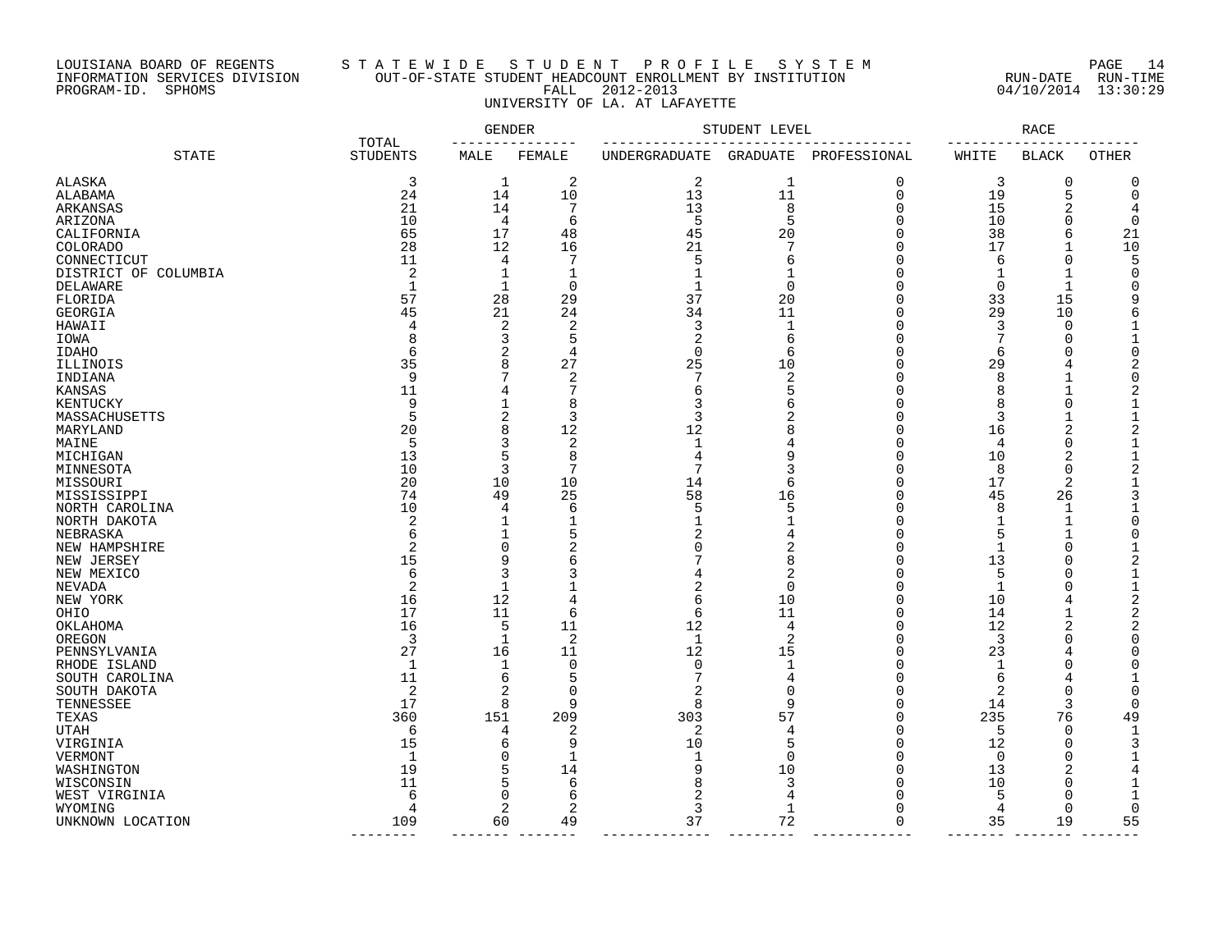# LOUISIANA BOARD OF REGENTS S T A T E W I D E S T U D E N T P R O F I L E S Y S T E M PAGE 14 INFORMATION SERVICES DIVISION OUT-OF-STATE STUDENT HEADCOUNT ENROLLMENT BY INSTITUTION RUN-DATE RUN-TIME PROGRAM-ID. SPHOMS FALL 2012-2013 04/10/2014 13:30:29 UNIVERSITY OF LA. AT LAFAYETTE

|                      |                          | <b>GENDER</b> |                |               | STUDENT LEVEL       |                      |              | <b>RACE</b>        |                |
|----------------------|--------------------------|---------------|----------------|---------------|---------------------|----------------------|--------------|--------------------|----------------|
| <b>STATE</b>         | TOTAL<br><b>STUDENTS</b> | MALE          | FEMALE         | UNDERGRADUATE | GRADUATE            | PROFESSIONAL         | WHITE        | <b>BLACK</b>       | OTHER          |
| ALASKA               | 3                        | 1             | 2              | 2             | $\mathbf 1$         | 0                    | 3            | 0                  | 0              |
| ALABAMA              | 24                       | 14            | 10             | 13            | 11                  | 0                    | 19           | 5                  | $\Omega$       |
| ARKANSAS             | 21                       | 14            | 7              | 13            | 8                   | $\Omega$             | 15           | 2                  | 4              |
| ARIZONA              | 10                       | 4             | 6              | 5             | 5                   | 0                    | 10           | $\Omega$           | $\Omega$       |
| CALIFORNIA           | 65                       | 17            | 48             | 45            | 20                  | $\Omega$             | 38           | 6                  | 21             |
| COLORADO             | 28                       | 12            | 16             | 21            | 7                   | 0                    | 17           |                    | 10             |
| CONNECTICUT          | 11                       | 4             |                | 5             | 6                   | ∩                    | 6            | $\Omega$           | 5              |
| DISTRICT OF COLUMBIA | 2                        | 1             | 1              | $\mathbf{1}$  | $\mathbf{1}$        | $\Omega$             | $\mathbf{1}$ |                    | $\Omega$       |
| DELAWARE             | $\mathbf{1}$             | $\mathbf{1}$  | $\Omega$       | $\mathbf{1}$  | $\mathbf 0$         | $\Omega$             | $\Omega$     | -1                 | n              |
| FLORIDA              | 57                       | 28            | 29             | 37            | 20                  | ∩                    | 33           | 15                 | 9              |
| GEORGIA              | 45                       | 21            | 24             | 34            | 11                  | ∩                    | 29           | 10                 | 6              |
| HAWAII               | 4                        | 2             | $\overline{2}$ | 3             | 1                   | $\Omega$             | 3            | $\Omega$           | 1              |
| IOWA                 | 8                        | 3             | 5              | 2             | 6                   | ∩                    | 7            | $\sqrt{ }$         | 1              |
| <b>IDAHO</b>         | 6                        | 2             | 4              | $\mathbf 0$   | 6                   | ∩                    | 6            | $\sqrt{ }$         | $\Omega$       |
| ILLINOIS             | 35                       | 8             | 27             | 25            | 10                  | ∩                    | 29           | 4                  | 2              |
| INDIANA              | 9                        | 7             | $\overline{2}$ | 7             | $\overline{2}$      | $\Omega$             | 8            |                    | $\Omega$       |
| KANSAS               | 11                       | 4             | 7              | 6             | 5                   | ∩                    | 8            |                    | 2              |
| KENTUCKY             | 9                        | 1             | 8              | 3             | 6                   | ∩                    | 8            | $\sqrt{ }$         | 1              |
| MASSACHUSETTS        | 5                        | 2             | 3              | 3             | 2                   | $\Omega$             | 3            |                    | $\mathbf{1}$   |
| MARYLAND             | 20                       | 8             | 12             | 12            | 8                   | $\Omega$             | 16           | 2                  | 2              |
| MAINE                | 5                        | 3             | 2              | 1             |                     | ∩                    | 4            | $\Omega$           | 1              |
| MICHIGAN             | 13                       | 5             | 8              | 4             | 9                   | $\Omega$             | 10           | 2                  | $\mathbf{1}$   |
|                      | 10                       | 3             | 7              | 7             | 3                   | $\Omega$             | 8            | $\Omega$           | $\overline{2}$ |
| MINNESOTA            | 20                       | 10            | 10             | 14            | 6                   | $\Omega$             | 17           | 2                  | 1              |
| MISSOURI             |                          |               |                | 58            |                     | $\Omega$             |              |                    |                |
| MISSISSIPPI          | 74<br>10                 | 49<br>4       | 25<br>6        | 5             | 16<br>5             | $\Omega$             | 45<br>8      | 26                 |                |
| NORTH CAROLINA       | 2                        | 1             | 1              | $\mathbf 1$   | $\mathbf{1}$        | $\Omega$             |              | $\mathbf{1}$       | ∩              |
| NORTH DAKOTA         | 6                        | 1             | 5              |               |                     | $\Omega$             | 1<br>5       | $\mathbf{1}$       | $\Omega$       |
| NEBRASKA             | $\overline{c}$           | $\Omega$      | $\overline{2}$ | Λ             | 4                   | ∩                    |              | $\Omega$           | 1              |
| NEW HAMPSHIRE        |                          |               |                |               | 2                   | $\Omega$             | 1            |                    |                |
| NEW JERSEY           | 15                       | 9<br>3        | 6              |               | 8<br>$\overline{c}$ |                      | 13           | $\mathcal{C}$<br>C | 2<br>-1        |
| NEW MEXICO           | 6                        |               | 3              |               |                     | $\Omega$<br>$\Omega$ | 5            |                    |                |
| NEVADA               | 2                        | 1             |                | 2             | $\mathbf 0$         |                      | $\mathbf{1}$ | C                  | $\mathbf{1}$   |
| NEW YORK             | 16                       | 12            | 4              | 6             | 10                  | $\Omega$             | 10           | 4                  | $\overline{2}$ |
| OHIO                 | 17                       | 11            | 6              | 6             | 11                  | $\Omega$             | 14           |                    | $\overline{2}$ |
| OKLAHOMA             | 16                       | 5             | 11             | 12            | 4                   | $\Omega$             | 12           | 2                  | $\overline{a}$ |
| OREGON               | 3                        | 1             | 2              | 1             | 2                   | $\Omega$<br>$\Omega$ | 3            | $\Omega$           | $\Omega$       |
| PENNSYLVANIA         | 27                       | 16            | 11             | 12            | 15                  |                      | 23           | 4                  | U              |
| RHODE ISLAND         | 1                        | 1             | 0              | 0<br>7        | $\mathbf{1}$        | $\Omega$             | 1            | $\Omega$           | O              |
| SOUTH CAROLINA       | 11                       | 6             | 5              |               | 4                   | $\Omega$             | 6            | 4                  |                |
| SOUTH DAKOTA         | 2                        | 2             | $\Omega$       | 2             | $\Omega$            | $\Omega$             | 2            | $\Omega$           | U              |
| TENNESSEE            | 17                       | 8             | 9              | 8             | 9                   | $\Omega$             | 14           | 3                  | $\Omega$       |
| TEXAS                | 360                      | 151           | 209            | 303           | 57                  | $\Omega$             | 235          | 76                 | 49             |
| <b>UTAH</b>          | 6                        | 4             | 2              | 2             | 4                   | $\Omega$             | 5            | $\Omega$           | $\mathbf{1}$   |
| VIRGINIA             | 15                       | 6             | 9              | 10            | 5                   | $\Omega$             | 12           | 0                  | 3              |
| VERMONT              | $\mathbf{1}$             | $\Omega$      | $\mathbf{1}$   | -1            | $\Omega$            | $\Omega$             | $\Omega$     | $\cap$             |                |
| WASHINGTON           | 19                       | 5             | 14             | 9             | 10                  | $\Omega$             | 13           | 2                  | 4              |
| WISCONSIN            | 11                       | 5             | 6              |               | 3                   | $\Omega$             | 10           | $\Omega$           |                |
| WEST VIRGINIA        | 6                        | 0             | 6              |               | 4                   | ∩                    | 5            | $\Omega$           |                |
| WYOMING              | 4                        | 2             | 2              | 3             | $\mathbf{1}$        | ∩                    | 4            | $\mathbf 0$        | $\Omega$       |
| UNKNOWN LOCATION     | 109                      | 60            | 49             | 37            | 72                  | 0                    | 35           | 19                 | 55             |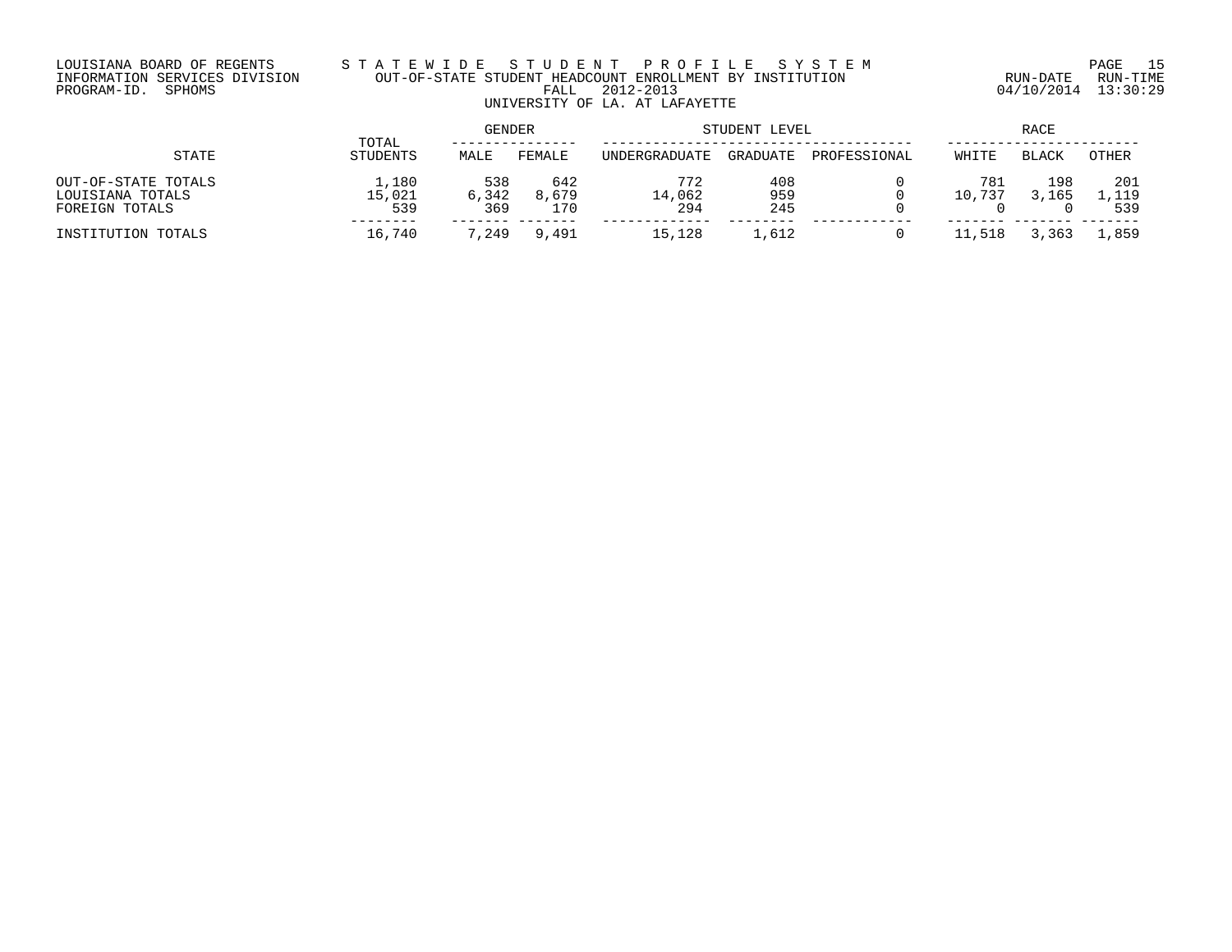# LOUISIANA BOARD OF REGENTS S T A T E W I D E S T U D E N T P R O F I L E S Y S T E M PAGE 15 INFORMATION SERVICES DIVISION OUT-OF-STATE STUDENT HEADCOUNT ENROLLMENT BY INSTITUTION RUN-DATE RUN-TIME PROGRAM-ID. SPHOMS FALL 2012-2013 04/10/2014 13:30:29 UNIVERSITY OF LA. AT LAFAYETTE

|                                                           | TOTAL                  | <b>GENDER</b>       |                     | STUDENT LEVEL        | RACE              |              |               |              |                       |
|-----------------------------------------------------------|------------------------|---------------------|---------------------|----------------------|-------------------|--------------|---------------|--------------|-----------------------|
| STATE                                                     | STUDENTS               | MALE                | FEMALE              | UNDERGRADUATE        | GRADUATE          | PROFESSIONAL | WHITE         | <b>BLACK</b> | OTHER                 |
| OUT-OF-STATE TOTALS<br>LOUISIANA TOTALS<br>FOREIGN TOTALS | 1,180<br>15,021<br>539 | 538<br>6,342<br>369 | 642<br>8,679<br>170 | 772<br>14,062<br>294 | 408<br>959<br>245 |              | 781<br>10,737 | 198<br>3,165 | 201<br>. . 119<br>539 |
| INSTITUTION TOTALS                                        | 16,740                 | 7,249               | 9,491               | 15,128               | 1,612             | 0            | .518          | , 363        | .,859                 |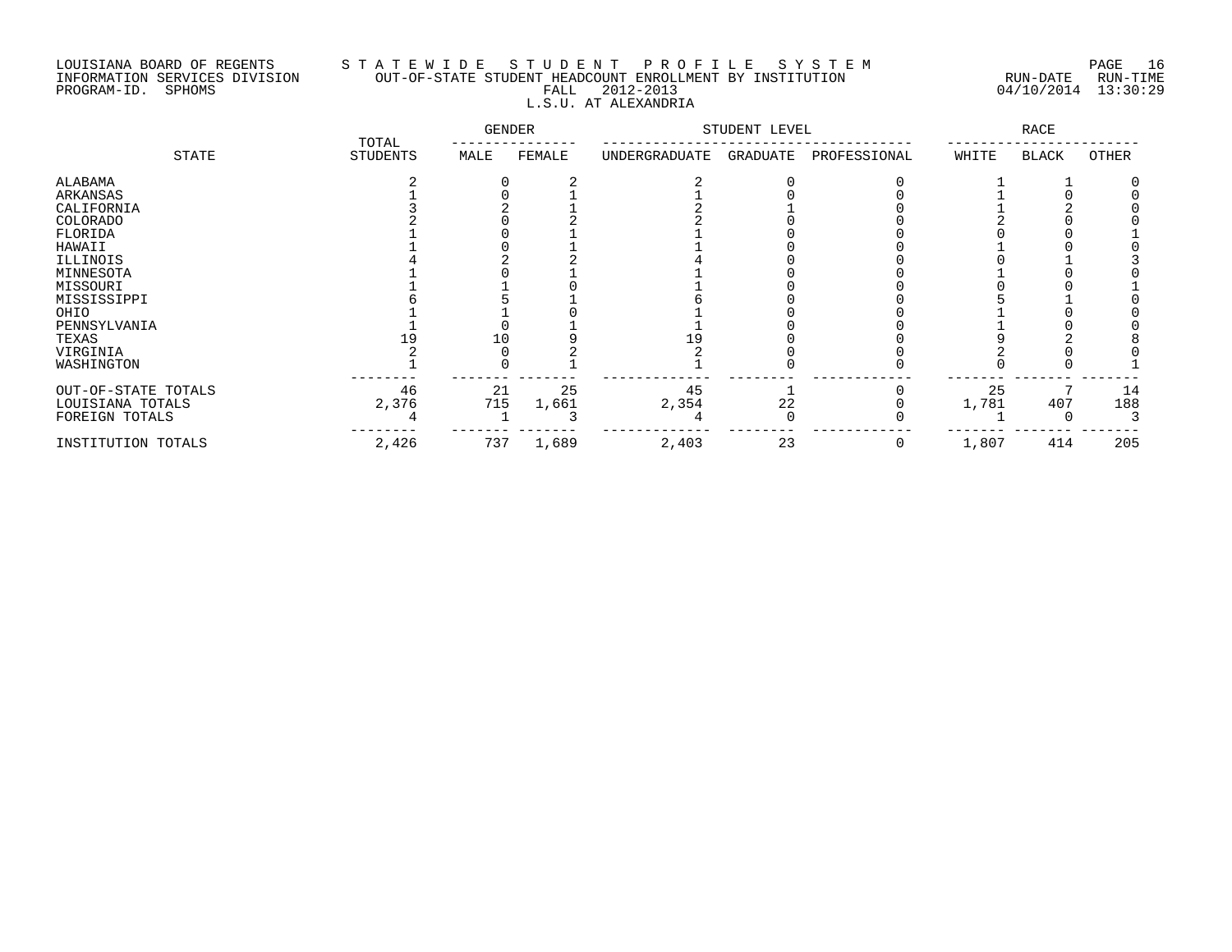# LOUISIANA BOARD OF REGENTS S T A T E W I D E S T U D E N T P R O F I L E S Y S T E M PAGE 16 INFORMATION SERVICES DIVISION OUT-OF-STATE STUDENT HEADCOUNT ENROLLMENT BY INSTITUTION RUN-DATE RUN-TIME PROGRAM-ID. SPHOMS FALL 2012-2013 04/10/2014 13:30:29 L.S.U. AT ALEXANDRIA

|                     | TOTAL    | GENDER |        | STUDENT LEVEL |          |              | RACE  |              |       |  |
|---------------------|----------|--------|--------|---------------|----------|--------------|-------|--------------|-------|--|
| STATE               | STUDENTS | MALE   | FEMALE | UNDERGRADUATE | GRADUATE | PROFESSIONAL | WHITE | <b>BLACK</b> | OTHER |  |
| ALABAMA             |          |        |        |               |          |              |       |              |       |  |
| ARKANSAS            |          |        |        |               |          |              |       |              |       |  |
| CALIFORNIA          |          |        |        |               |          |              |       |              |       |  |
| COLORADO            |          |        |        |               |          |              |       |              |       |  |
| FLORIDA             |          |        |        |               |          |              |       |              |       |  |
| HAWAII              |          |        |        |               |          |              |       |              |       |  |
| ILLINOIS            |          |        |        |               |          |              |       |              |       |  |
| MINNESOTA           |          |        |        |               |          |              |       |              |       |  |
| MISSOURI            |          |        |        |               |          |              |       |              |       |  |
| MISSISSIPPI         |          |        |        |               |          |              |       |              |       |  |
| OHIO                |          |        |        |               |          |              |       |              |       |  |
| PENNSYLVANIA        |          |        |        |               |          |              |       |              |       |  |
| TEXAS               |          | 10     |        |               |          |              |       |              |       |  |
| VIRGINIA            |          |        |        |               |          |              |       |              |       |  |
| WASHINGTON          |          |        |        |               |          |              |       |              |       |  |
| OUT-OF-STATE TOTALS | 46       | 21     | 25     | 45            |          |              | 25    |              | 14    |  |
| LOUISIANA TOTALS    | 2,376    | 715    | 1,661  | 2,354         | 22       |              | 1,781 | 407          | 188   |  |
| FOREIGN TOTALS      |          |        |        |               |          |              |       |              |       |  |
| INSTITUTION TOTALS  | 2,426    | 737    | 1,689  | 2,403         | 23       | 0            | 1,807 | 414          | 205   |  |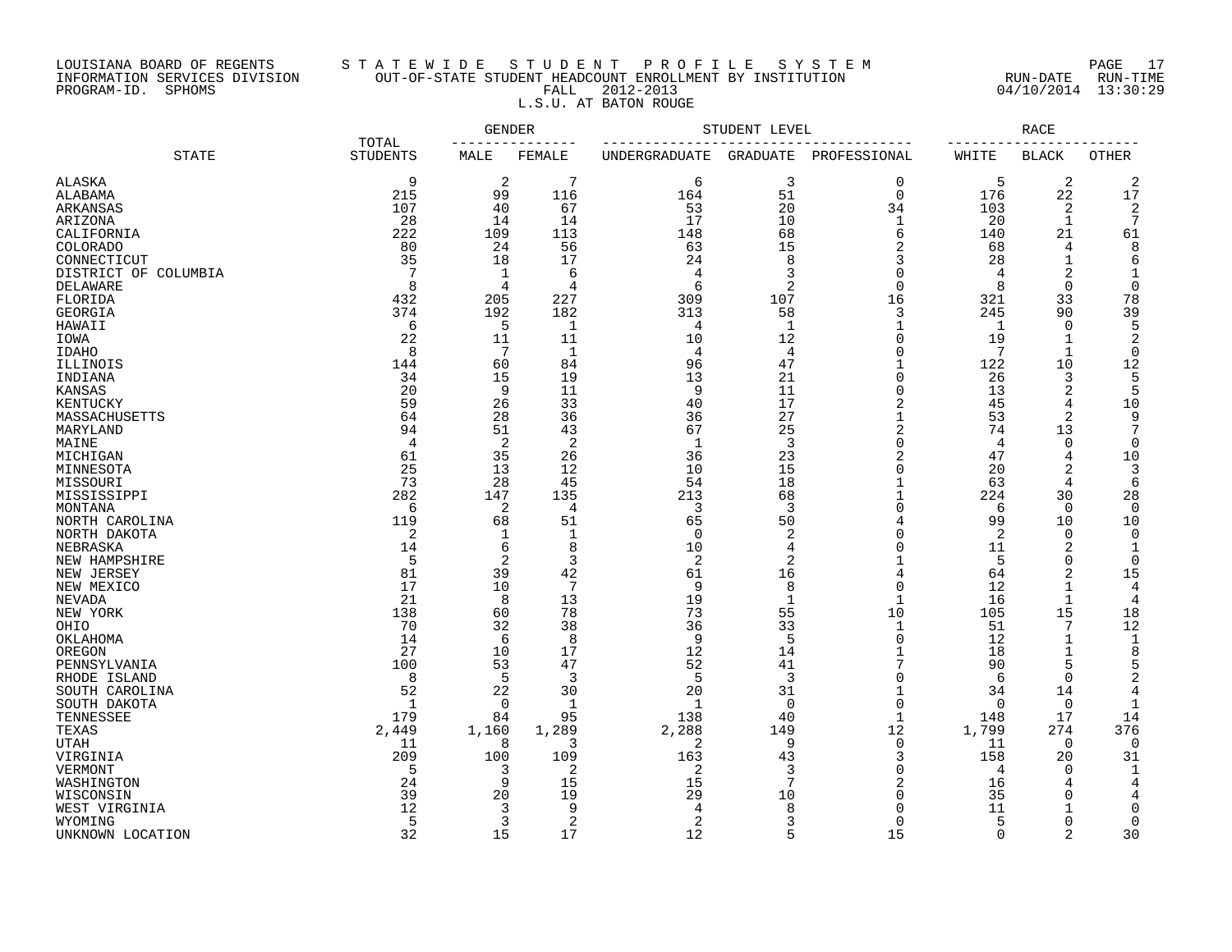# LOUISIANA BOARD OF REGENTS S T A T E W I D E S T U D E N T P R O F I L E S Y S T E M PAGE 17 INFORMATION SERVICES DIVISION OUT-OF-STATE STUDENT HEADCOUNT ENROLLMENT BY INSTITUTION RUN-DATE RUN-TIME PROGRAM-ID. SPHOMS FALL 2012-2013 04/10/2014 13:30:29 L.S.U. AT BATON ROUGE

|                      |                          | GENDER          |                |                | STUDENT LEVEL  |                          |                 | RACE           |                    |
|----------------------|--------------------------|-----------------|----------------|----------------|----------------|--------------------------|-----------------|----------------|--------------------|
| <b>STATE</b>         | TOTAL<br><b>STUDENTS</b> | MALE            | FEMALE         | UNDERGRADUATE  | GRADUATE       | PROFESSIONAL             | WHITE           | BLACK          | OTHER              |
| <b>ALASKA</b>        | 9                        | 2               | 7              | 6              | 3              | $\mathbf 0$              | 5               | 2              | 2                  |
| ALABAMA              | 215                      | 99              | 116            | 164            | 51             | $\mathbf 0$              | 176             | 22             | 17                 |
| ARKANSAS             | 107                      | 40              | 67             | 53             | 20             | 34                       | 103             | 2              | 2                  |
| ARIZONA              | 28                       | 14              | 14             | 17             | 10             | $\mathbf 1$              | 20              | 1              | 7                  |
| CALIFORNIA           | 222                      | 109             | 113            | 148            | 68             | 6                        | 140             | 21             | 61                 |
| <b>COLORADO</b>      | 80                       | 24              | 56             | 63             | 15             | $\overline{2}$           | 68              | 4              | 8                  |
| CONNECTICUT          | 35                       | 18              | 17             | 24             | 8              | 3                        | 28              | 1              | 6                  |
| DISTRICT OF COLUMBIA |                          | 1               | 6              | $\overline{4}$ | 3              | $\Omega$                 | 4               | 2              | $\mathbf{1}$       |
| DELAWARE             | 8                        | 4               | 4              | 6              | 2              | $\Omega$                 | 8               | 0              | $\Omega$           |
| FLORIDA              | 432                      | 205             | 227            | 309            | 107            | 16                       | 321             | 33             | 78                 |
| GEORGIA              | 374                      | 192             | 182            | 313            | 58             | 3                        | 245             | 90             | 39                 |
| HAWAII               | 6                        | 5               | 1              | 4              | 1              | $\mathbf{1}$             | $\mathbf{1}$    | $\overline{0}$ | 5                  |
| IOWA                 | 22                       | 11              | 11             | 10             | 12             | $\Omega$                 | 19              | 1              | $\overline{2}$     |
| IDAHO                | 8                        | $7\phantom{.0}$ | $\mathbf{1}$   | 4              | $\overline{4}$ | $\Omega$                 | 7               | $\mathbf{1}$   | $\Omega$           |
| ILLINOIS             | 144                      | 60              | 84             | 96             | 47             | $\mathbf{1}$             | 122             | 10             | 12                 |
| INDIANA              | 34                       | 15              | 19             | 13             | 21             | $\Omega$                 | 26              | 3              | 5                  |
| KANSAS               | 20                       | 9               | 11             | 9              | 11             | $\Omega$                 | 13              | $\overline{2}$ | 5                  |
| KENTUCKY             | 59                       | 26              | 33             | 40             | 17             | 2                        | 45              | 4              | 10                 |
| MASSACHUSETTS        | 64                       | 28              | 36             | 36             | 27             | $\mathbf{1}$             | 53              | 2              | 9                  |
| MARYLAND             | 94                       | 51              | 43             | 67             | 25             | $\overline{2}$           | 74              | 13             | 7                  |
| MAINE                | 4                        | 2               | $\overline{c}$ | 1              | 3              | $\Omega$                 | 4               | 0              | 0                  |
| MICHIGAN             | 61                       | 35              | 26             | 36             | 23             | $\overline{2}$           | 47              | $\overline{4}$ | 10                 |
| MINNESOTA            | 25                       | 13              | 12             | 10             | 15             | $\Omega$                 | 20              | $\overline{a}$ | 3                  |
| MISSOURI             | 73                       | 28              | 45             | 54             | 18             | $\mathbf{1}$             | 63              | 4              | 6                  |
| MISSISSIPPI          | 282                      | 147             | 135            | 213            | 68             |                          | 224             | 30             | 28                 |
| MONTANA              | 6                        | 2               | 4              | 3              | 3              | $\Omega$                 | 6               | 0              | $\Omega$           |
| NORTH CAROLINA       | 119                      | 68              | 51             | 65             | 50             | 4                        | 99              | 10             | 10                 |
| NORTH DAKOTA         | $\overline{2}$           | 1               | 1              | $\Omega$       | 2              | $\cap$                   | 2               | $\Omega$       | $\Omega$           |
| NEBRASKA             | 14                       | 6               | 8              | 10             | 4              | $\Omega$                 | 11              | 2              | 1                  |
| NEW HAMPSHIRE        | 5                        | 2               | 3              | 2              | 2              |                          | 5               | $\Omega$       | $\Omega$           |
| NEW JERSEY           | 81                       | 39              | 42             | 61             | 16             | 4                        | 64              | 2              | 15                 |
| NEW MEXICO           | 17                       | 10              | 7              | 9              | 8              | $\Omega$                 | 12              | $\mathbf{1}$   | 4                  |
| NEVADA               | 21                       | 8               | 13             | 19             | 1              | $\mathbf{1}$             | 16              | $\mathbf{1}$   | 4                  |
| NEW YORK             | 138                      | 60              | 78             | 73             | 55             | 10                       | 105             | 15             | 18                 |
| OHIO                 | 70                       | 32              | 38             | 36             | 33             | $\mathbf{1}$             | 51              | 7              | 12                 |
| OKLAHOMA             | 14                       | 6               | 8              | 9              | 5              | $\Omega$                 | 12              | $\mathbf{1}$   | $\mathbf 1$        |
| OREGON               | 27                       | 10              | 17             | 12             | 14             | 1<br>7                   | 18              | 1              | 8                  |
| PENNSYLVANIA         | 100                      | 53              | 47             | 52             | 41             |                          | 90              | 5              | 5                  |
| RHODE ISLAND         | 8                        | 5               | 3              | 5              | 3              | $\Omega$                 | 6               | $\Omega$       | $\overline{c}$     |
| SOUTH CAROLINA       | 52<br>$\mathbf 1$        | 22              | 30             | 20<br>-1       | 31             | $\mathbf{1}$<br>$\Omega$ | 34              | 14             | 4                  |
| SOUTH DAKOTA         | 179                      | $\Omega$<br>84  | 1<br>95        | 138            | $\Omega$<br>40 | $\mathbf{1}$             | $\Omega$<br>148 | $\Omega$<br>17 | $\mathbf{1}$<br>14 |
| TENNESSEE            |                          |                 |                |                |                | 12                       |                 | 274            | 376                |
| TEXAS                | 2,449<br>11              | 1,160<br>8      | 1,289<br>3     | 2,288<br>2     | 149<br>9       | $\mathbf 0$              | 1,799           | $\mathbf 0$    | $\Omega$           |
| UTAH                 | 209                      |                 | 109            | 163            |                | 3                        | 11              |                |                    |
| VIRGINIA<br>VERMONT  | 5                        | 100<br>3        | 2              | 2              | 43<br>3        | $\Omega$                 | 158<br>4        | 20<br>$\Omega$ | 31<br>1            |
| WASHINGTON           | 24                       | 9               | 15             | 15             | 7              | $\overline{c}$           | 16              |                | 4                  |
| WISCONSIN            | 39                       | 20              | 19             | 29             | 10             | $\Omega$                 | 35              | $\Omega$       | 4                  |
| WEST VIRGINIA        | 12                       | 3               | 9              |                | 8              | ∩                        | 11              |                | $\Omega$           |
| WYOMING              | 5                        | 3               | 2              | 2              | 3              | $\Omega$                 | 5               | $\Omega$       | 0                  |
| UNKNOWN LOCATION     | 32                       | 15              | 17             | 12             | 5              | 15                       | $\Omega$        | $\mathfrak{D}$ | 30                 |
|                      |                          |                 |                |                |                |                          |                 |                |                    |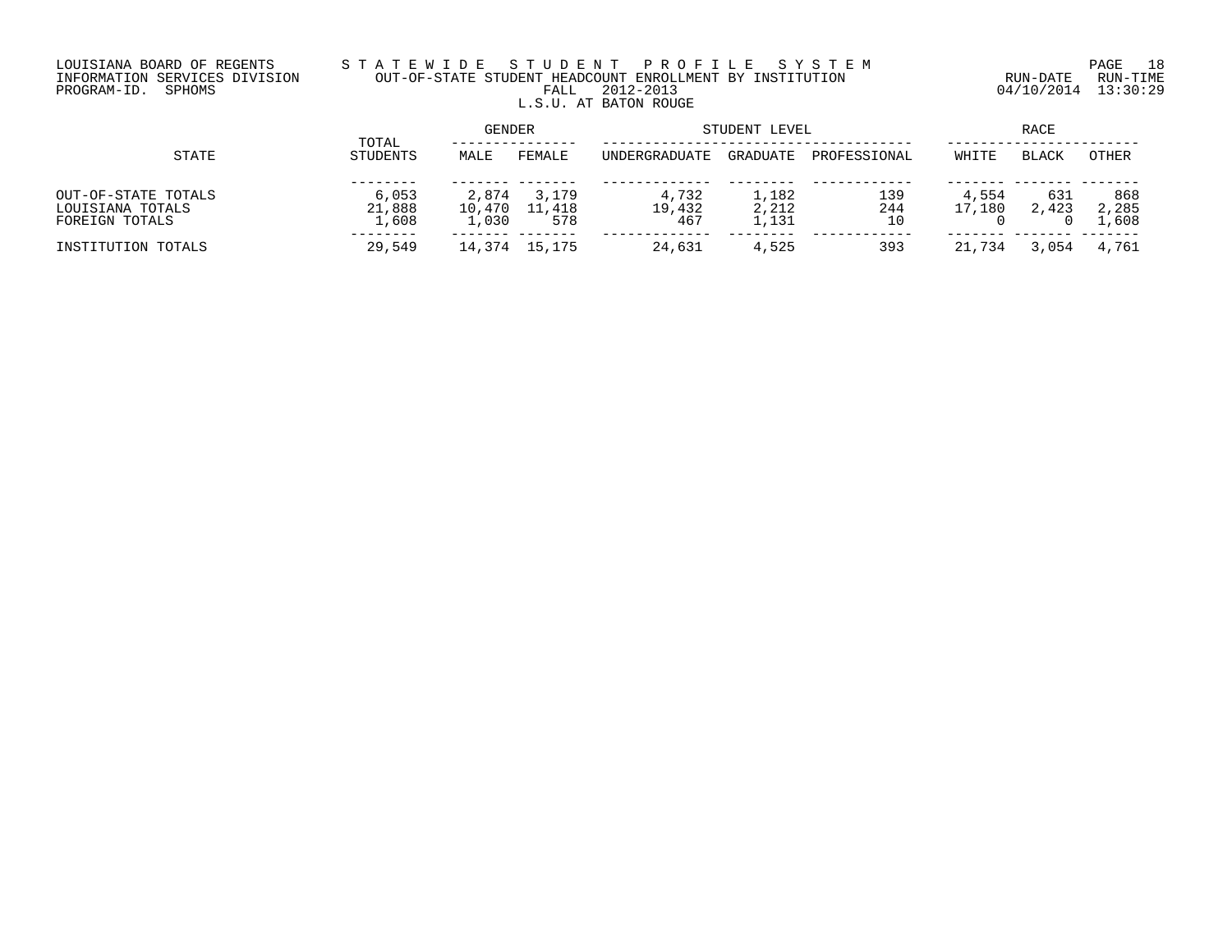# LOUISIANA BOARD OF REGENTS S T A T E W I D E S T U D E N T P R O F I L E S Y S T E M PAGE 18 INFORMATION SERVICES DIVISION OUT-OF-STATE STUDENT HEADCOUNT ENROLLMENT BY INSTITUTION RUN-DATE RUN-TIME PROGRAM-ID. SPHOMS FALL 2012-2013 04/10/2014 13:30:29 L.S.U. AT BATON ROUGE

|                                                           |                          | <b>GENDER</b>            |                        | STUDENT LEVEL          | RACE                    |                  |                 |              |                       |
|-----------------------------------------------------------|--------------------------|--------------------------|------------------------|------------------------|-------------------------|------------------|-----------------|--------------|-----------------------|
| STATE                                                     | TOTAL<br>STUDENTS        | MALE                     | FEMALE                 | <b>UNDERGRADUATE</b>   | <b>GRADUATE</b>         | PROFESSIONAL     | WHITE           | <b>BLACK</b> | <b>OTHER</b>          |
| OUT-OF-STATE TOTALS<br>LOUISIANA TOTALS<br>FOREIGN TOTALS | 6,053<br>21,888<br>1,608 | 2,874<br>10,470<br>1,030 | 3,179<br>11,418<br>578 | 4,732<br>19,432<br>467 | 1,182<br>2,212<br>1,131 | 139<br>244<br>10 | 4,554<br>17,180 | 631<br>2,423 | 868<br>2,285<br>1,608 |
| INSTITUTION TOTALS                                        | 29,549                   | 14,374                   | 15,175                 | 24,631                 | 4,525                   | 393              | 21,734          | .054         | 4,761                 |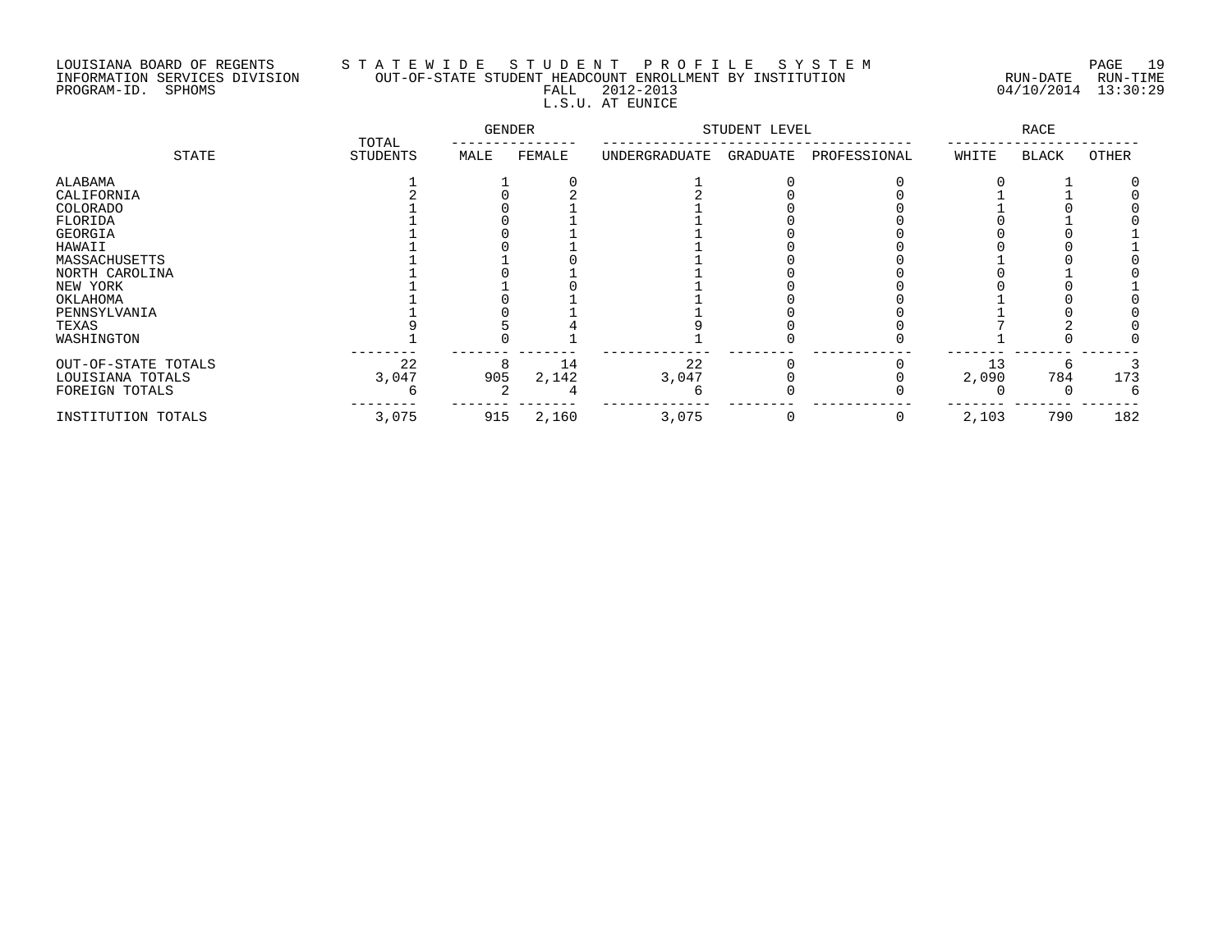# LOUISIANA BOARD OF REGENTS S T A T E W I D E S T U D E N T P R O F I L E S Y S T E M PAGE 19 INFORMATION SERVICES DIVISION OUT-OF-STATE STUDENT HEADCOUNT ENROLLMENT BY INSTITUTION RUN-DATE RUN-TIME PROGRAM-ID. SPHOMS FALL 2012-2013 04/10/2014 13:30:29 L.S.U. AT EUNICE

|                     | TOTAL<br><b>STUDENTS</b> | <b>GENDER</b> |        | STUDENT LEVEL |          |              | <b>RACE</b> |       |       |
|---------------------|--------------------------|---------------|--------|---------------|----------|--------------|-------------|-------|-------|
| STATE               |                          | MALE          | FEMALE | UNDERGRADUATE | GRADUATE | PROFESSIONAL | WHITE       | BLACK | OTHER |
| ALABAMA             |                          |               |        |               |          |              |             |       |       |
| CALIFORNIA          |                          |               |        |               |          |              |             |       |       |
| COLORADO            |                          |               |        |               |          |              |             |       |       |
| FLORIDA             |                          |               |        |               |          |              |             |       |       |
| GEORGIA             |                          |               |        |               |          |              |             |       |       |
| HAWAII              |                          |               |        |               |          |              |             |       |       |
| MASSACHUSETTS       |                          |               |        |               |          |              |             |       |       |
| NORTH CAROLINA      |                          |               |        |               |          |              |             |       |       |
| NEW YORK            |                          |               |        |               |          |              |             |       |       |
| OKLAHOMA            |                          |               |        |               |          |              |             |       |       |
| PENNSYLVANIA        |                          |               |        |               |          |              |             |       |       |
| TEXAS               |                          |               |        |               |          |              |             |       |       |
| WASHINGTON          |                          |               |        |               |          |              |             |       |       |
| OUT-OF-STATE TOTALS | 22                       |               | 14     | 22            |          |              | 13          |       |       |
| LOUISIANA TOTALS    | 3,047                    | 905           | 2,142  | 3,047         |          |              | 2,090       | 784   | 173   |
| FOREIGN TOTALS      |                          |               |        |               |          |              |             |       |       |
| INSTITUTION TOTALS  | 3,075                    | 915           | 2,160  | 3,075         | $\Omega$ |              | 2,103       | 790   | 182   |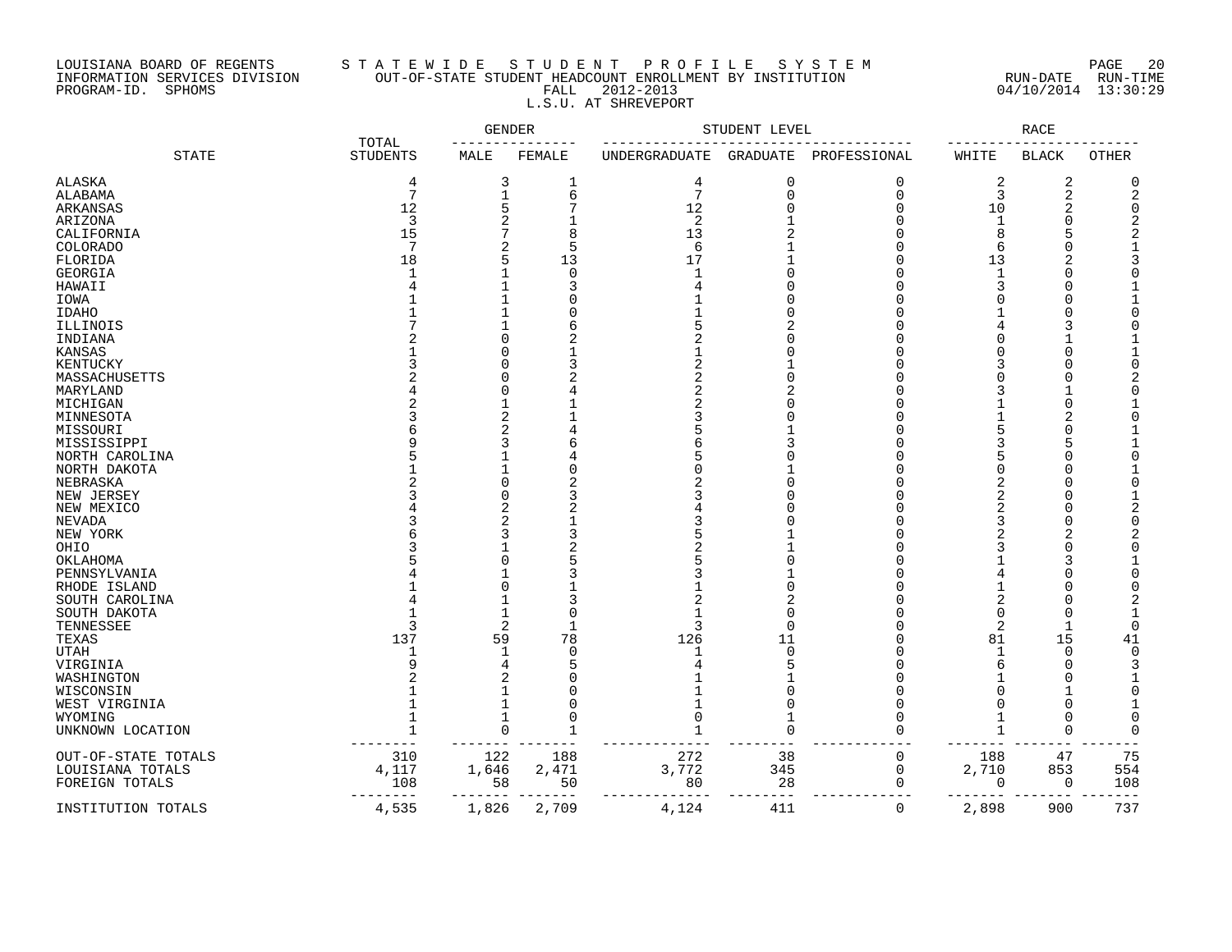# LOUISIANA BOARD OF REGENTS S T A T E W I D E S T U D E N T P R O F I L E S Y S T E M PAGE 20 INFORMATION SERVICES DIVISION OUT-OF-STATE STUDENT HEADCOUNT ENROLLMENT BY INSTITUTION RUN-DATE RUN-TIME PROGRAM-ID. SPHOMS FALL 2012-2013 04/10/2014 13:30:29 L.S.U. AT SHREVEPORT

| <b>STATE</b><br><b>STUDENTS</b><br>FEMALE<br>WHITE<br><b>BLACK</b><br><b>OTHER</b><br>MALE<br>UNDERGRADUATE<br>GRADUATE<br>PROFESSIONAL<br><b>ALASKA</b><br>3<br>4<br>0<br>2<br>2<br>$\overline{4}$<br>0<br>O<br>1<br>7<br>$7\phantom{.0}$<br>$\mathbf{1}$<br>6<br>$\mathbf 0$<br>3<br>$\overline{a}$<br>$\mathbf 0$<br>ALABAMA<br>12<br>5<br>12<br>$\Omega$<br>$\Omega$<br>10<br>$\overline{2}$<br>ARKANSAS<br>$\overline{a}$<br>3<br>2<br>ARIZONA<br>$\Omega$<br>$\Omega$<br>$\mathbf{1}$<br>7<br>15<br>8<br>13<br>8<br>CALIFORNIA<br>U<br>7<br>$\overline{2}$<br>5<br>6<br>O<br>6<br>COLORADO<br>5<br>17<br>FLORIDA<br>18<br>13<br>13<br>$\cap$<br>$\mathbf{1}$<br>$\Omega$<br><b>GEORGIA</b><br>O<br>$\mathbf{1}$<br>Ω<br>HAWAII<br>1<br>3<br>$\cap$<br>3<br>Ω<br>$\mathbf{1}$<br>IOWA<br>O<br>Ω<br>1<br>$\Omega$<br><b>IDAHO</b><br>C<br>1<br>6<br>Λ<br>$\Omega$<br>2<br>U<br>U<br>$\Omega$<br>$\cap$<br>Λ<br>∩<br>KENTUCKY<br>$\Omega$<br>3<br>3<br>MASSACHUSETTS<br>0<br>O<br>U<br>$\Omega$<br>MARYLAND<br>Λ<br>3<br>MICHIGAN<br>1<br>$\Omega$<br>U<br>Λ<br>$\overline{2}$<br>MINNESOTA<br>∩<br>Λ<br>$\overline{2}$<br>MISSOURI<br>∩<br>3<br>MISSISSIPPI<br>5<br>3<br>Ω<br>3<br>6<br>$\mathbf{1}$<br>NORTH CAROLINA<br>∩<br>1<br>U<br>NORTH DAKOTA<br>∩<br>$\Omega$<br>NEBRASKA<br>∩<br>∩<br>∩<br>$\Omega$<br>NEW JERSEY<br>NEW MEXICO<br>∩<br>∩<br>$\overline{2}$<br>NEVADA<br>3<br>NEW YORK<br>OHIO<br>OKLAHOMA<br>∩<br>5<br>PENNSYLVANIA<br>$\Omega$<br>U<br>1<br>2<br>1<br>$\Omega$<br>SOUTH DAKOTA<br>U<br>$\overline{2}$<br>TENNESSEE<br>3<br>3<br>$\Omega$<br>2<br>Λ<br>1<br>137<br>126<br>59<br>78<br>15<br>TEXAS<br>11<br>81<br>41<br>$\Omega$<br><b>UTAH</b><br>1<br>$\Omega$<br>$\Omega$<br>$\mathbf 1$<br>n<br>4<br>5<br>VIRGINIA<br>U<br>$\overline{2}$<br>WASHINGTON<br>C<br>1<br>O<br>WISCONSIN<br>C<br>$\Omega$<br>WEST VIRGINIA<br>1<br>$\Omega$<br>0<br>∩<br>1<br>WYOMING<br>0<br>1<br>O<br>$\Omega$<br>$\Omega$<br>$\mathbf{1}$<br>UNKNOWN LOCATION<br>U<br>O<br>∩<br>75<br>310<br>122<br>188<br>272<br>38<br>0<br>188<br>47<br>4,117<br>1,646<br>3,772<br>345<br>2,710<br>853<br>554<br>2,471<br>$\mathbf 0$<br>108<br>58<br>28<br>50<br>108<br>80<br>0<br>0<br>0 |                     | TOTAL | <b>GENDER</b> |       |       | STUDENT LEVEL |   |       | <b>RACE</b> |     |
|----------------------------------------------------------------------------------------------------------------------------------------------------------------------------------------------------------------------------------------------------------------------------------------------------------------------------------------------------------------------------------------------------------------------------------------------------------------------------------------------------------------------------------------------------------------------------------------------------------------------------------------------------------------------------------------------------------------------------------------------------------------------------------------------------------------------------------------------------------------------------------------------------------------------------------------------------------------------------------------------------------------------------------------------------------------------------------------------------------------------------------------------------------------------------------------------------------------------------------------------------------------------------------------------------------------------------------------------------------------------------------------------------------------------------------------------------------------------------------------------------------------------------------------------------------------------------------------------------------------------------------------------------------------------------------------------------------------------------------------------------------------------------------------------------------------------------------------------------------------------------------------------------------------------------------------------------------------------------------------------------------------------------------------------------------------------------------------------------------------------------------------------------------------------------------------------|---------------------|-------|---------------|-------|-------|---------------|---|-------|-------------|-----|
|                                                                                                                                                                                                                                                                                                                                                                                                                                                                                                                                                                                                                                                                                                                                                                                                                                                                                                                                                                                                                                                                                                                                                                                                                                                                                                                                                                                                                                                                                                                                                                                                                                                                                                                                                                                                                                                                                                                                                                                                                                                                                                                                                                                              |                     |       |               |       |       |               |   |       |             |     |
|                                                                                                                                                                                                                                                                                                                                                                                                                                                                                                                                                                                                                                                                                                                                                                                                                                                                                                                                                                                                                                                                                                                                                                                                                                                                                                                                                                                                                                                                                                                                                                                                                                                                                                                                                                                                                                                                                                                                                                                                                                                                                                                                                                                              |                     |       |               |       |       |               |   |       |             |     |
|                                                                                                                                                                                                                                                                                                                                                                                                                                                                                                                                                                                                                                                                                                                                                                                                                                                                                                                                                                                                                                                                                                                                                                                                                                                                                                                                                                                                                                                                                                                                                                                                                                                                                                                                                                                                                                                                                                                                                                                                                                                                                                                                                                                              |                     |       |               |       |       |               |   |       |             |     |
|                                                                                                                                                                                                                                                                                                                                                                                                                                                                                                                                                                                                                                                                                                                                                                                                                                                                                                                                                                                                                                                                                                                                                                                                                                                                                                                                                                                                                                                                                                                                                                                                                                                                                                                                                                                                                                                                                                                                                                                                                                                                                                                                                                                              |                     |       |               |       |       |               |   |       |             |     |
|                                                                                                                                                                                                                                                                                                                                                                                                                                                                                                                                                                                                                                                                                                                                                                                                                                                                                                                                                                                                                                                                                                                                                                                                                                                                                                                                                                                                                                                                                                                                                                                                                                                                                                                                                                                                                                                                                                                                                                                                                                                                                                                                                                                              |                     |       |               |       |       |               |   |       |             |     |
|                                                                                                                                                                                                                                                                                                                                                                                                                                                                                                                                                                                                                                                                                                                                                                                                                                                                                                                                                                                                                                                                                                                                                                                                                                                                                                                                                                                                                                                                                                                                                                                                                                                                                                                                                                                                                                                                                                                                                                                                                                                                                                                                                                                              |                     |       |               |       |       |               |   |       |             |     |
|                                                                                                                                                                                                                                                                                                                                                                                                                                                                                                                                                                                                                                                                                                                                                                                                                                                                                                                                                                                                                                                                                                                                                                                                                                                                                                                                                                                                                                                                                                                                                                                                                                                                                                                                                                                                                                                                                                                                                                                                                                                                                                                                                                                              |                     |       |               |       |       |               |   |       |             |     |
|                                                                                                                                                                                                                                                                                                                                                                                                                                                                                                                                                                                                                                                                                                                                                                                                                                                                                                                                                                                                                                                                                                                                                                                                                                                                                                                                                                                                                                                                                                                                                                                                                                                                                                                                                                                                                                                                                                                                                                                                                                                                                                                                                                                              |                     |       |               |       |       |               |   |       |             |     |
|                                                                                                                                                                                                                                                                                                                                                                                                                                                                                                                                                                                                                                                                                                                                                                                                                                                                                                                                                                                                                                                                                                                                                                                                                                                                                                                                                                                                                                                                                                                                                                                                                                                                                                                                                                                                                                                                                                                                                                                                                                                                                                                                                                                              |                     |       |               |       |       |               |   |       |             |     |
|                                                                                                                                                                                                                                                                                                                                                                                                                                                                                                                                                                                                                                                                                                                                                                                                                                                                                                                                                                                                                                                                                                                                                                                                                                                                                                                                                                                                                                                                                                                                                                                                                                                                                                                                                                                                                                                                                                                                                                                                                                                                                                                                                                                              |                     |       |               |       |       |               |   |       |             |     |
|                                                                                                                                                                                                                                                                                                                                                                                                                                                                                                                                                                                                                                                                                                                                                                                                                                                                                                                                                                                                                                                                                                                                                                                                                                                                                                                                                                                                                                                                                                                                                                                                                                                                                                                                                                                                                                                                                                                                                                                                                                                                                                                                                                                              |                     |       |               |       |       |               |   |       |             |     |
|                                                                                                                                                                                                                                                                                                                                                                                                                                                                                                                                                                                                                                                                                                                                                                                                                                                                                                                                                                                                                                                                                                                                                                                                                                                                                                                                                                                                                                                                                                                                                                                                                                                                                                                                                                                                                                                                                                                                                                                                                                                                                                                                                                                              |                     |       |               |       |       |               |   |       |             |     |
|                                                                                                                                                                                                                                                                                                                                                                                                                                                                                                                                                                                                                                                                                                                                                                                                                                                                                                                                                                                                                                                                                                                                                                                                                                                                                                                                                                                                                                                                                                                                                                                                                                                                                                                                                                                                                                                                                                                                                                                                                                                                                                                                                                                              |                     |       |               |       |       |               |   |       |             |     |
|                                                                                                                                                                                                                                                                                                                                                                                                                                                                                                                                                                                                                                                                                                                                                                                                                                                                                                                                                                                                                                                                                                                                                                                                                                                                                                                                                                                                                                                                                                                                                                                                                                                                                                                                                                                                                                                                                                                                                                                                                                                                                                                                                                                              | ILLINOIS            |       |               |       |       |               |   |       |             |     |
|                                                                                                                                                                                                                                                                                                                                                                                                                                                                                                                                                                                                                                                                                                                                                                                                                                                                                                                                                                                                                                                                                                                                                                                                                                                                                                                                                                                                                                                                                                                                                                                                                                                                                                                                                                                                                                                                                                                                                                                                                                                                                                                                                                                              | INDIANA             |       |               |       |       |               |   |       |             |     |
|                                                                                                                                                                                                                                                                                                                                                                                                                                                                                                                                                                                                                                                                                                                                                                                                                                                                                                                                                                                                                                                                                                                                                                                                                                                                                                                                                                                                                                                                                                                                                                                                                                                                                                                                                                                                                                                                                                                                                                                                                                                                                                                                                                                              | <b>KANSAS</b>       |       |               |       |       |               |   |       |             |     |
|                                                                                                                                                                                                                                                                                                                                                                                                                                                                                                                                                                                                                                                                                                                                                                                                                                                                                                                                                                                                                                                                                                                                                                                                                                                                                                                                                                                                                                                                                                                                                                                                                                                                                                                                                                                                                                                                                                                                                                                                                                                                                                                                                                                              |                     |       |               |       |       |               |   |       |             |     |
|                                                                                                                                                                                                                                                                                                                                                                                                                                                                                                                                                                                                                                                                                                                                                                                                                                                                                                                                                                                                                                                                                                                                                                                                                                                                                                                                                                                                                                                                                                                                                                                                                                                                                                                                                                                                                                                                                                                                                                                                                                                                                                                                                                                              |                     |       |               |       |       |               |   |       |             |     |
|                                                                                                                                                                                                                                                                                                                                                                                                                                                                                                                                                                                                                                                                                                                                                                                                                                                                                                                                                                                                                                                                                                                                                                                                                                                                                                                                                                                                                                                                                                                                                                                                                                                                                                                                                                                                                                                                                                                                                                                                                                                                                                                                                                                              |                     |       |               |       |       |               |   |       |             |     |
|                                                                                                                                                                                                                                                                                                                                                                                                                                                                                                                                                                                                                                                                                                                                                                                                                                                                                                                                                                                                                                                                                                                                                                                                                                                                                                                                                                                                                                                                                                                                                                                                                                                                                                                                                                                                                                                                                                                                                                                                                                                                                                                                                                                              |                     |       |               |       |       |               |   |       |             |     |
|                                                                                                                                                                                                                                                                                                                                                                                                                                                                                                                                                                                                                                                                                                                                                                                                                                                                                                                                                                                                                                                                                                                                                                                                                                                                                                                                                                                                                                                                                                                                                                                                                                                                                                                                                                                                                                                                                                                                                                                                                                                                                                                                                                                              |                     |       |               |       |       |               |   |       |             |     |
|                                                                                                                                                                                                                                                                                                                                                                                                                                                                                                                                                                                                                                                                                                                                                                                                                                                                                                                                                                                                                                                                                                                                                                                                                                                                                                                                                                                                                                                                                                                                                                                                                                                                                                                                                                                                                                                                                                                                                                                                                                                                                                                                                                                              |                     |       |               |       |       |               |   |       |             |     |
|                                                                                                                                                                                                                                                                                                                                                                                                                                                                                                                                                                                                                                                                                                                                                                                                                                                                                                                                                                                                                                                                                                                                                                                                                                                                                                                                                                                                                                                                                                                                                                                                                                                                                                                                                                                                                                                                                                                                                                                                                                                                                                                                                                                              |                     |       |               |       |       |               |   |       |             |     |
|                                                                                                                                                                                                                                                                                                                                                                                                                                                                                                                                                                                                                                                                                                                                                                                                                                                                                                                                                                                                                                                                                                                                                                                                                                                                                                                                                                                                                                                                                                                                                                                                                                                                                                                                                                                                                                                                                                                                                                                                                                                                                                                                                                                              |                     |       |               |       |       |               |   |       |             |     |
|                                                                                                                                                                                                                                                                                                                                                                                                                                                                                                                                                                                                                                                                                                                                                                                                                                                                                                                                                                                                                                                                                                                                                                                                                                                                                                                                                                                                                                                                                                                                                                                                                                                                                                                                                                                                                                                                                                                                                                                                                                                                                                                                                                                              |                     |       |               |       |       |               |   |       |             |     |
|                                                                                                                                                                                                                                                                                                                                                                                                                                                                                                                                                                                                                                                                                                                                                                                                                                                                                                                                                                                                                                                                                                                                                                                                                                                                                                                                                                                                                                                                                                                                                                                                                                                                                                                                                                                                                                                                                                                                                                                                                                                                                                                                                                                              |                     |       |               |       |       |               |   |       |             |     |
|                                                                                                                                                                                                                                                                                                                                                                                                                                                                                                                                                                                                                                                                                                                                                                                                                                                                                                                                                                                                                                                                                                                                                                                                                                                                                                                                                                                                                                                                                                                                                                                                                                                                                                                                                                                                                                                                                                                                                                                                                                                                                                                                                                                              |                     |       |               |       |       |               |   |       |             |     |
|                                                                                                                                                                                                                                                                                                                                                                                                                                                                                                                                                                                                                                                                                                                                                                                                                                                                                                                                                                                                                                                                                                                                                                                                                                                                                                                                                                                                                                                                                                                                                                                                                                                                                                                                                                                                                                                                                                                                                                                                                                                                                                                                                                                              |                     |       |               |       |       |               |   |       |             |     |
|                                                                                                                                                                                                                                                                                                                                                                                                                                                                                                                                                                                                                                                                                                                                                                                                                                                                                                                                                                                                                                                                                                                                                                                                                                                                                                                                                                                                                                                                                                                                                                                                                                                                                                                                                                                                                                                                                                                                                                                                                                                                                                                                                                                              |                     |       |               |       |       |               |   |       |             |     |
|                                                                                                                                                                                                                                                                                                                                                                                                                                                                                                                                                                                                                                                                                                                                                                                                                                                                                                                                                                                                                                                                                                                                                                                                                                                                                                                                                                                                                                                                                                                                                                                                                                                                                                                                                                                                                                                                                                                                                                                                                                                                                                                                                                                              |                     |       |               |       |       |               |   |       |             |     |
|                                                                                                                                                                                                                                                                                                                                                                                                                                                                                                                                                                                                                                                                                                                                                                                                                                                                                                                                                                                                                                                                                                                                                                                                                                                                                                                                                                                                                                                                                                                                                                                                                                                                                                                                                                                                                                                                                                                                                                                                                                                                                                                                                                                              |                     |       |               |       |       |               |   |       |             |     |
|                                                                                                                                                                                                                                                                                                                                                                                                                                                                                                                                                                                                                                                                                                                                                                                                                                                                                                                                                                                                                                                                                                                                                                                                                                                                                                                                                                                                                                                                                                                                                                                                                                                                                                                                                                                                                                                                                                                                                                                                                                                                                                                                                                                              |                     |       |               |       |       |               |   |       |             |     |
|                                                                                                                                                                                                                                                                                                                                                                                                                                                                                                                                                                                                                                                                                                                                                                                                                                                                                                                                                                                                                                                                                                                                                                                                                                                                                                                                                                                                                                                                                                                                                                                                                                                                                                                                                                                                                                                                                                                                                                                                                                                                                                                                                                                              |                     |       |               |       |       |               |   |       |             |     |
|                                                                                                                                                                                                                                                                                                                                                                                                                                                                                                                                                                                                                                                                                                                                                                                                                                                                                                                                                                                                                                                                                                                                                                                                                                                                                                                                                                                                                                                                                                                                                                                                                                                                                                                                                                                                                                                                                                                                                                                                                                                                                                                                                                                              |                     |       |               |       |       |               |   |       |             |     |
|                                                                                                                                                                                                                                                                                                                                                                                                                                                                                                                                                                                                                                                                                                                                                                                                                                                                                                                                                                                                                                                                                                                                                                                                                                                                                                                                                                                                                                                                                                                                                                                                                                                                                                                                                                                                                                                                                                                                                                                                                                                                                                                                                                                              | RHODE ISLAND        |       |               |       |       |               |   |       |             |     |
|                                                                                                                                                                                                                                                                                                                                                                                                                                                                                                                                                                                                                                                                                                                                                                                                                                                                                                                                                                                                                                                                                                                                                                                                                                                                                                                                                                                                                                                                                                                                                                                                                                                                                                                                                                                                                                                                                                                                                                                                                                                                                                                                                                                              | SOUTH CAROLINA      |       |               |       |       |               |   |       |             |     |
|                                                                                                                                                                                                                                                                                                                                                                                                                                                                                                                                                                                                                                                                                                                                                                                                                                                                                                                                                                                                                                                                                                                                                                                                                                                                                                                                                                                                                                                                                                                                                                                                                                                                                                                                                                                                                                                                                                                                                                                                                                                                                                                                                                                              |                     |       |               |       |       |               |   |       |             |     |
|                                                                                                                                                                                                                                                                                                                                                                                                                                                                                                                                                                                                                                                                                                                                                                                                                                                                                                                                                                                                                                                                                                                                                                                                                                                                                                                                                                                                                                                                                                                                                                                                                                                                                                                                                                                                                                                                                                                                                                                                                                                                                                                                                                                              |                     |       |               |       |       |               |   |       |             |     |
|                                                                                                                                                                                                                                                                                                                                                                                                                                                                                                                                                                                                                                                                                                                                                                                                                                                                                                                                                                                                                                                                                                                                                                                                                                                                                                                                                                                                                                                                                                                                                                                                                                                                                                                                                                                                                                                                                                                                                                                                                                                                                                                                                                                              |                     |       |               |       |       |               |   |       |             |     |
|                                                                                                                                                                                                                                                                                                                                                                                                                                                                                                                                                                                                                                                                                                                                                                                                                                                                                                                                                                                                                                                                                                                                                                                                                                                                                                                                                                                                                                                                                                                                                                                                                                                                                                                                                                                                                                                                                                                                                                                                                                                                                                                                                                                              |                     |       |               |       |       |               |   |       |             |     |
|                                                                                                                                                                                                                                                                                                                                                                                                                                                                                                                                                                                                                                                                                                                                                                                                                                                                                                                                                                                                                                                                                                                                                                                                                                                                                                                                                                                                                                                                                                                                                                                                                                                                                                                                                                                                                                                                                                                                                                                                                                                                                                                                                                                              |                     |       |               |       |       |               |   |       |             |     |
|                                                                                                                                                                                                                                                                                                                                                                                                                                                                                                                                                                                                                                                                                                                                                                                                                                                                                                                                                                                                                                                                                                                                                                                                                                                                                                                                                                                                                                                                                                                                                                                                                                                                                                                                                                                                                                                                                                                                                                                                                                                                                                                                                                                              |                     |       |               |       |       |               |   |       |             |     |
|                                                                                                                                                                                                                                                                                                                                                                                                                                                                                                                                                                                                                                                                                                                                                                                                                                                                                                                                                                                                                                                                                                                                                                                                                                                                                                                                                                                                                                                                                                                                                                                                                                                                                                                                                                                                                                                                                                                                                                                                                                                                                                                                                                                              |                     |       |               |       |       |               |   |       |             |     |
|                                                                                                                                                                                                                                                                                                                                                                                                                                                                                                                                                                                                                                                                                                                                                                                                                                                                                                                                                                                                                                                                                                                                                                                                                                                                                                                                                                                                                                                                                                                                                                                                                                                                                                                                                                                                                                                                                                                                                                                                                                                                                                                                                                                              |                     |       |               |       |       |               |   |       |             |     |
|                                                                                                                                                                                                                                                                                                                                                                                                                                                                                                                                                                                                                                                                                                                                                                                                                                                                                                                                                                                                                                                                                                                                                                                                                                                                                                                                                                                                                                                                                                                                                                                                                                                                                                                                                                                                                                                                                                                                                                                                                                                                                                                                                                                              |                     |       |               |       |       |               |   |       |             |     |
|                                                                                                                                                                                                                                                                                                                                                                                                                                                                                                                                                                                                                                                                                                                                                                                                                                                                                                                                                                                                                                                                                                                                                                                                                                                                                                                                                                                                                                                                                                                                                                                                                                                                                                                                                                                                                                                                                                                                                                                                                                                                                                                                                                                              |                     |       |               |       |       |               |   |       |             |     |
|                                                                                                                                                                                                                                                                                                                                                                                                                                                                                                                                                                                                                                                                                                                                                                                                                                                                                                                                                                                                                                                                                                                                                                                                                                                                                                                                                                                                                                                                                                                                                                                                                                                                                                                                                                                                                                                                                                                                                                                                                                                                                                                                                                                              |                     |       |               |       |       |               |   |       |             |     |
|                                                                                                                                                                                                                                                                                                                                                                                                                                                                                                                                                                                                                                                                                                                                                                                                                                                                                                                                                                                                                                                                                                                                                                                                                                                                                                                                                                                                                                                                                                                                                                                                                                                                                                                                                                                                                                                                                                                                                                                                                                                                                                                                                                                              | OUT-OF-STATE TOTALS |       |               |       |       |               |   |       |             |     |
|                                                                                                                                                                                                                                                                                                                                                                                                                                                                                                                                                                                                                                                                                                                                                                                                                                                                                                                                                                                                                                                                                                                                                                                                                                                                                                                                                                                                                                                                                                                                                                                                                                                                                                                                                                                                                                                                                                                                                                                                                                                                                                                                                                                              | LOUISIANA TOTALS    |       |               |       |       |               |   |       |             |     |
|                                                                                                                                                                                                                                                                                                                                                                                                                                                                                                                                                                                                                                                                                                                                                                                                                                                                                                                                                                                                                                                                                                                                                                                                                                                                                                                                                                                                                                                                                                                                                                                                                                                                                                                                                                                                                                                                                                                                                                                                                                                                                                                                                                                              | FOREIGN TOTALS      |       |               |       |       |               |   |       |             |     |
|                                                                                                                                                                                                                                                                                                                                                                                                                                                                                                                                                                                                                                                                                                                                                                                                                                                                                                                                                                                                                                                                                                                                                                                                                                                                                                                                                                                                                                                                                                                                                                                                                                                                                                                                                                                                                                                                                                                                                                                                                                                                                                                                                                                              | INSTITUTION TOTALS  | 4,535 | 1,826         | 2,709 | 4,124 | 411           | 0 | 2,898 | 900         | 737 |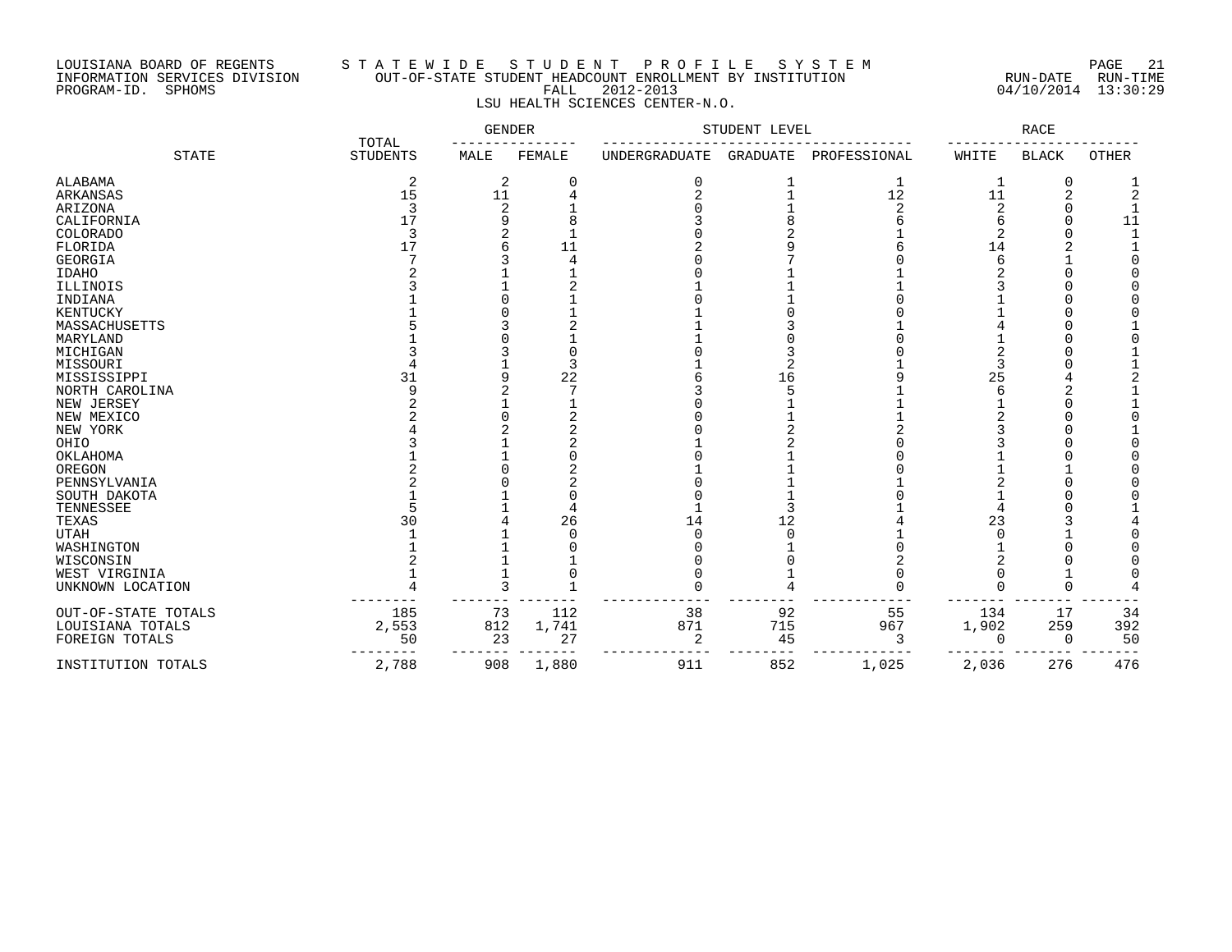## LOUISIANA BOARD OF REGENTS S T A T E W I D E S T U D E N T P R O F I L E S Y S T E M PAGE 21 INFORMATION SERVICES DIVISION OUT-OF-STATE STUDENT HEADCOUNT ENROLLMENT BY INSTITUTION RUN-DATE RUN-TIME PROGRAM-ID. SPHOMS FALL 2012-2013 04/10/2014 13:30:29 LSU HEALTH SCIENCES CENTER-N.O.

|                     | TOTAL           | GENDER |            | STUDENT LEVEL |          |              | RACE     |              |              |
|---------------------|-----------------|--------|------------|---------------|----------|--------------|----------|--------------|--------------|
| <b>STATE</b>        | <b>STUDENTS</b> | MALE   | FEMALE     | UNDERGRADUATE | GRADUATE | PROFESSIONAL | WHITE    | <b>BLACK</b> | <b>OTHER</b> |
| ALABAMA             | 2               | 2      | 0          | 0             |          | 1            | 1        | $\Omega$     |              |
| ARKANSAS            | 15              | 11     | 4          |               |          | $12$         | 11       | 2            |              |
| ARIZONA             | 3               | 2      |            |               |          | 2            | 2        | U            |              |
| CALIFORNIA          | 17              | 9      |            |               |          |              | 6        | <sup>0</sup> | 11           |
| <b>COLORADO</b>     | 3               |        |            |               |          |              |          |              |              |
| FLORIDA             | 17              |        | 11         |               |          |              | 14       |              |              |
| <b>GEORGIA</b>      |                 |        |            |               |          |              | 6        |              |              |
| <b>IDAHO</b>        |                 |        |            |               |          |              |          |              |              |
| ILLINOIS            |                 |        |            |               |          |              |          |              |              |
| INDIANA             |                 |        |            |               |          |              |          |              |              |
| KENTUCKY            |                 |        |            |               |          |              |          |              |              |
| MASSACHUSETTS       |                 |        |            |               |          |              |          |              |              |
| MARYLAND            |                 |        |            |               |          |              |          |              |              |
| MICHIGAN            |                 |        |            |               |          |              |          |              |              |
| MISSOURI            |                 |        | Ρ          |               | 2        |              | 3        |              |              |
| MISSISSIPPI         | 31              | q      | 22         |               | 16       |              | 25       |              |              |
| NORTH CAROLINA      |                 |        |            |               |          |              | F        | 2            |              |
| NEW JERSEY          |                 |        |            |               |          |              |          | $\Omega$     |              |
| NEW MEXICO          |                 |        |            |               |          |              |          |              |              |
| NEW YORK            |                 |        |            |               |          |              |          |              |              |
| OHIO                |                 |        |            |               |          |              |          |              |              |
| OKLAHOMA            |                 |        |            |               |          |              |          |              |              |
| OREGON              |                 |        |            |               |          |              |          |              |              |
| PENNSYLVANIA        |                 |        |            |               |          |              |          |              |              |
| SOUTH DAKOTA        |                 |        |            |               |          |              |          |              |              |
| TENNESSEE           |                 |        |            |               |          |              |          |              |              |
| TEXAS               | 30              |        | 26         | 14            | 12       |              | 23       |              |              |
| <b>UTAH</b>         |                 |        | $\sqrt{ }$ | $\Omega$      | $\Omega$ |              | C        |              |              |
| WASHINGTON          |                 |        |            |               |          |              |          |              |              |
| WISCONSIN           |                 |        |            |               |          |              |          |              |              |
| WEST VIRGINIA       |                 |        |            |               |          |              |          |              |              |
| UNKNOWN LOCATION    |                 | 3      |            | ∩             |          |              |          |              |              |
|                     |                 |        |            |               |          |              |          |              |              |
| OUT-OF-STATE TOTALS | 185             | 73     | 112        | 38            | 92       | 55           | 134      | 17           | 34           |
| LOUISIANA TOTALS    | 2,553           | 812    | 1,741      | 871           | 715      | 967          | 1,902    | 259          | 392          |
| FOREIGN TOTALS      | 50              | 23     | 27         | 2             | 45       | 3            | $\Omega$ | $\Omega$     | 50           |
| INSTITUTION TOTALS  | 2,788           | 908    | 1,880      | 911           | 852      | 1,025        | 2,036    | 276          | 476          |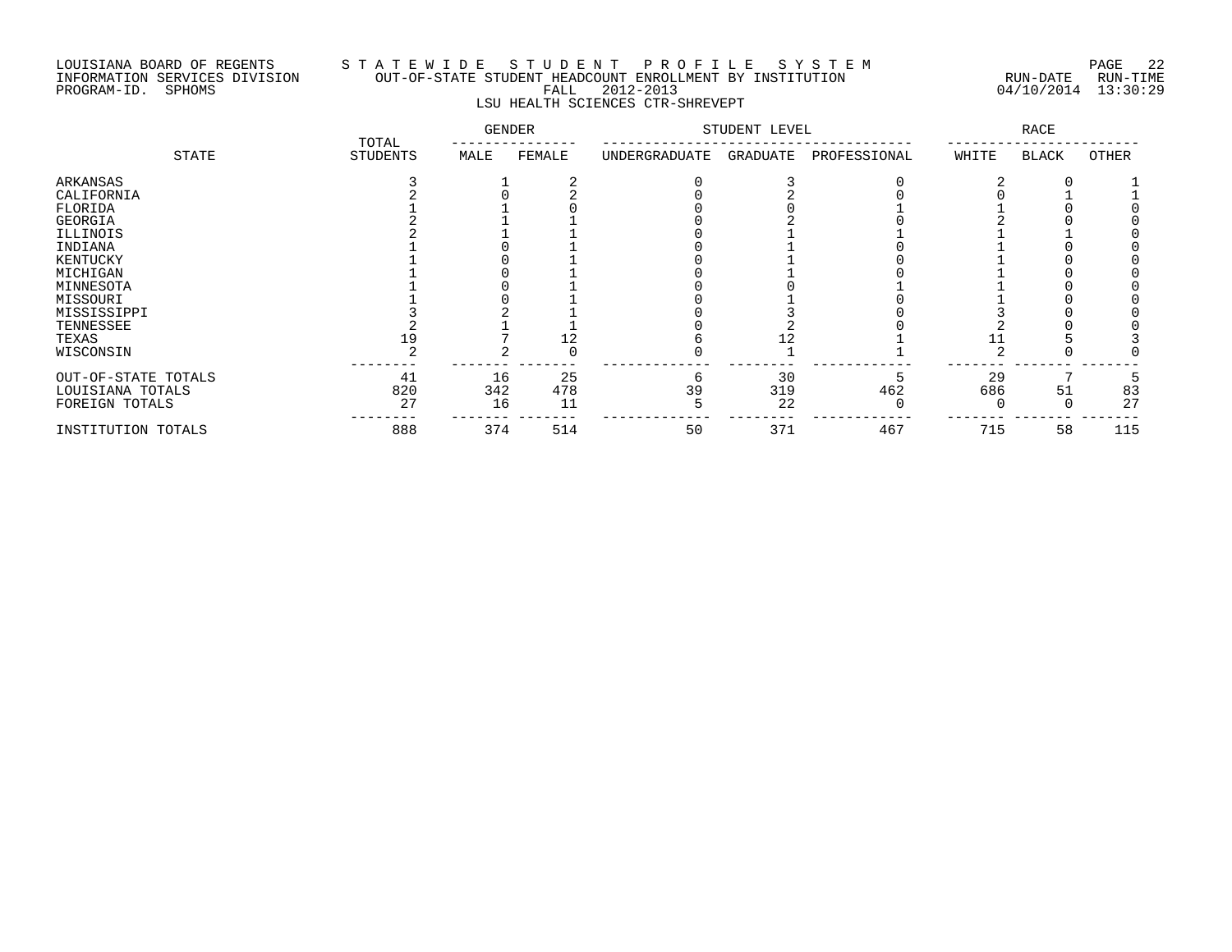### LOUISIANA BOARD OF REGENTS S T A T E W I D E S T U D E N T P R O F I L E S Y S T E M PAGE 22 INFORMATION SERVICES DIVISION OUT-OF-STATE STUDENT HEADCOUNT ENROLLMENT BY INSTITUTION RUN-DATE RUN-TIME PROGRAM-ID. SPHOMS FALL 2012-2013 04/10/2014 13:30:29 LSU HEALTH SCIENCES CTR-SHREVEPT

|                     |                          | <b>GENDER</b> |        | STUDENT LEVEL |          | RACE         |       |              |       |
|---------------------|--------------------------|---------------|--------|---------------|----------|--------------|-------|--------------|-------|
| STATE               | TOTAL<br><b>STUDENTS</b> | MALE          | FEMALE | UNDERGRADUATE | GRADUATE | PROFESSIONAL | WHITE | <b>BLACK</b> | OTHER |
| ARKANSAS            |                          |               |        |               |          |              |       |              |       |
| CALIFORNIA          |                          |               |        |               |          |              |       |              |       |
| FLORIDA             |                          |               |        |               |          |              |       |              |       |
| GEORGIA             |                          |               |        |               |          |              |       |              |       |
| ILLINOIS            |                          |               |        |               |          |              |       |              |       |
| INDIANA             |                          |               |        |               |          |              |       |              |       |
| KENTUCKY            |                          |               |        |               |          |              |       |              |       |
| MICHIGAN            |                          |               |        |               |          |              |       |              |       |
| MINNESOTA           |                          |               |        |               |          |              |       |              |       |
| MISSOURI            |                          |               |        |               |          |              |       |              |       |
| MISSISSIPPI         |                          |               |        |               |          |              |       |              |       |
| TENNESSEE           |                          |               |        |               |          |              |       |              |       |
| TEXAS               | 19                       |               | 12     |               |          |              |       |              |       |
| WISCONSIN           |                          |               |        |               |          |              |       |              |       |
| OUT-OF-STATE TOTALS | 41                       | 16            | 25     | 6             | 30       |              | 29    |              |       |
| LOUISIANA TOTALS    | 820                      | 342           | 478    | 39            | 319      | 462          | 686   | 51           | 83    |
| FOREIGN TOTALS      | 27                       | 16            | 11     |               | 22       |              |       |              | 27    |
| INSTITUTION TOTALS  | 888                      | 374           | 514    | 50            | 371      | 467          | 715   | 58           | 115   |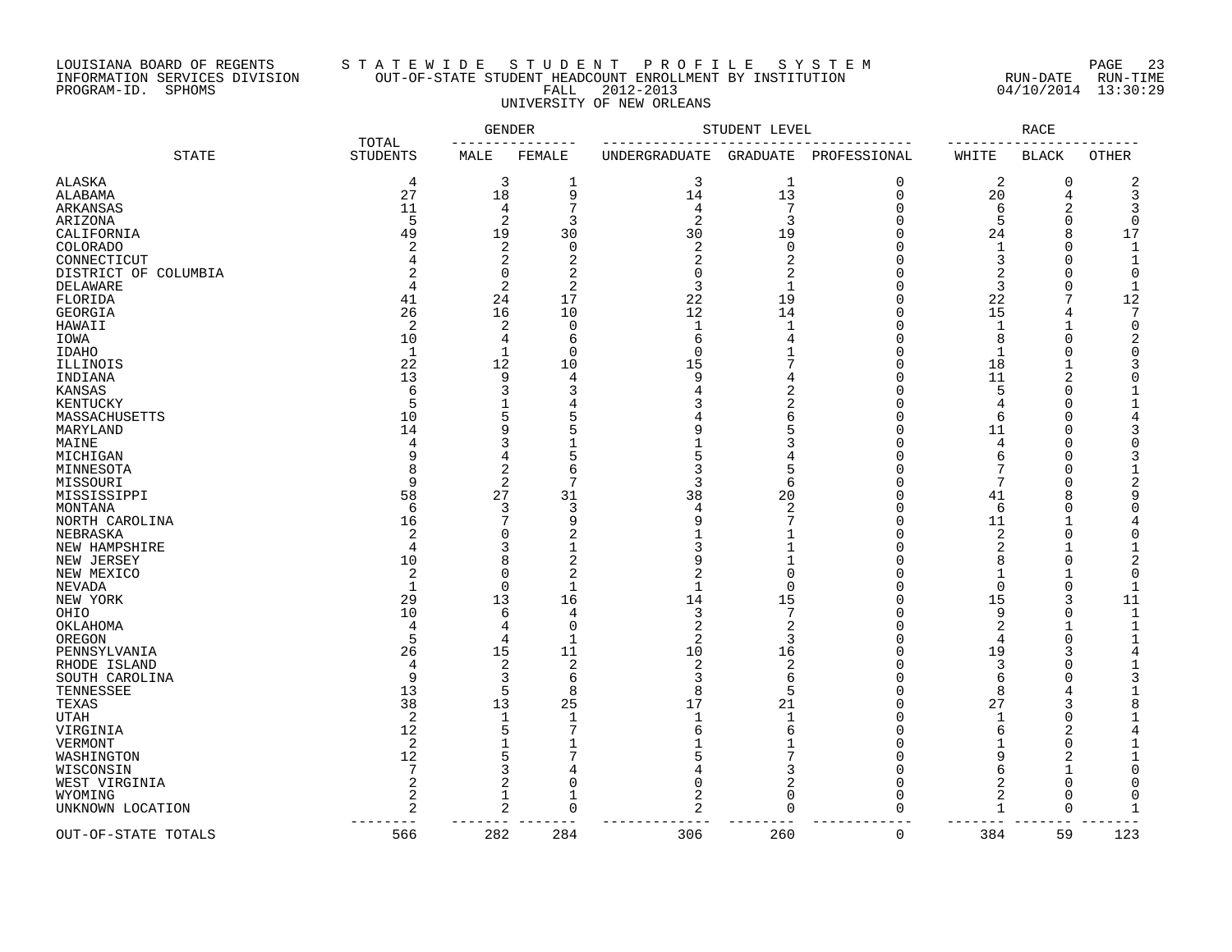# LOUISIANA BOARD OF REGENTS S T A T E W I D E S T U D E N T P R O F I L E S Y S T E M PAGE 23 INFORMATION SERVICES DIVISION OUT-OF-STATE STUDENT HEADCOUNT ENROLLMENT BY INSTITUTION RUN-DATE RUN-TIME PROGRAM-ID. SPHOMS FALL 2012-2013 04/10/2014 13:30:29 UNIVERSITY OF NEW ORLEANS

|                      |                          |              | <b>GENDER</b>  |                | STUDENT LEVEL  |              |                | <b>RACE</b>    |              |
|----------------------|--------------------------|--------------|----------------|----------------|----------------|--------------|----------------|----------------|--------------|
| <b>STATE</b>         | TOTAL<br><b>STUDENTS</b> | MALE         | FEMALE         | UNDERGRADUATE  | GRADUATE       | PROFESSIONAL | WHITE          | <b>BLACK</b>   | <b>OTHER</b> |
| ALASKA               | 4                        | 3            | 1              | 3              | $\mathbf 1$    | 0            | 2              | 0              | 2            |
| ALABAMA              | 27                       | 18           | 9              | 14             | 13             | $\mathbf 0$  | 20             | 4              | 3            |
| ARKANSAS             | 11                       | 4            | 7              | 4              | 7              | $\Omega$     | 6              | 2              | 3            |
| ARIZONA              | 5                        | 2            | 3              | $\overline{2}$ | 3              | ∩            | 5              | $\Omega$       | $\Omega$     |
| CALIFORNIA           | 49                       | 19           | 30             | 30             | 19             |              | 24             | 8              | 17           |
| COLORADO             | $\overline{2}$           | 2            | $\mathbf 0$    | 2              | $\mathbf 0$    | ∩            | 1              | $\Omega$       | $\mathbf{1}$ |
| CONNECTICUT          |                          | 2            | 2              |                | $\overline{2}$ | ∩            | 3              | ∩              | $\mathbf{1}$ |
|                      |                          | 0            | $\overline{2}$ | $\Omega$       | $\overline{2}$ |              | $\overline{2}$ | C              | $\Omega$     |
| DISTRICT OF COLUMBIA | $\overline{4}$           |              | $\overline{c}$ | 3              |                |              |                | O              |              |
| <b>DELAWARE</b>      |                          | 2            |                |                | $\mathbf{1}$   |              | 3              |                | -1           |
| FLORIDA              | 41                       | 24           | 17             | 22             | 19             | ∩            | 22             |                | 12           |
| <b>GEORGIA</b>       | 26                       | 16           | 10             | 12             | 14             | $\cap$       | 15             | 4              | 7            |
| HAWAII               | $\overline{2}$           | 2            | $\Omega$       | $\mathbf{1}$   | $\mathbf{1}$   | ∩            | 1              |                | $\Omega$     |
| IOWA                 | 10                       | 4            | 6              | 6              |                |              | 8              | ∩              | 2            |
| <b>IDAHO</b>         | $\mathbf{1}$             | 1            | $\mathbf 0$    | $\Omega$       | $\mathbf 1$    | ∩            | $\mathbf{1}$   |                | $\Omega$     |
| ILLINOIS             | 22                       | 12           | 10             | 15             | 7              | ∩            | 18             |                |              |
| INDIANA              | 13                       | 9            | 4              | 9              |                |              | 11             | $\overline{c}$ | $\Omega$     |
| KANSAS               | 6                        | 3            | 3              |                | $\overline{2}$ | ∩            | 5              | C              |              |
| KENTUCKY             | 5                        | $\mathbf{1}$ | 4              |                | $\overline{2}$ | ∩            | 4              | C              |              |
| MASSACHUSETTS        | 10                       | 5            | 5              |                | 6              |              | 6              |                | 4            |
| MARYLAND             | 14                       | 9            | 5              |                | 5              | ∩            | 11             | C              |              |
| MAINE                | 4                        | 3            |                |                | 3              | ∩            | 4              |                |              |
|                      | 9                        |              | 5              |                |                |              | 6              | C              |              |
| MICHIGAN             | 8                        | 4            |                |                |                |              | 7              |                |              |
| MINNESOTA            |                          | 2            | 6<br>7         |                | 5              |              | 7              |                |              |
| MISSOURI             | 9                        | 2            |                | 3              | 6              |              |                | C              |              |
| MISSISSIPPI          | 58                       | 27           | 31             | 38             | 20             |              | 41             | ε              | 9            |
| MONTANA              | 6                        | 3            | 3              | 4              | 2              | ∩            | 6              | C              | ∩            |
| NORTH CAROLINA       | 16                       | 7            | 9              | q              |                |              | 11             |                |              |
| NEBRASKA             | $\overline{2}$           | $\Omega$     | 2              |                |                |              | 2              | C              |              |
| NEW HAMPSHIRE        | 4                        | 3            |                |                |                | ∩            | 2              |                |              |
| NEW JERSEY           | 10                       | 8            | $\overline{2}$ |                |                |              | 8              |                |              |
| NEW MEXICO           | $\overline{2}$           | 0            | 2              |                | $\Omega$       |              | 1              |                | $\Omega$     |
| NEVADA               | $\mathbf{1}$             | $\Omega$     | $\mathbf{1}$   | $\mathbf{1}$   | $\Omega$       |              | $\mathbf 0$    | $\Omega$       | $\mathbf{1}$ |
| NEW YORK             | 29                       | 13           | 16             | 14             | 15             |              | 15             |                | 11           |
| OHIO                 | 10                       | 6            | 4              | 3              | 7              | ∩            | 9              | O              | $\mathbf{1}$ |
| OKLAHOMA             | $\overline{4}$           | 4            | $\mathbf 0$    |                | $\overline{2}$ |              | $\overline{2}$ |                | 1            |
| OREGON               | 5                        | 4            | 1              | 2              | 3              | ∩            | 4              | $\Omega$       | 1            |
| PENNSYLVANIA         | 26                       | 15           | 11             | 10             | 16             | ∩            | 19             |                | 4            |
| RHODE ISLAND         | 4                        | 2            | $\overline{2}$ | 2              | $\overline{2}$ |              | 3              |                |              |
|                      | 9                        |              |                | 3              |                |              |                |                |              |
| SOUTH CAROLINA       |                          | 3            | 6              |                | 6              |              | 6              |                |              |
| TENNESSEE            | 13                       | 5            | 8              | 8              | 5              | ∩            | 8              |                |              |
| TEXAS                | 38                       | 13           | 25             | 17             | 21             |              | 27             | 3              | 8            |
| UTAH                 | $\overline{2}$           | 1            | 1              | $\mathbf{1}$   | $\mathbf{1}$   | ∩            | 1              | $\Omega$       |              |
| VIRGINIA             | 12                       | 5            | 7              | ี              | 6              | ∩            | 6              | $\overline{c}$ | 4            |
| VERMONT              | 2                        | $\mathbf{1}$ |                |                | -1             | ∩            | 1              | $\Omega$       |              |
| WASHINGTON           | 12                       | 5            | 7              |                | 7              | $\cap$       | 9              | 2              |              |
| WISCONSIN            | 7                        | 3            | 4              |                | 3              | ∩            | 6              | -1             | $\Omega$     |
| WEST VIRGINIA        | 2                        | 2            | $\Omega$       |                | $\overline{2}$ |              | $\overline{2}$ | $\Omega$       | <sup>0</sup> |
| WYOMING              | $\overline{2}$           | $\mathbf{1}$ | 1              |                | $\mathbf 0$    |              | 2              | $\Omega$       | $\Omega$     |
| UNKNOWN LOCATION     | 2                        | 2            | 0              | 2              | $\mathbf 0$    | $\Omega$     | 1              | $\Omega$       |              |
|                      |                          |              |                |                |                |              |                |                |              |
| OUT-OF-STATE TOTALS  | 566                      | 282          | 284            | 306            | 260            | $\mathbf 0$  | 384            | 59             | 123          |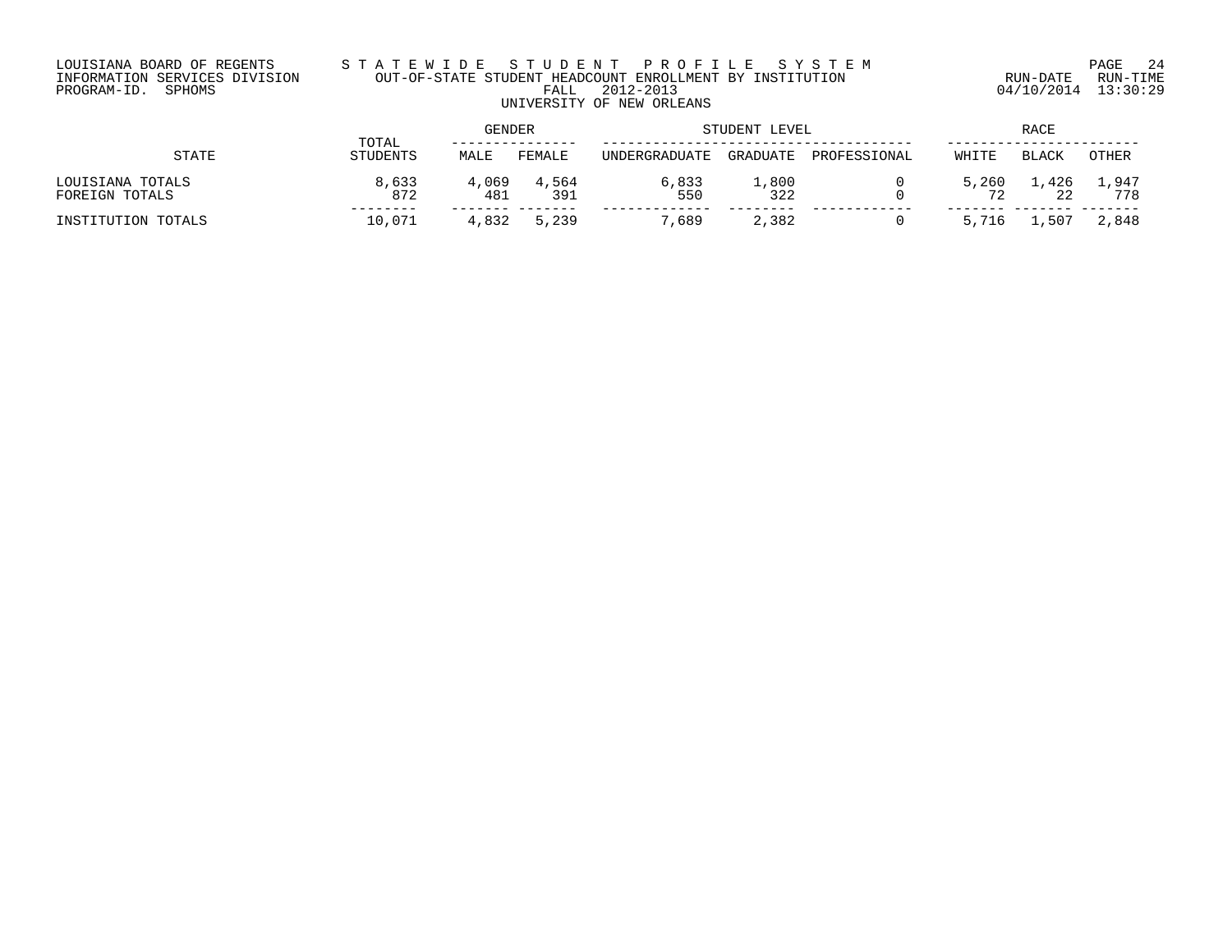# LOUISIANA BOARD OF REGENTS S T A T E W I D E S T U D E N T P R O F I L E S Y S T E M PAGE 24 INFORMATION SERVICES DIVISION OUT-OF-STATE STUDENT HEADCOUNT ENROLLMENT BY INSTITUTION RUN-DATE RUN-TIME PROGRAM-ID. SPHOMS FALL 2012-2013 04/10/2014 13:30:29 UNIVERSITY OF NEW ORLEANS

|                                    | TOTAL        | GENDER       |              | STUDENT LEVEL          | RACE                       |              |             |              |              |
|------------------------------------|--------------|--------------|--------------|------------------------|----------------------------|--------------|-------------|--------------|--------------|
| STATE                              | STUDENTS     | MALE         | FEMALE       | <b>IINDERGRADIJATE</b> | GRADUATE                   | PROFESSIONAL | WHITE       | <b>BLACK</b> | OTHER        |
| LOUISIANA TOTALS<br>FOREIGN TOTALS | 8,633<br>872 | 4,069<br>481 | 4,564<br>391 | 6,833<br>550           | $\overline{1}$ ,800<br>322 |              | 5,260<br>ワク | 1,426<br>22  | 1,947<br>778 |
| INSTITUTION TOTALS                 | 10,071       | 4,832        | 5,239        | 7,689                  | 2,382                      |              | 5,716       | . . 507      | 2,848        |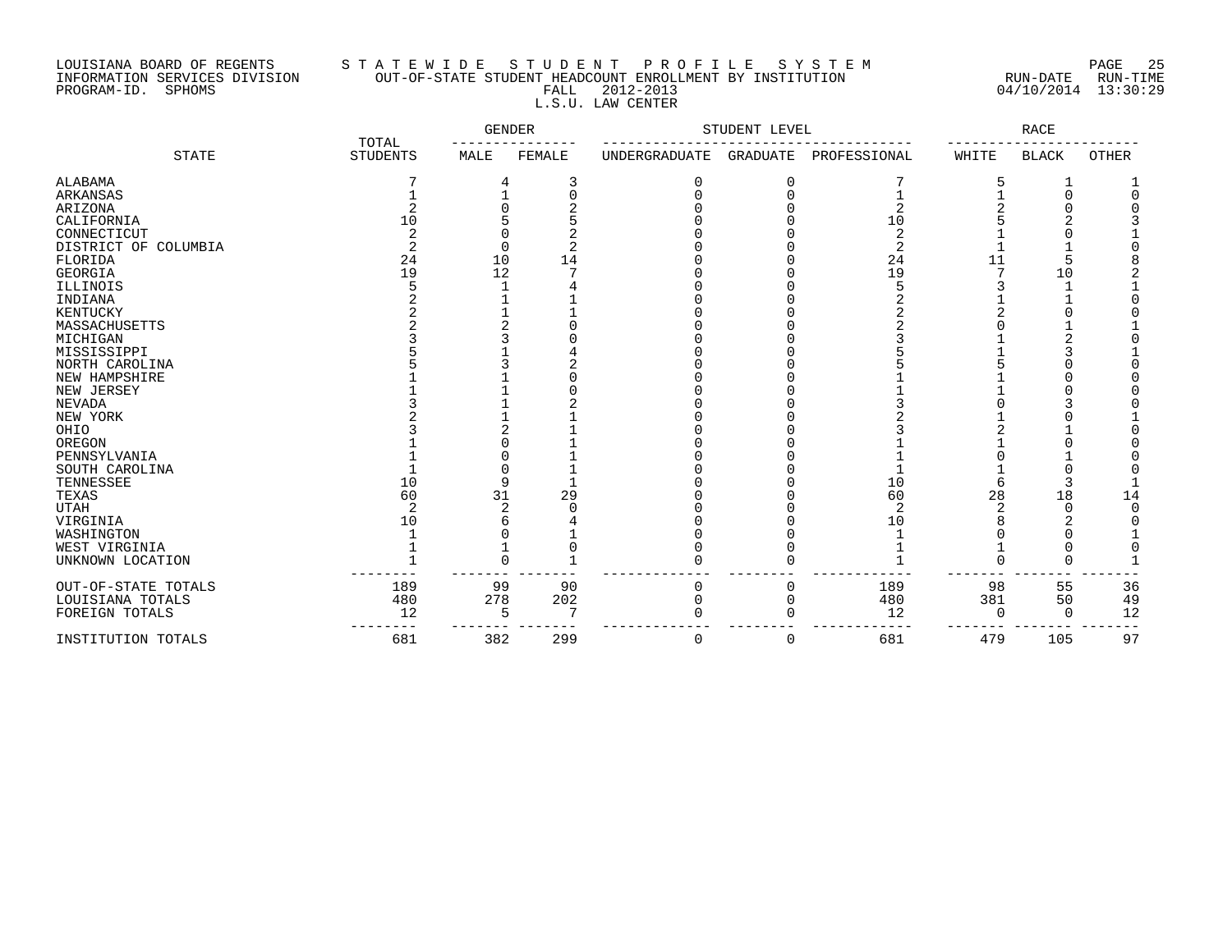# LOUISIANA BOARD OF REGENTS S T A T E W I D E S T U D E N T P R O F I L E S Y S T E M PAGE 25 INFORMATION SERVICES DIVISION OUT-OF-STATE STUDENT HEADCOUNT ENROLLMENT BY INSTITUTION RUN-DATE RUN-TIME PROGRAM-ID. SPHOMS FALL 2012-2013 04/10/2014 13:30:29 L.S.U. LAW CENTER

|                      | TOTAL           | GENDER |            |               | STUDENT LEVEL   |                |       | RACE         |              |
|----------------------|-----------------|--------|------------|---------------|-----------------|----------------|-------|--------------|--------------|
| <b>STATE</b>         | <b>STUDENTS</b> | MALE   | FEMALE     | UNDERGRADUATE | <b>GRADUATE</b> | PROFESSIONAL   | WHITE | <b>BLACK</b> | <b>OTHER</b> |
| ALABAMA              |                 | 4      | 3          | 0             | 0               |                |       |              |              |
| ARKANSAS             |                 |        | $\sqrt{ }$ |               | $\Omega$        |                |       | $\Omega$     |              |
| ARIZONA              |                 |        |            |               |                 | 2              |       |              |              |
| CALIFORNIA           | 10              |        |            |               |                 | 10             |       | ⌒            |              |
| CONNECTICUT          |                 |        |            |               |                 |                |       |              |              |
| DISTRICT OF COLUMBIA |                 | O      |            |               |                 | $\overline{c}$ |       |              |              |
| FLORIDA              | 24              | 10     | 14         |               |                 | 24             | 11    | 5            |              |
| GEORGIA              | 19              | 12     |            |               |                 | 19             |       | 10           |              |
| ILLINOIS             |                 |        |            |               |                 |                |       |              |              |
| INDIANA              |                 |        |            |               |                 |                |       |              |              |
| KENTUCKY             |                 |        |            |               |                 |                |       |              |              |
| MASSACHUSETTS        |                 |        |            |               |                 |                |       |              |              |
| MICHIGAN             |                 |        |            |               |                 |                |       |              |              |
| MISSISSIPPI          |                 |        |            |               |                 |                |       |              |              |
| NORTH CAROLINA       |                 |        |            |               |                 |                |       |              |              |
| NEW HAMPSHIRE        |                 |        |            |               |                 |                |       |              |              |
| NEW JERSEY           |                 |        |            |               |                 |                |       |              |              |
| NEVADA               |                 |        |            |               |                 |                |       |              |              |
| NEW YORK             |                 |        |            |               |                 |                |       |              |              |
| OHIO                 |                 |        |            |               |                 |                |       |              |              |
| OREGON               |                 |        |            |               |                 |                |       |              |              |
| PENNSYLVANIA         |                 |        |            |               |                 |                |       |              |              |
| SOUTH CAROLINA       |                 |        |            |               |                 |                |       |              |              |
| TENNESSEE            | 10              | q      |            |               |                 | 10             |       | 3            |              |
| TEXAS                | 60              | 31     | 29         |               |                 | 60             | 28    | 18           | 14           |
| <b>UTAH</b>          |                 |        |            |               |                 | $\overline{2}$ |       | $\Omega$     |              |
| VIRGINIA             | 10              |        |            |               |                 | 10             |       |              |              |
| WASHINGTON           |                 |        |            |               |                 |                |       |              |              |
| WEST VIRGINIA        |                 |        |            |               |                 |                |       |              |              |
| UNKNOWN LOCATION     |                 |        |            |               |                 |                |       | U            |              |
| OUT-OF-STATE TOTALS  | 189             | 99     | 90         | O             | C               | 189            | 98    | 55           | 36           |
| LOUISIANA TOTALS     | 480             | 278    | 202        |               | $\Omega$        | 480            | 381   | 50           | 49           |
| FOREIGN TOTALS       | 12              | 5      |            |               |                 | 12             | ∩     | $\Omega$     | 12           |
| INSTITUTION TOTALS   | 681             | 382    | 299        | 0             | $\Omega$        | 681            | 479   | 105          | 97           |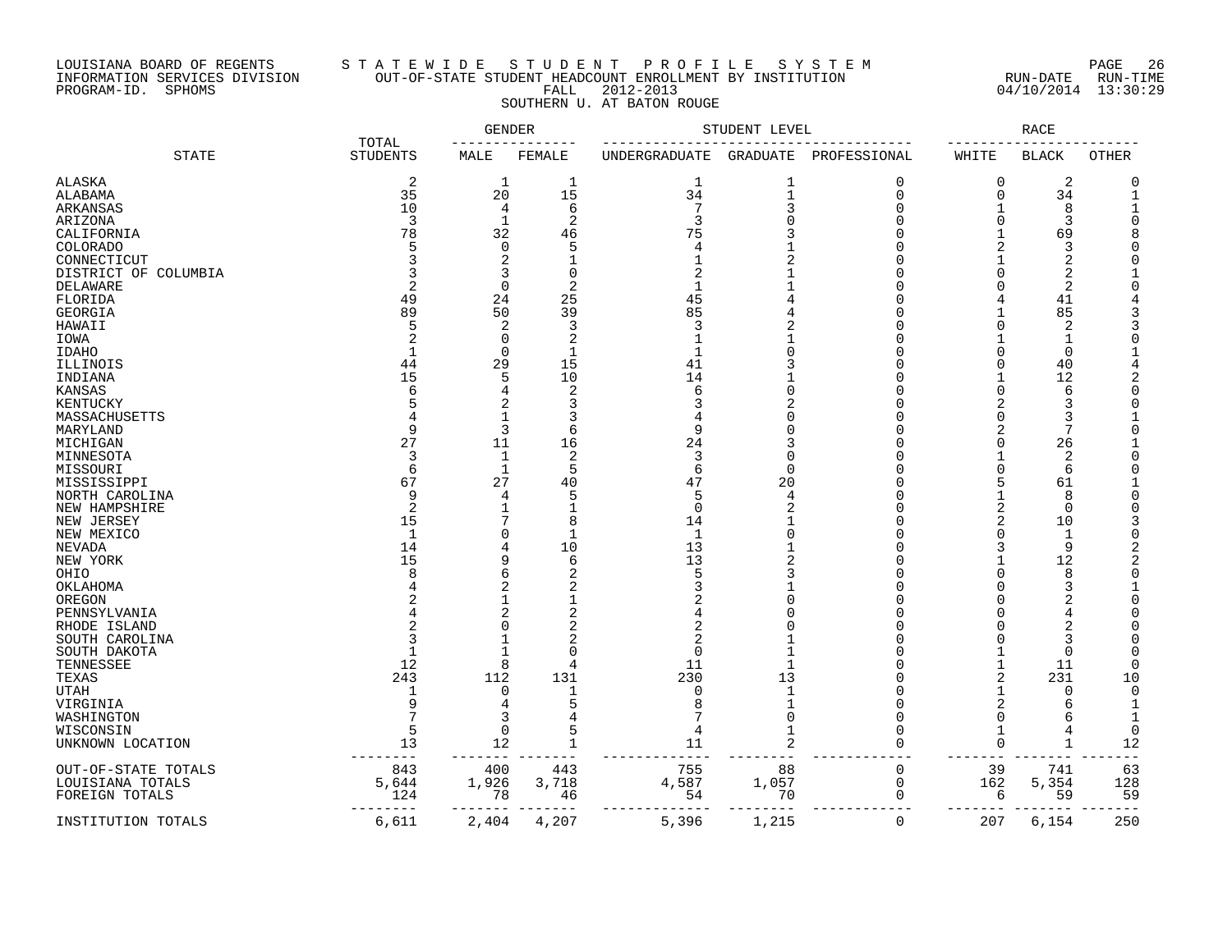# LOUISIANA BOARD OF REGENTS S T A T E W I D E S T U D E N T P R O F I L E S Y S T E M PAGE 26 INFORMATION SERVICES DIVISION OUT-OF-STATE STUDENT HEADCOUNT ENROLLMENT BY INSTITUTION RUN-DATE RUN-TIME PROGRAM-ID. SPHOMS FALL 2012-2013 04/10/2014 13:30:29 SOUTHERN U. AT BATON ROUGE

|                      |                          | GENDER       |                |               | STUDENT LEVEL  |                |                | RACE            |          |
|----------------------|--------------------------|--------------|----------------|---------------|----------------|----------------|----------------|-----------------|----------|
| <b>STATE</b>         | TOTAL<br><b>STUDENTS</b> | MALE         | FEMALE         | UNDERGRADUATE | GRADUATE       | PROFESSIONAL   | WHITE          | <b>BLACK</b>    | OTHER    |
| <b>ALASKA</b>        | 2                        | 1            | 1              | 1             | $\mathbf 1$    | $\Omega$       | $\Omega$       | 2               | $\Omega$ |
| ALABAMA              | 35                       | 20           | 15             | 34            | $\mathbf{1}$   | $\Omega$       | $\Omega$       | 34              |          |
| ARKANSAS             | 10                       | 4            | $\epsilon$     | 7             | 3              | $\Omega$       |                | 8               |          |
| ARIZONA              | 3                        | 1            | $\overline{2}$ | 3             | $\Omega$       | ∩              | $\Omega$       | 3               |          |
| CALIFORNIA           | 78                       | 32           | 46             | 75            |                |                |                | 69              |          |
| <b>COLORADO</b>      | 5                        | $\mathbf 0$  | 5              | 4             |                |                | $\overline{2}$ | 3               |          |
| CONNECTICUT          |                          | 2            |                | $\mathbf{1}$  | $\overline{2}$ |                |                | $\overline{c}$  |          |
| DISTRICT OF COLUMBIA | 3                        | 3            | $\overline{0}$ | 2             |                |                | $\Omega$       | $\overline{2}$  |          |
| DELAWARE             | 2                        | $\Omega$     | $\overline{2}$ | $\mathbf{1}$  |                |                | $\Omega$       | 2               |          |
| FLORIDA              | 49                       | 24           | 25             | 45            |                |                |                | 41              |          |
| GEORGIA              | 89                       | 50           | 39             | 85            |                |                |                | 85              |          |
| HAWAII               |                          | 2            | 3              | 3             | $\overline{c}$ |                | $\Omega$       | 2               |          |
| IOWA                 |                          | 0            | $\overline{2}$ | $\mathbf{1}$  |                |                |                | $\mathbf{1}$    |          |
| <b>IDAHO</b>         | $\mathbf{1}$             | $\Omega$     | 1              | $\mathbf{1}$  | $\Omega$       |                | $\Omega$       | $\Omega$        |          |
|                      | 44                       |              | 15             | 41            |                |                | $\Omega$       | 40              |          |
| ILLINOIS             | 15                       | 29           |                | 14            |                |                | $\mathbf{1}$   | 12              |          |
| INDIANA              |                          | 5            | 10             |               | $\Omega$       |                | $\Omega$       | 6               |          |
| <b>KANSAS</b>        | 6                        | 4            | $\overline{2}$ | 6             |                |                |                |                 |          |
| KENTUCKY             |                          | 2            | 3              |               |                |                | 2              | 3               |          |
| MASSACHUSETTS        |                          | 1            | 3              |               |                |                | $\Omega$       | 3               |          |
| MARYLAND             | 9                        | 3            | 6              | 9             |                |                |                | 7               |          |
| MICHIGAN             | 27                       | 11           | 16             | 24            | 3              |                | $\Omega$       | 26              |          |
| MINNESOTA            | 3                        | 1            | $\overline{2}$ | 3             | $\Omega$       |                |                | 2               |          |
| MISSOURI             | 6                        | $\mathbf{1}$ | 5              | 6             | $\Omega$       |                | $\Omega$       | 6               |          |
| MISSISSIPPI          | 67                       | 27           | 40             | 47            | 20             |                | 5              | 61              |          |
| NORTH CAROLINA       | 9                        | 4            | 5              |               | 4              |                |                | 8               |          |
| NEW HAMPSHIRE        | 2                        | $\mathbf{1}$ | 1              | $\Omega$      |                |                | $\overline{2}$ | 0               |          |
| NEW JERSEY           | 15                       | 7            | 8              | 14            |                |                | 2              | 10              |          |
| NEW MEXICO           | $\mathbf{1}$             | $\Omega$     | $\mathbf{1}$   | $\mathbf{1}$  |                |                | $\Omega$       | $\mathbf{1}$    |          |
| NEVADA               | 14                       | 4            | 10             | 13            |                |                | 3              | 9               |          |
| NEW YORK             | 15                       | 9            | 6              | 13            |                |                |                | 12              |          |
| OHIO                 | 8                        | 6            | $\overline{2}$ |               |                |                | $\Omega$       | 8               |          |
| OKLAHOMA             |                          | 2            | $\overline{c}$ |               |                |                | $\Omega$       | 3               |          |
| OREGON               |                          | $\mathbf 1$  |                |               |                |                | $\Omega$       |                 |          |
| PENNSYLVANIA         |                          | 2            | $\overline{2}$ |               |                |                | $\Omega$       |                 |          |
| RHODE ISLAND         |                          | $\Omega$     |                |               |                |                | $\Omega$       |                 |          |
| SOUTH CAROLINA       | 3                        | $\mathbf{1}$ | $\overline{2}$ |               |                |                | $\Omega$       |                 |          |
| SOUTH DAKOTA         | $\mathbf{1}$             | $\mathbf{1}$ | $\Omega$       | $\Omega$      | 1              |                | $\mathbf{1}$   | $\mathbf 0$     |          |
| TENNESSEE            | 12                       | 8            | 4              | 11            |                |                | 1              | 11              | C        |
| TEXAS                | 243                      | 112          | 131            | 230           | 13             |                | $\overline{2}$ | 231             | 10       |
| <b>UTAH</b>          |                          | 0            | 1              | $\Omega$      | $\mathbf{1}$   | ∩              |                | $\Omega$        | $\Omega$ |
| VIRGINIA             | 9                        | 4            | 5              |               | $\mathbf{1}$   |                | 2              | 6               | 1        |
| WASHINGTON           |                          | 3            |                |               | $\Omega$       | $\Omega$       | $\Omega$       | 6               |          |
| WISCONSIN            |                          | $\Omega$     | 5              |               |                |                |                |                 | $\Omega$ |
| UNKNOWN LOCATION     | 13                       | 12           | $\mathbf 1$    | 11            | $\overline{2}$ | $\Omega$       | $\mathbf 0$    | $\mathbf 1$     | 12       |
| OUT-OF-STATE TOTALS  | 843                      | 400          | 443            | 755           | 88             | 0              | 39             | 741             | 63       |
| LOUISIANA TOTALS     | 5,644                    | 1,926        | 3,718          | 4,587         | 1,057          | 0              | 162            | 5,354           | 128      |
| FOREIGN TOTALS       | 124                      | 78           | 46             | 54            | 70             | $\mathbf 0$    | 6              | 59              | 59       |
|                      | --------                 | --------     |                | ------------- | --------       |                | --------       | $- - - - - - -$ |          |
| INSTITUTION TOTALS   | 6,611                    | $2\,,404$    | 4,207          | 5,396         | 1,215          | $\overline{0}$ | 207            | 6,154           | 250      |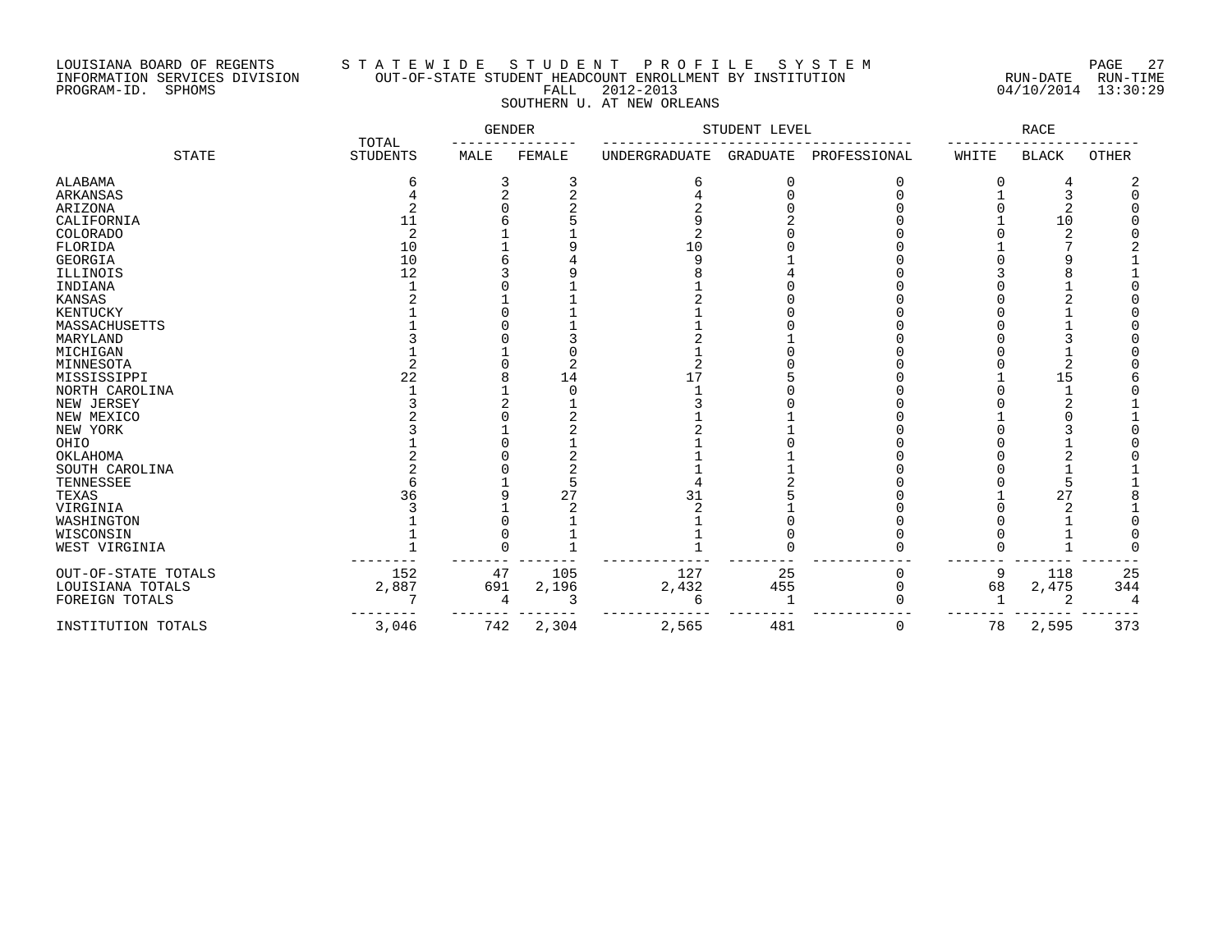## LOUISIANA BOARD OF REGENTS S T A T E W I D E S T U D E N T P R O F I L E S Y S T E M PAGE 27 INFORMATION SERVICES DIVISION OUT-OF-STATE STUDENT HEADCOUNT ENROLLMENT BY INSTITUTION RUN-DATE RUN-TIME PROGRAM-ID. SPHOMS FALL 2012-2013 04/10/2014 13:30:29 SOUTHERN U. AT NEW ORLEANS

|                     | TOTAL           | GENDER |        | STUDENT LEVEL        |                 | RACE         |       |              |              |
|---------------------|-----------------|--------|--------|----------------------|-----------------|--------------|-------|--------------|--------------|
| <b>STATE</b>        | <b>STUDENTS</b> | MALE   | FEMALE | <b>UNDERGRADUATE</b> | <b>GRADUATE</b> | PROFESSIONAL | WHITE | <b>BLACK</b> | <b>OTHER</b> |
| ALABAMA             | 6               |        | 3      | 6                    | 0               |              | 0     | 4            |              |
| <b>ARKANSAS</b>     |                 |        |        |                      |                 |              |       |              |              |
| ARIZONA             |                 |        |        |                      |                 |              |       |              |              |
| CALIFORNIA          | 11              |        |        |                      |                 |              |       | 10           |              |
| COLORADO            | 2               |        |        | 2                    |                 |              |       |              |              |
| FLORIDA             | 10              |        |        | 10                   |                 |              |       |              |              |
| <b>GEORGIA</b>      | 10              |        |        | q                    |                 |              |       |              |              |
| ILLINOIS            | 12              |        |        |                      |                 |              |       |              |              |
| INDIANA             |                 |        |        |                      |                 |              |       |              |              |
| KANSAS              |                 |        |        |                      |                 |              |       |              |              |
| KENTUCKY            |                 |        |        |                      |                 |              |       |              |              |
| MASSACHUSETTS       |                 |        |        |                      |                 |              |       |              |              |
| MARYLAND            |                 |        |        |                      |                 |              |       |              |              |
| MICHIGAN            |                 |        |        |                      |                 |              |       |              |              |
| MINNESOTA           |                 |        |        |                      |                 |              |       |              |              |
| MISSISSIPPI         | 22              |        | 14     | 17                   |                 |              |       | 15           |              |
| NORTH CAROLINA      |                 |        |        |                      |                 |              |       |              |              |
| NEW JERSEY          |                 |        |        |                      |                 |              |       |              |              |
| NEW MEXICO          |                 |        |        |                      |                 |              |       |              |              |
| NEW YORK            |                 |        |        |                      |                 |              |       |              |              |
| OHIO                |                 |        |        |                      |                 |              |       |              |              |
| OKLAHOMA            |                 |        |        |                      |                 |              |       |              |              |
| SOUTH CAROLINA      |                 |        |        |                      |                 |              |       |              |              |
| TENNESSEE           |                 |        |        |                      |                 |              |       |              |              |
| TEXAS               | 36              |        | 27     | 31                   |                 |              |       | 27           |              |
| VIRGINIA            |                 |        |        |                      |                 |              |       |              |              |
| WASHINGTON          |                 |        |        |                      |                 |              |       |              |              |
| WISCONSIN           |                 |        |        |                      |                 |              |       |              |              |
| WEST VIRGINIA       |                 |        |        |                      |                 |              |       |              |              |
| OUT-OF-STATE TOTALS | 152             | 47     | 105    | 127                  | 25              | 0            | 9     | 118          | 25           |
| LOUISIANA TOTALS    | 2,887           | 691    | 2,196  | 2,432                | 455             | 0            | 68    | 2,475        | 344          |
| FOREIGN TOTALS      |                 |        |        | 6                    |                 |              |       |              | 4            |
| INSTITUTION TOTALS  | 3,046           | 742    | 2,304  | 2,565                | 481             | 0            | 78    | 2,595        | 373          |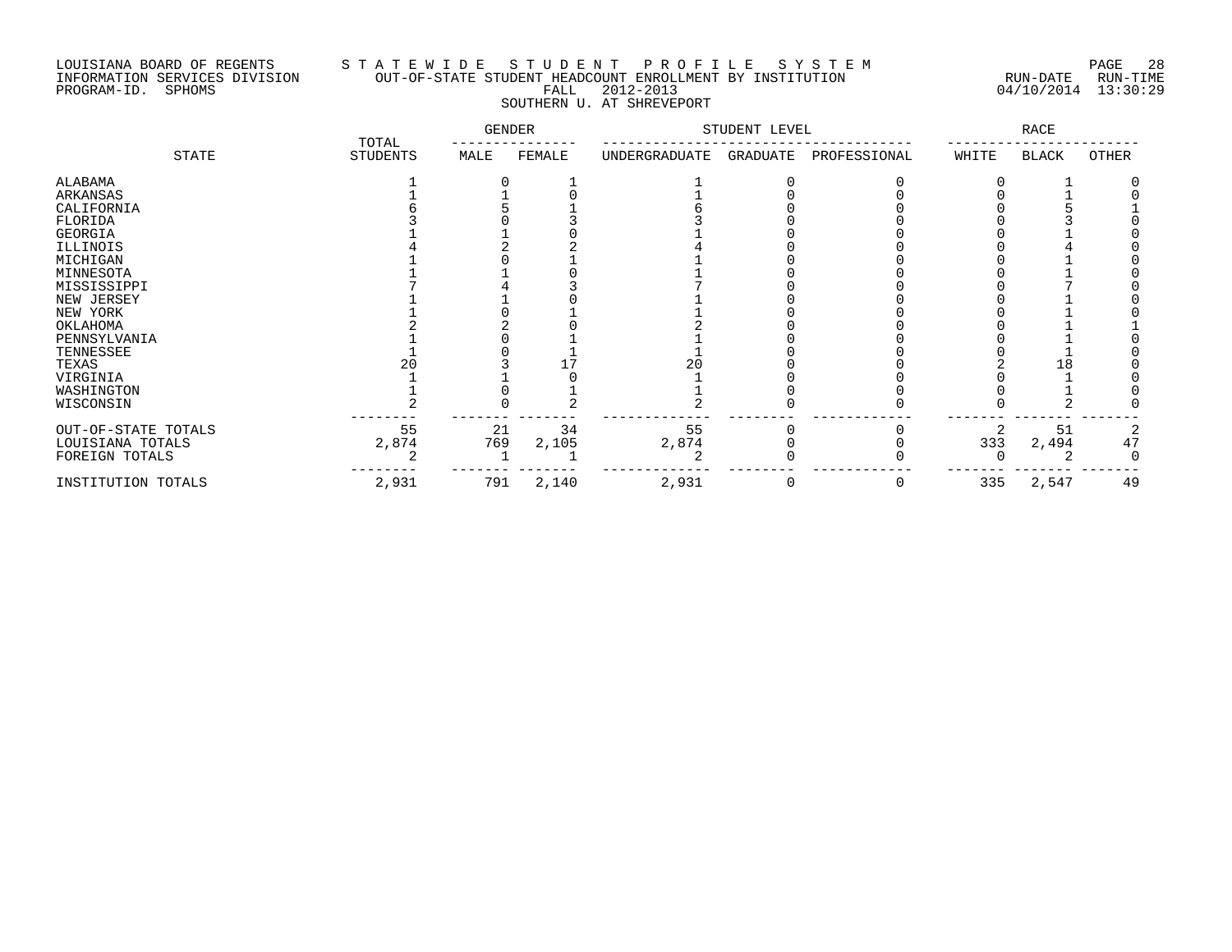# LOUISIANA BOARD OF REGENTS S T A T E W I D E S T U D E N T P R O F I L E S Y S T E M PAGE 28 INFORMATION SERVICES DIVISION OUT-OF-STATE STUDENT HEADCOUNT ENROLLMENT BY INSTITUTION RUN-DATE RUN-TIME PROGRAM-ID. SPHOMS FALL 2012-2013 04/10/2014 13:30:29 SOUTHERN U. AT SHREVEPORT

|                     |                          | GENDER |        | STUDENT LEVEL |          |              | RACE  |              |       |
|---------------------|--------------------------|--------|--------|---------------|----------|--------------|-------|--------------|-------|
| STATE               | TOTAL<br><b>STUDENTS</b> | MALE   | FEMALE | UNDERGRADUATE | GRADUATE | PROFESSIONAL | WHITE | <b>BLACK</b> | OTHER |
| ALABAMA             |                          |        |        |               |          |              |       |              |       |
| ARKANSAS            |                          |        |        |               |          |              |       |              |       |
| CALIFORNIA          |                          |        |        |               |          |              |       |              |       |
| FLORIDA             |                          |        |        |               |          |              |       |              |       |
| GEORGIA             |                          |        |        |               |          |              |       |              |       |
| ILLINOIS            |                          |        |        |               |          |              |       |              |       |
| MICHIGAN            |                          |        |        |               |          |              |       |              |       |
| MINNESOTA           |                          |        |        |               |          |              |       |              |       |
| MISSISSIPPI         |                          |        |        |               |          |              |       |              |       |
| NEW JERSEY          |                          |        |        |               |          |              |       |              |       |
| NEW YORK            |                          |        |        |               |          |              |       |              |       |
| OKLAHOMA            |                          |        |        |               |          |              |       |              |       |
| PENNSYLVANIA        |                          |        |        |               |          |              |       |              |       |
| TENNESSEE           |                          |        |        |               |          |              |       |              |       |
| TEXAS               |                          |        |        | 20            |          |              |       | L8           |       |
| VIRGINIA            |                          |        |        |               |          |              |       |              |       |
| WASHINGTON          |                          |        |        |               |          |              |       |              |       |
| WISCONSIN           |                          |        |        |               |          |              |       |              |       |
| OUT-OF-STATE TOTALS | 55                       | 21     | 34     | 55            |          |              | 2     | 51           |       |
| LOUISIANA TOTALS    | 2,874                    | 769    | 2,105  | 2,874         |          |              | 333   | 2,494        | 47    |
| FOREIGN TOTALS      |                          |        |        |               |          |              |       |              |       |
| INSTITUTION TOTALS  | 2,931                    | 791    | 2,140  | 2,931         | 0        | 0            | 335   | 2,547        | 49    |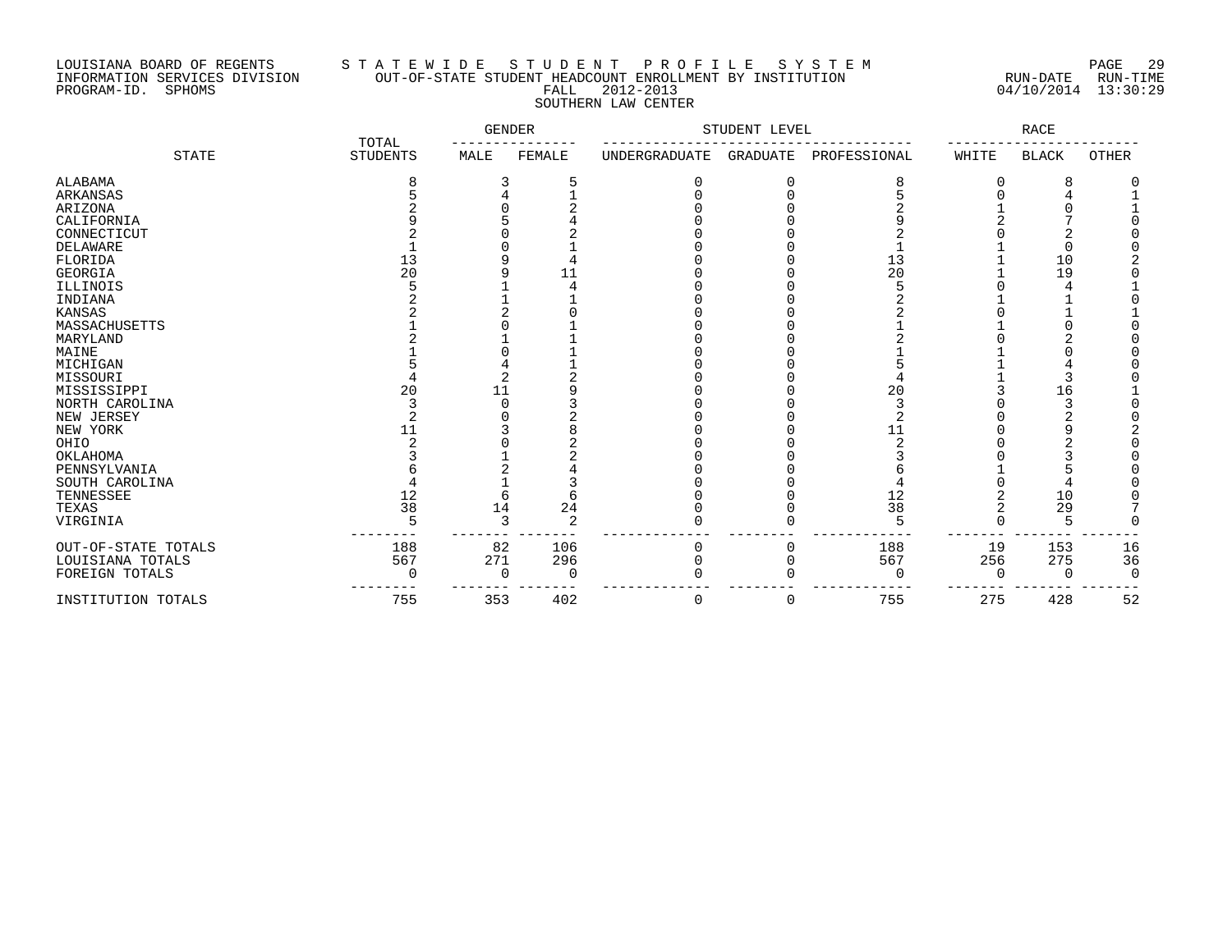# LOUISIANA BOARD OF REGENTS S T A T E W I D E S T U D E N T P R O F I L E S Y S T E M PAGE 29 INFORMATION SERVICES DIVISION OUT-OF-STATE STUDENT HEADCOUNT ENROLLMENT BY INSTITUTION RUN-DATE RUN-TIME PROGRAM-ID. SPHOMS FALL 2012-2013 04/10/2014 13:30:29 SOUTHERN LAW CENTER

|                     | TOTAL           | GENDER |        | STUDENT LEVEL |                 | RACE         |       |              |       |
|---------------------|-----------------|--------|--------|---------------|-----------------|--------------|-------|--------------|-------|
| <b>STATE</b>        | <b>STUDENTS</b> | MALE   | FEMALE | UNDERGRADUATE | <b>GRADUATE</b> | PROFESSIONAL | WHITE | <b>BLACK</b> | OTHER |
| ALABAMA             |                 | 3      |        | 0             | 0               | 8            | 0     | 8            |       |
| ARKANSAS            |                 |        |        |               |                 |              |       |              |       |
| ARIZONA             |                 |        |        |               |                 |              |       |              |       |
| CALIFORNIA          |                 |        |        |               |                 |              |       |              |       |
| CONNECTICUT         |                 |        |        |               |                 |              |       |              |       |
| DELAWARE            |                 |        |        |               |                 |              |       |              |       |
| FLORIDA             | 13              |        |        |               |                 | 13           |       | 10           |       |
| <b>GEORGIA</b>      | 20              |        | 11     |               |                 | 20           |       | 19           |       |
| ILLINOIS            |                 |        |        |               |                 |              |       |              |       |
| INDIANA             |                 |        |        |               |                 |              |       |              |       |
| <b>KANSAS</b>       |                 |        |        |               |                 |              |       |              |       |
| MASSACHUSETTS       |                 |        |        |               |                 |              |       |              |       |
| MARYLAND            |                 |        |        |               |                 |              |       |              |       |
| MAINE               |                 |        |        |               |                 |              |       |              |       |
| MICHIGAN            |                 |        |        |               |                 |              |       |              |       |
| MISSOURI            |                 |        |        |               |                 |              |       |              |       |
| MISSISSIPPI         | 20              |        |        |               |                 | 20           |       | 16           |       |
| NORTH CAROLINA      |                 |        |        |               |                 |              |       |              |       |
| NEW JERSEY          |                 |        |        |               |                 |              |       |              |       |
| NEW YORK            | 11              |        |        |               |                 | 11           |       |              |       |
| OHIO                |                 |        |        |               |                 |              |       |              |       |
| OKLAHOMA            |                 |        |        |               |                 |              |       |              |       |
| PENNSYLVANIA        |                 |        |        |               |                 |              |       |              |       |
| SOUTH CAROLINA      |                 |        |        |               |                 |              |       |              |       |
| TENNESSEE           | 12              |        |        |               |                 | 12           |       | 10           |       |
| TEXAS               | 38              | 14     | 24     |               |                 | 38           |       | 29           |       |
| VIRGINIA            |                 | ∍      | 2      |               |                 |              |       |              |       |
| OUT-OF-STATE TOTALS | 188             | 82     | 106    | 0             |                 | 188          | 19    | 153          | 16    |
| LOUISIANA TOTALS    | 567             | 271    | 296    | O             |                 | 567          | 256   | 275          | 36    |
| FOREIGN TOTALS      |                 | O      | 0      |               |                 |              |       | O            |       |
| INSTITUTION TOTALS  | 755             | 353    | 402    | 0             | 0               | 755          | 275   | 428          | 52    |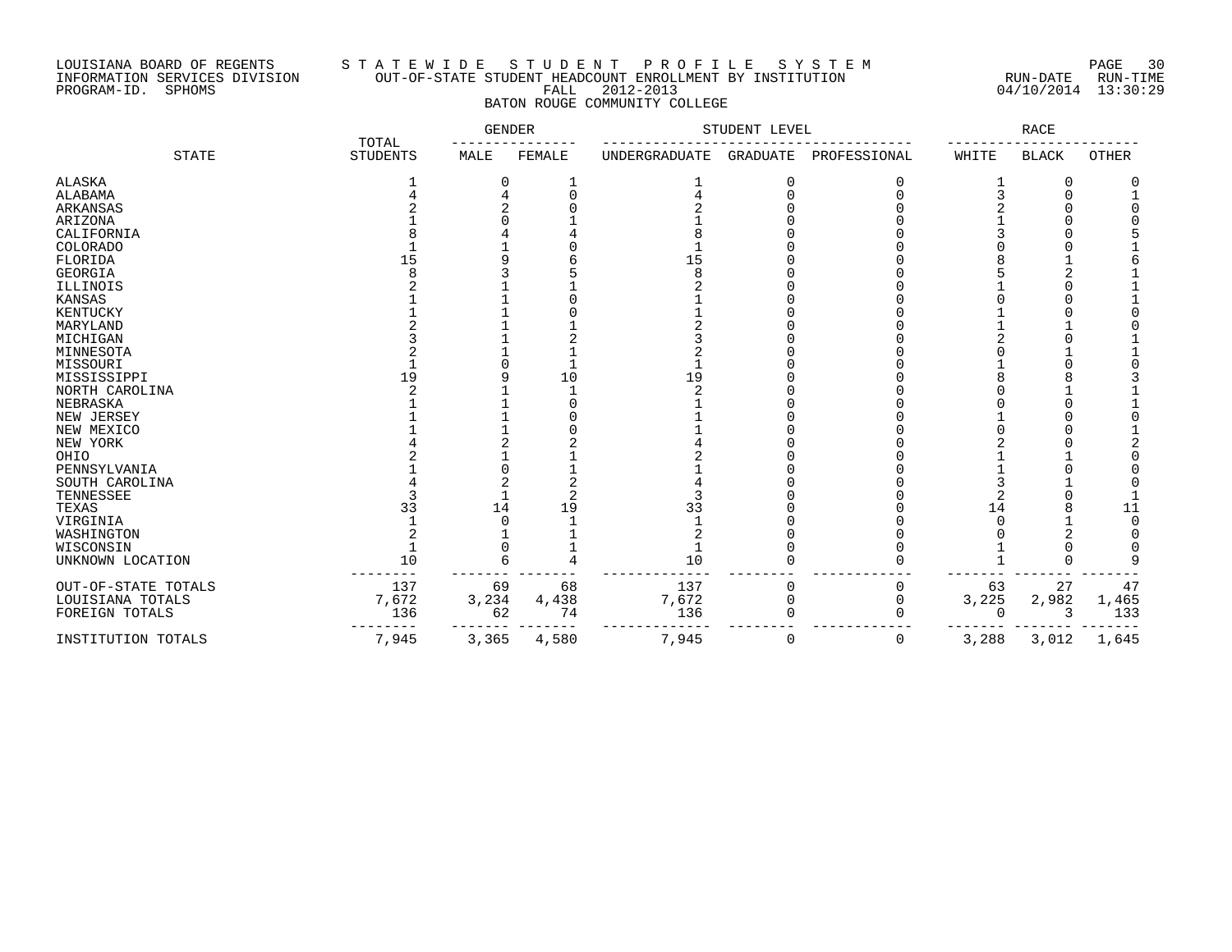### LOUISIANA BOARD OF REGENTS S T A T E W I D E S T U D E N T P R O F I L E S Y S T E M PAGE 30 INFORMATION SERVICES DIVISION OUT-OF-STATE STUDENT HEADCOUNT ENROLLMENT BY INSTITUTION RUN-DATE RUN-TIME PROGRAM-ID. SPHOMS FALL 2012-2013 04/10/2014 13:30:29 BATON ROUGE COMMUNITY COLLEGE

|                     | TOTAL           | <b>GENDER</b> |        | STUDENT LEVEL |                 | <b>RACE</b>  |          |              |              |
|---------------------|-----------------|---------------|--------|---------------|-----------------|--------------|----------|--------------|--------------|
| <b>STATE</b>        | <b>STUDENTS</b> | MALE          | FEMALE | UNDERGRADUATE | <b>GRADUATE</b> | PROFESSIONAL | WHITE    | <b>BLACK</b> | <b>OTHER</b> |
| ALASKA              |                 | 0             |        |               | 0               | C            |          | 0            |              |
| ALABAMA             |                 |               |        |               |                 |              |          | $\Omega$     |              |
| ARKANSAS            |                 |               |        |               |                 |              |          |              |              |
| ARIZONA             |                 |               |        |               |                 |              |          |              |              |
| CALIFORNIA          |                 |               |        |               |                 |              |          |              |              |
| COLORADO            |                 |               |        |               |                 |              |          |              |              |
| FLORIDA             | 15              |               |        | 15            |                 |              |          |              |              |
| GEORGIA             |                 |               |        |               |                 |              |          |              |              |
| ILLINOIS            |                 |               |        |               |                 |              |          |              |              |
| <b>KANSAS</b>       |                 |               |        |               |                 |              |          |              |              |
| KENTUCKY            |                 |               |        |               |                 |              |          |              |              |
| MARYLAND            |                 |               |        |               |                 |              |          |              |              |
| MICHIGAN            |                 |               |        |               |                 |              |          |              |              |
| MINNESOTA           |                 |               |        |               |                 |              |          |              |              |
| MISSOURI            |                 |               |        |               |                 |              |          |              |              |
| MISSISSIPPI         | 19              |               | 10     | 19            |                 |              |          |              |              |
| NORTH CAROLINA      |                 |               |        |               |                 |              |          |              |              |
| NEBRASKA            |                 |               |        |               |                 |              |          |              |              |
| NEW JERSEY          |                 |               |        |               |                 |              |          |              |              |
| NEW MEXICO          |                 |               |        |               |                 |              |          |              |              |
| NEW YORK            |                 |               |        |               |                 |              |          |              |              |
| OHIO                |                 |               |        |               |                 |              |          |              |              |
| PENNSYLVANIA        |                 |               |        |               |                 |              |          |              |              |
| SOUTH CAROLINA      |                 |               |        |               |                 |              |          |              |              |
| TENNESSEE           |                 |               |        |               |                 |              |          |              |              |
| TEXAS               | 33              | 14            | 19     | 33            |                 |              | 14       |              | 11           |
| VIRGINIA            |                 |               |        |               |                 |              |          |              |              |
| WASHINGTON          |                 |               |        |               |                 |              |          |              |              |
| WISCONSIN           |                 |               |        |               |                 |              |          |              |              |
| UNKNOWN LOCATION    | 10              | б             |        | 10            |                 |              |          |              |              |
| OUT-OF-STATE TOTALS | 137             | 69            | 68     | 137           |                 | 0            | 63       | 27           | 47           |
| LOUISIANA TOTALS    | 7,672           | 3,234         | 4,438  | 7,672         |                 | $\Omega$     | 3,225    | 2,982        | 1,465        |
| FOREIGN TOTALS      | 136             | 62            | 74     | 136           |                 | $\Omega$     | $\Omega$ | 3            | 133          |
| INSTITUTION TOTALS  | 7,945           | 3,365         | 4,580  | 7,945         | 0               | 0            | 3,288    | 3,012        | 1,645        |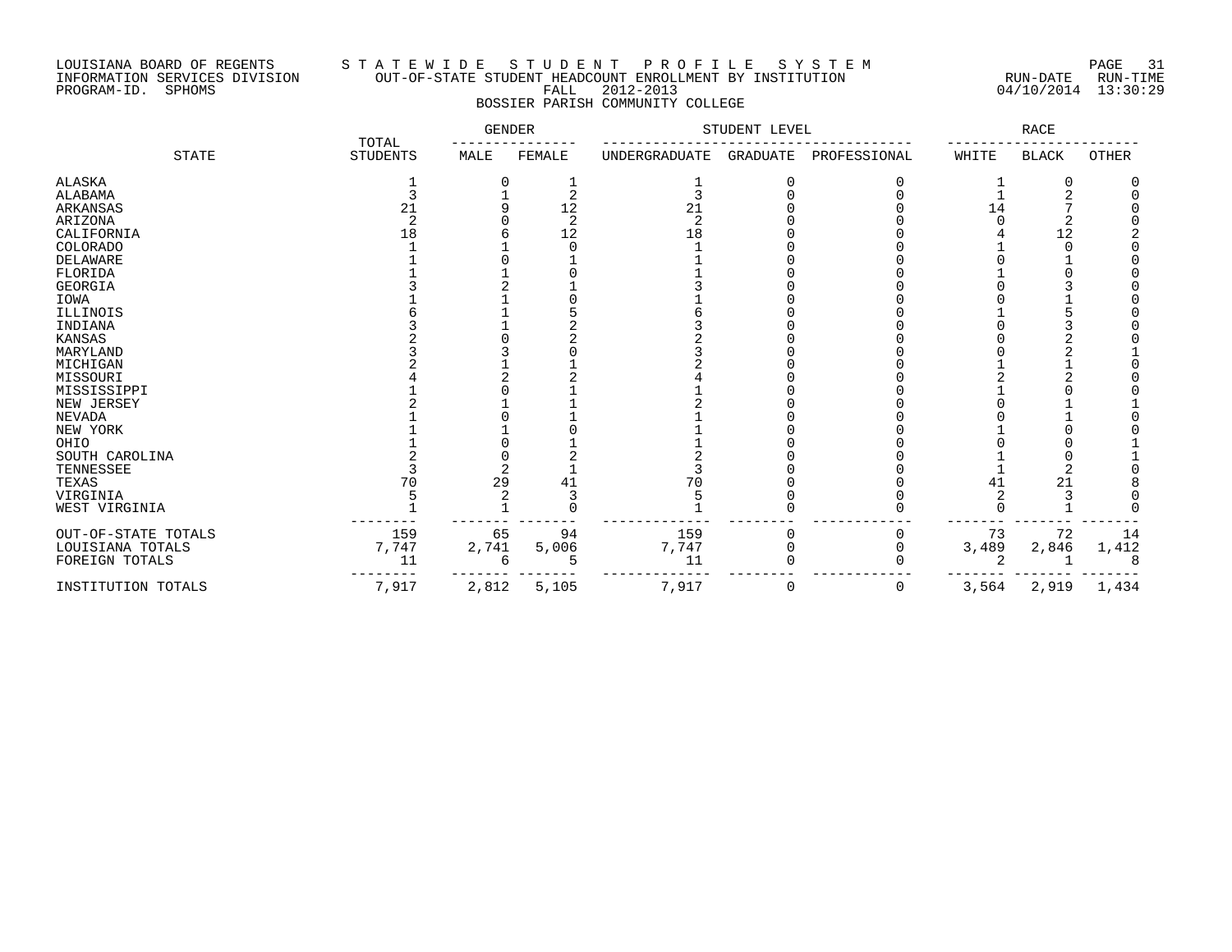### LOUISIANA BOARD OF REGENTS S T A T E W I D E S T U D E N T P R O F I L E S Y S T E M PAGE 31 INFORMATION SERVICES DIVISION OUT-OF-STATE STUDENT HEADCOUNT ENROLLMENT BY INSTITUTION RUN-DATE RUN-TIME PROGRAM-ID. SPHOMS FALL 2012-2013 04/10/2014 13:30:29 BOSSIER PARISH COMMUNITY COLLEGE

|                     | TOTAL           | GENDER |               | STUDENT LEVEL  |          |              | RACE  |              |       |
|---------------------|-----------------|--------|---------------|----------------|----------|--------------|-------|--------------|-------|
| <b>STATE</b>        | <b>STUDENTS</b> | MALE   | FEMALE        | UNDERGRADUATE  | GRADUATE | PROFESSIONAL | WHITE | <b>BLACK</b> | OTHER |
| ALASKA              |                 |        |               |                |          |              |       |              |       |
| ALABAMA             |                 |        |               | 3              |          |              |       |              |       |
| <b>ARKANSAS</b>     | 21              |        | 12            | 21             |          |              | 14    |              |       |
| ARIZONA             |                 |        | $\mathcal{D}$ | $\overline{2}$ |          |              |       |              |       |
| CALIFORNIA          | 18              |        | 12            | 18             |          |              |       | 12           |       |
| COLORADO            |                 |        |               |                |          |              |       |              |       |
| DELAWARE            |                 |        |               |                |          |              |       |              |       |
| FLORIDA             |                 |        |               |                |          |              |       |              |       |
| <b>GEORGIA</b>      |                 |        |               |                |          |              |       |              |       |
| IOWA                |                 |        |               |                |          |              |       |              |       |
| ILLINOIS            |                 |        |               |                |          |              |       |              |       |
| INDIANA             |                 |        |               |                |          |              |       |              |       |
| KANSAS              |                 |        |               |                |          |              |       |              |       |
| MARYLAND            |                 |        |               |                |          |              |       |              |       |
| MICHIGAN            |                 |        |               |                |          |              |       |              |       |
| MISSOURI            |                 |        |               |                |          |              |       |              |       |
| MISSISSIPPI         |                 |        |               |                |          |              |       |              |       |
| NEW JERSEY          |                 |        |               |                |          |              |       |              |       |
| <b>NEVADA</b>       |                 |        |               |                |          |              |       |              |       |
| NEW YORK            |                 |        |               |                |          |              |       |              |       |
| OHIO                |                 |        |               |                |          |              |       |              |       |
| SOUTH CAROLINA      |                 |        |               |                |          |              |       |              |       |
| TENNESSEE           |                 |        |               |                |          |              |       | 2            |       |
| TEXAS               | 70              | 29     | 41            | 70             |          |              | 41    | 21           |       |
| VIRGINIA            |                 |        |               |                |          |              |       |              |       |
| WEST VIRGINIA       |                 |        |               |                |          |              |       |              |       |
| OUT-OF-STATE TOTALS | 159             | 65     | 94            | 159            |          | U            | 73    | 72           | 14    |
| LOUISIANA TOTALS    | 7,747           | 2,741  | 5,006         | 7,747          |          |              | 3,489 | 2,846        | 1,412 |
| FOREIGN TOTALS      | 11              | 6      |               | 11             |          |              |       |              |       |
| INSTITUTION TOTALS  | 7,917           | 2,812  | 5,105         | 7,917          | $\Omega$ | 0            | 3,564 | 2,919        | 1,434 |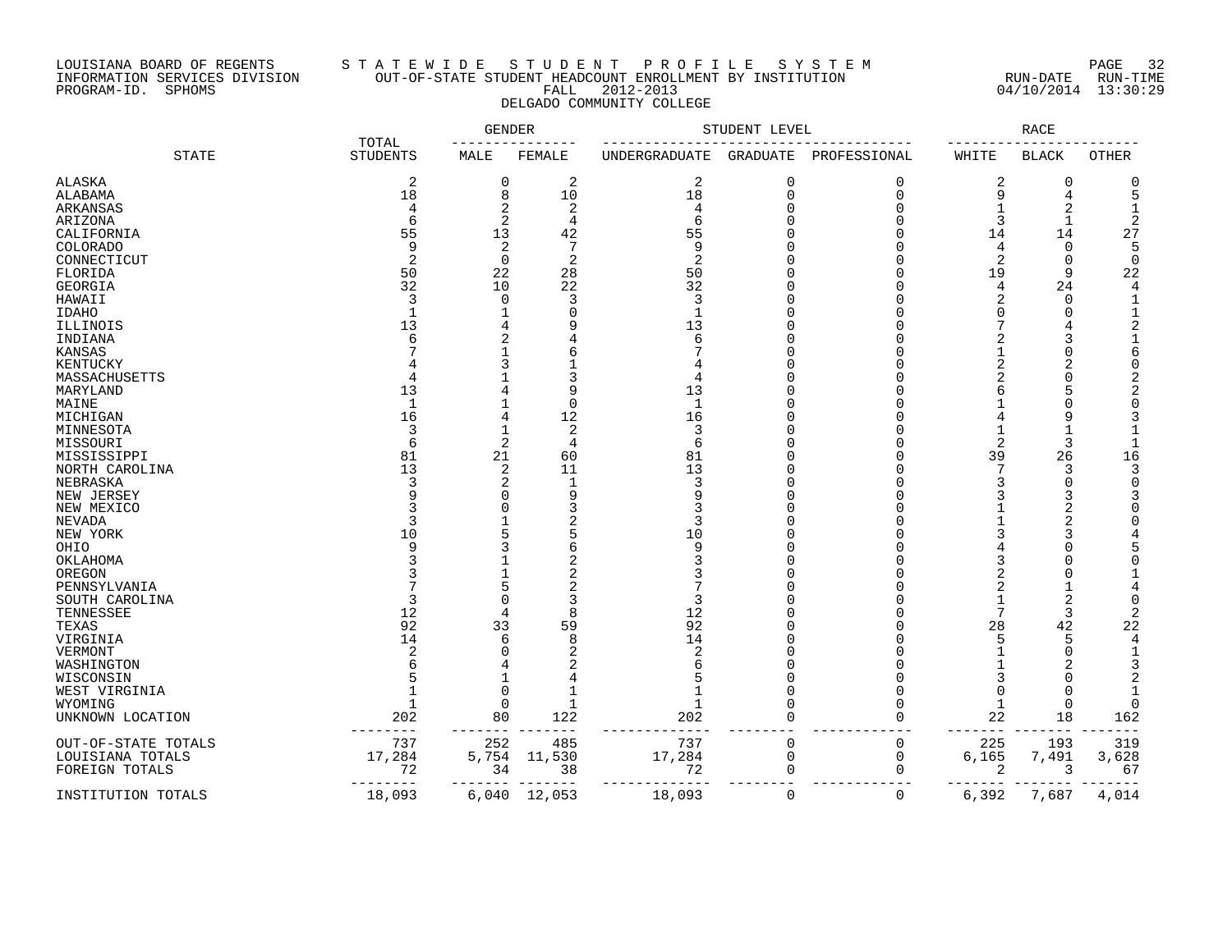## LOUISIANA BOARD OF REGENTS S T A T E W I D E S T U D E N T P R O F I L E S Y S T E M PAGE 32 INFORMATION SERVICES DIVISION OUT-OF-STATE STUDENT HEADCOUNT ENROLLMENT BY INSTITUTION RUN-DATE RUN-TIME PROGRAM-ID. SPHOMS FALL 2012-2013 04/10/2014 13:30:29 DELGADO COMMUNITY COLLEGE

|                     |                          | GENDER      |                |                | STUDENT LEVEL |              |       | RACE         |                |
|---------------------|--------------------------|-------------|----------------|----------------|---------------|--------------|-------|--------------|----------------|
| <b>STATE</b>        | TOTAL<br><b>STUDENTS</b> | MALE        | FEMALE         | UNDERGRADUATE  | GRADUATE      | PROFESSIONAL | WHITE | BLACK        | OTHER          |
| ALASKA              | 2                        | 0           | 2              | 2              | 0             | 0            | 2     | 0            | O              |
| ALABAMA             | 18                       | 8           | 10             | 18             | $\mathbf 0$   | $\Omega$     | 9     | 4            | 5              |
| ARKANSAS            | 4                        | 2           | 2              | 4              | 0             | $\Omega$     | 1     | 2            | -1             |
| ARIZONA             | 6                        | 2           | 4              | 6              | ∩             | $\Omega$     | 3     | $\mathbf{1}$ | $\overline{2}$ |
| CALIFORNIA          | 55                       | 13          | 42             | 55             |               | ∩            | 14    | 14           | 27             |
| COLORADO            | 9                        | 2           |                | 9              |               | ∩            | 4     | $\Omega$     | 5              |
| CONNECTICUT         | $\overline{2}$           | $\mathbf 0$ | 2              | $\overline{2}$ |               | $\Omega$     | 2     | $\Omega$     | $\mathbf 0$    |
| FLORIDA             | 50                       | 22          | 28             | 50             | ∩             | $\Omega$     | 19    | 9            | 22             |
|                     | 32                       | 10          | 22             | 32             | ∩             | ∩            |       | 24           | 4              |
| GEORGIA             |                          |             |                |                |               |              | 4     |              |                |
| HAWAII              | 3                        | 0           | 3              | 3              |               | $\Omega$     | 2     | $\Omega$     |                |
| IDAHO               |                          |             | $\Omega$       | -1             |               | ∩            | O     | $\Omega$     |                |
| ILLINOIS            | 13                       | 4           |                | 13             | ∩             | ∩            | 7     |              |                |
| INDIANA             |                          | 2           |                | 6              | ∩             |              |       |              |                |
| KANSAS              |                          |             |                |                |               |              | 1     | C            | 6              |
| KENTUCKY            |                          | 3           |                |                |               |              | 2     | 2            | U              |
| MASSACHUSETTS       |                          |             | 3              | 4              |               |              | 2     | $\Omega$     |                |
| MARYLAND            | 13                       |             | 9              | 13             |               | ∩            | 6     | 5            |                |
| MAINE               | $\mathbf 1$              |             | $\Omega$       | $\mathbf{1}$   |               |              |       | $\sqrt{ }$   | U              |
| MICHIGAN            | 16                       | 4           | 12             | 16             |               | $\Omega$     |       | Ç            |                |
| MINNESOTA           | 3                        | 1           | 2              | 3              |               |              | 1     |              |                |
| MISSOURI            | 6                        | 2           | $\overline{4}$ | б              |               | ∩            | 2     | 3            | -1             |
| MISSISSIPPI         | 81                       | 21          | 60             | 81             |               |              | 39    | 26           | 16             |
| NORTH CAROLINA      | 13                       | 2           | 11             | 13             |               |              | 7     | 3            | 3              |
| NEBRASKA            | 3                        | 2           | $\mathbf 1$    | 3              |               |              | 3     | $\Omega$     | U              |
| NEW JERSEY          |                          | O           | 9              | q              |               |              |       | 3            |                |
| NEW MEXICO          |                          | U           |                |                |               | ∩            |       | 2            |                |
|                     |                          |             |                |                |               |              |       |              |                |
| NEVADA              |                          |             |                |                |               |              |       |              |                |
| NEW YORK            | 10                       |             |                | 10             |               |              |       |              |                |
| OHIO                |                          | 3           |                | 9              |               |              |       |              |                |
| OKLAHOMA            |                          |             |                |                |               |              | 3     |              |                |
| OREGON              |                          |             |                |                |               |              |       |              |                |
| PENNSYLVANIA        |                          | 5           |                |                |               |              | 2     |              |                |
| SOUTH CAROLINA      | 3                        | $\cap$      |                | 3              |               |              | 1     | 2            | U              |
| TENNESSEE           | 12                       | 4           |                | 12             |               |              | 7     | 3            |                |
| TEXAS               | 92                       | 33          | 59             | 92             |               |              | 28    | 42           | 22             |
| VIRGINIA            | 14                       | 6           | $\mathsf{R}$   | 14             |               | ∩            | 5     | 5            | 4              |
| VERMONT             | $\overline{c}$           | 0           | 2              | 2              |               |              |       | $\cap$       | -1             |
| WASHINGTON          |                          |             |                |                |               |              |       |              |                |
| WISCONSIN           |                          |             |                |                |               | ∩            | 3     | C            |                |
| WEST VIRGINIA       |                          | $\Omega$    |                |                |               | ∩            | 0     | $\sqrt{ }$   |                |
| WYOMING             |                          | 0           | $\mathbf{1}$   |                |               | ∩            | 1     | $\mathbf 0$  | U              |
| UNKNOWN LOCATION    | 202                      | 80          | 122            | 202            | $\Omega$      | ∩            | 22    | 18           | 162            |
| OUT-OF-STATE TOTALS | 737                      | 252         | 485            | 737            | 0             | $\mathbf 0$  | 225   | 193          | 319            |
| LOUISIANA TOTALS    | 17,284                   | 5,754       | 11,530         | 17,284         | $\mathbf 0$   | $\mathbf 0$  | 6,165 | 7,491        | 3,628          |
| FOREIGN TOTALS      | 72                       | 34          | 38             | 72             | $\mathbf 0$   | $\Omega$     | 2     | 3            | 67             |
|                     |                          |             |                |                |               |              |       |              |                |
| INSTITUTION TOTALS  | 18,093                   | 6,040       | 12,053         | 18,093         | $\mathbf 0$   | $\mathbf 0$  | 6,392 | 7,687        | 4,014          |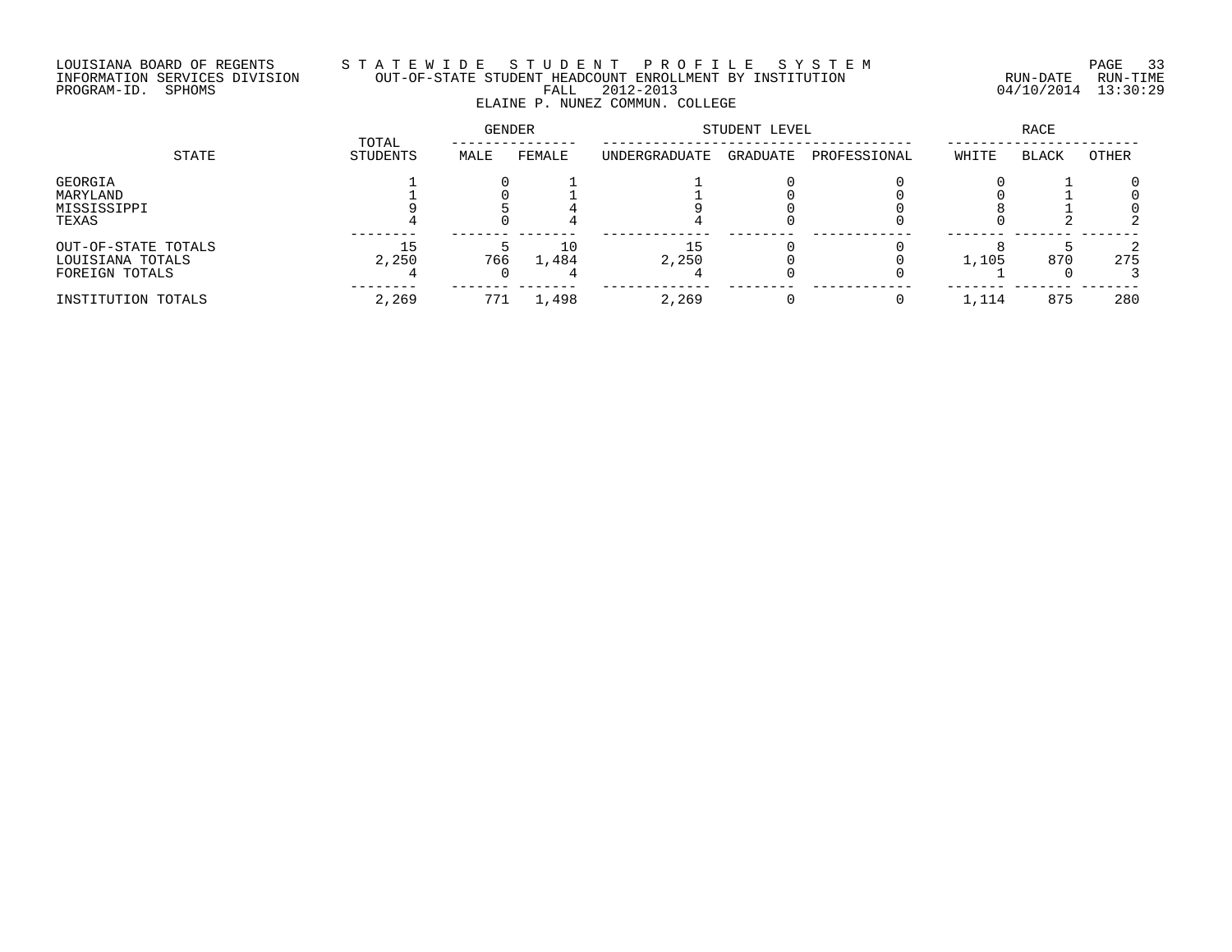# LOUISIANA BOARD OF REGENTS S T A T E W I D E S T U D E N T P R O F I L E S Y S T E M PAGE 33 INFORMATION SERVICES DIVISION OUT-OF-STATE STUDENT HEADCOUNT ENROLLMENT BY INSTITUTION RUN-DATE RUN-TIME PROGRAM-ID. SPHOMS FALL 2012-2013 04/10/2014 13:30:29 ELAINE P. NUNEZ COMMUN. COLLEGE

|                                                           | TOTAL       | GENDER |             | STUDENT LEVEL | <b>RACE</b> |              |       |              |       |
|-----------------------------------------------------------|-------------|--------|-------------|---------------|-------------|--------------|-------|--------------|-------|
| STATE                                                     | STUDENTS    | MALE   | FEMALE      | UNDERGRADUATE | GRADUATE    | PROFESSIONAL | WHITE | <b>BLACK</b> | OTHER |
| GEORGIA<br>MARYLAND<br>MISSISSIPPI<br>TEXAS               |             |        |             |               |             |              |       |              |       |
| OUT-OF-STATE TOTALS<br>LOUISIANA TOTALS<br>FOREIGN TOTALS | 15<br>2,250 | 766    | 10<br>1,484 | 2,250         |             |              | 1,105 | 870          | 275   |
| INSTITUTION TOTALS                                        | 2,269       | 771    | 1,498       | 2,269         |             |              | 1,114 | 875          | 280   |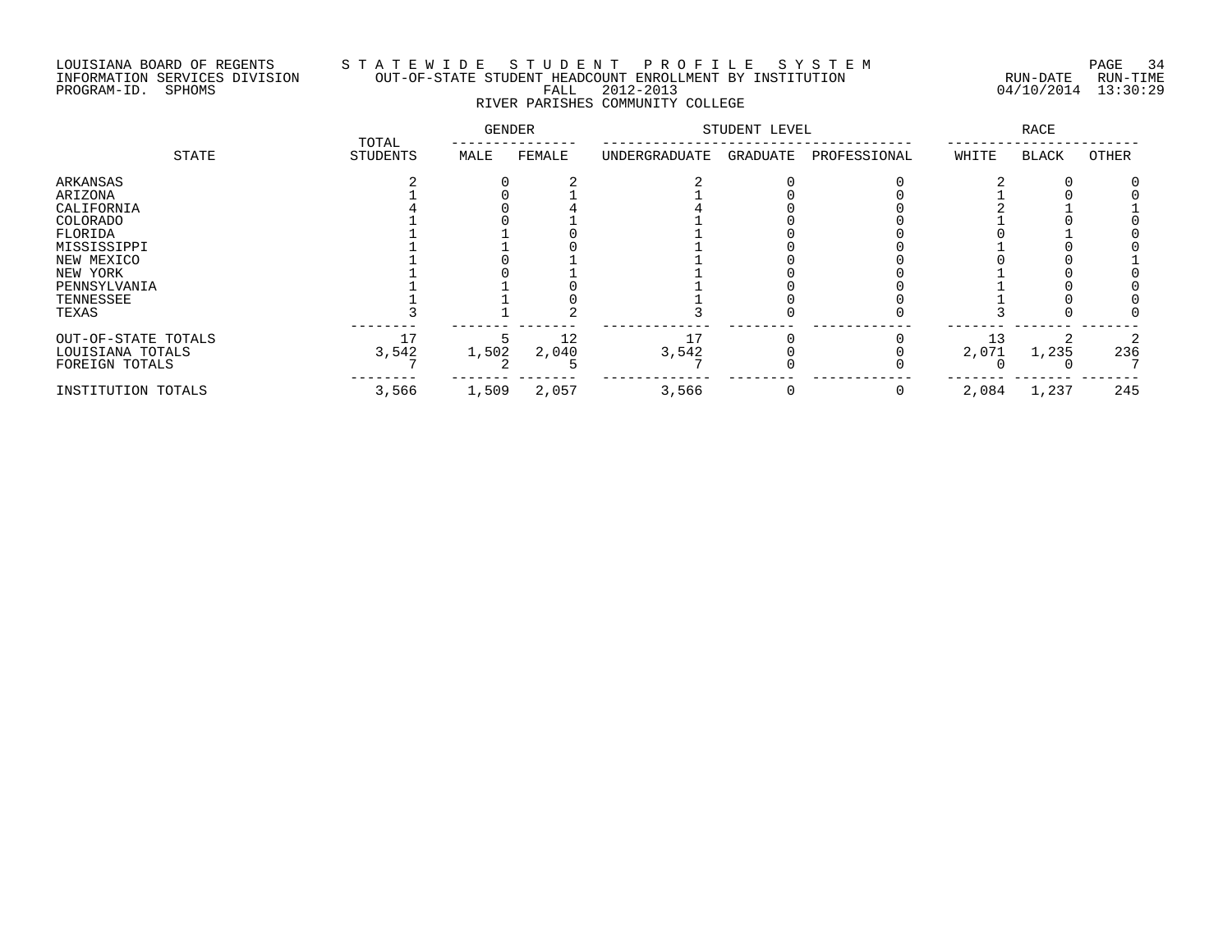## LOUISIANA BOARD OF REGENTS S T A T E W I D E S T U D E N T P R O F I L E S Y S T E M PAGE 34 INFORMATION SERVICES DIVISION OUT-OF-STATE STUDENT HEADCOUNT ENROLLMENT BY INSTITUTION RUN-DATE RUN-TIME PROGRAM-ID. SPHOMS FALL 2012-2013 04/10/2014 13:30:29 RIVER PARISHES COMMUNITY COLLEGE

| STATE               |                   | <b>GENDER</b> |        | STUDENT LEVEL |          |              | <b>RACE</b> |       |       |
|---------------------|-------------------|---------------|--------|---------------|----------|--------------|-------------|-------|-------|
|                     | TOTAL<br>STUDENTS | MALE          | FEMALE | UNDERGRADUATE | GRADUATE | PROFESSIONAL | WHITE       | BLACK | OTHER |
| ARKANSAS            |                   |               |        |               |          |              |             |       |       |
| ARIZONA             |                   |               |        |               |          |              |             |       |       |
| CALIFORNIA          |                   |               |        |               |          |              |             |       |       |
| COLORADO            |                   |               |        |               |          |              |             |       |       |
| FLORIDA             |                   |               |        |               |          |              |             |       |       |
| MISSISSIPPI         |                   |               |        |               |          |              |             |       |       |
| NEW MEXICO          |                   |               |        |               |          |              |             |       |       |
| NEW YORK            |                   |               |        |               |          |              |             |       |       |
| PENNSYLVANIA        |                   |               |        |               |          |              |             |       |       |
| TENNESSEE           |                   |               |        |               |          |              |             |       |       |
| TEXAS               |                   |               |        |               |          |              |             |       |       |
| OUT-OF-STATE TOTALS | 17                |               | 12     |               |          |              | 13          |       |       |
| LOUISIANA TOTALS    | 3,542             | 1,502         | 2,040  | 3,542         |          |              | 2,071       | 1,235 | 236   |
| FOREIGN TOTALS      |                   |               |        |               |          |              |             |       |       |
| INSTITUTION TOTALS  | 3,566             | 1,509         | 2,057  | 3,566         |          |              | 2,084       | 1,237 | 245   |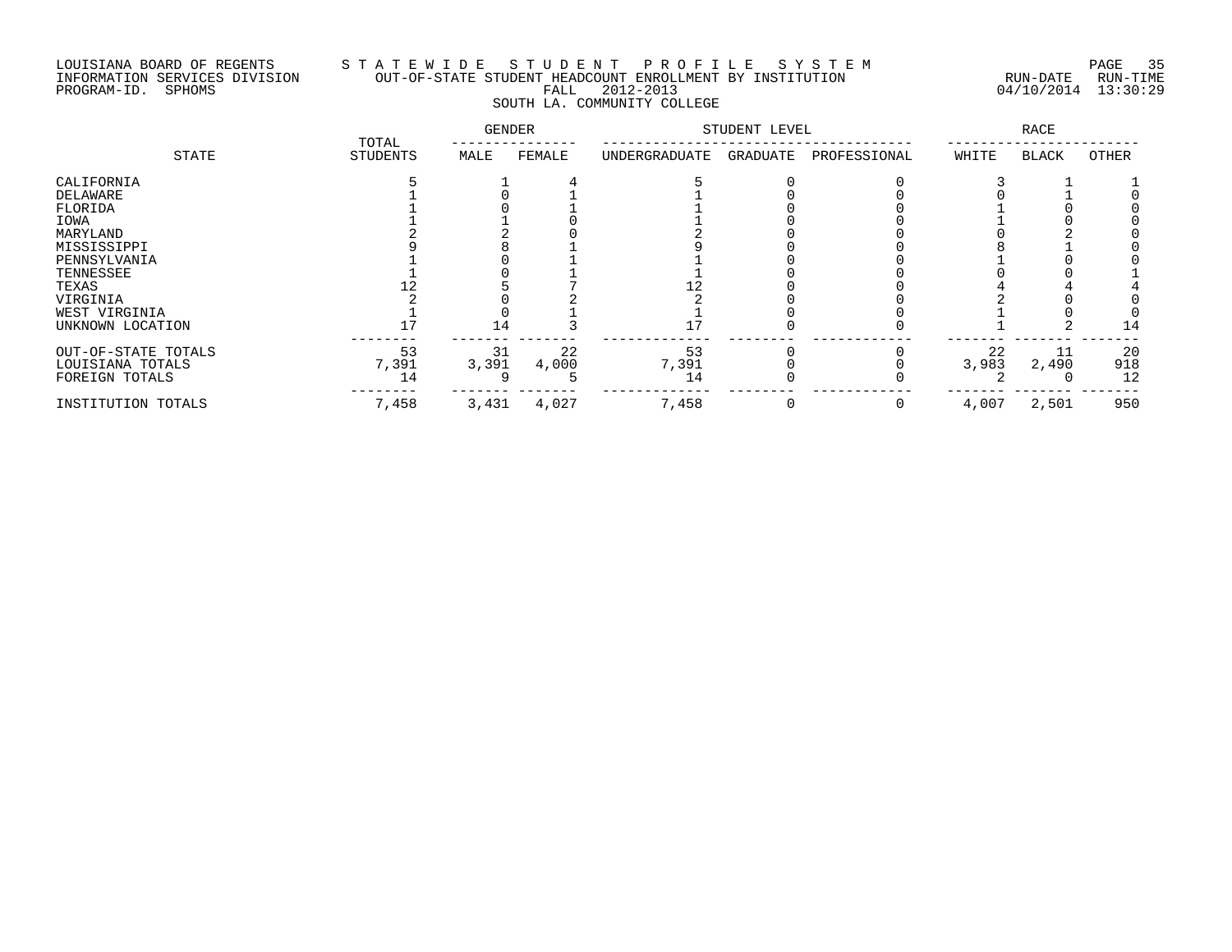## LOUISIANA BOARD OF REGENTS S T A T E W I D E S T U D E N T P R O F I L E S Y S T E M PAGE 35 INFORMATION SERVICES DIVISION OUT-OF-STATE STUDENT HEADCOUNT ENROLLMENT BY INSTITUTION RUN-DATE RUN-TIME PROGRAM-ID. SPHOMS FALL 2012-2013 04/10/2014 13:30:29 SOUTH LA. COMMUNITY COLLEGE

|                     |                          | <b>GENDER</b> |        | STUDENT LEVEL |          |              | <b>RACE</b> |              |       |
|---------------------|--------------------------|---------------|--------|---------------|----------|--------------|-------------|--------------|-------|
| STATE               | TOTAL<br><b>STUDENTS</b> | MALE          | FEMALE | UNDERGRADUATE | GRADUATE | PROFESSIONAL | WHITE       | <b>BLACK</b> | OTHER |
| CALIFORNIA          |                          |               |        |               |          |              |             |              |       |
| DELAWARE            |                          |               |        |               |          |              |             |              |       |
| FLORIDA             |                          |               |        |               |          |              |             |              |       |
| IOWA                |                          |               |        |               |          |              |             |              |       |
| MARYLAND            |                          |               |        |               |          |              |             |              |       |
| MISSISSIPPI         |                          |               |        |               |          |              |             |              |       |
| PENNSYLVANIA        |                          |               |        |               |          |              |             |              |       |
| TENNESSEE           |                          |               |        |               |          |              |             |              |       |
| TEXAS               |                          |               |        |               |          |              |             |              |       |
| VIRGINIA            |                          |               |        |               |          |              |             |              |       |
| WEST VIRGINIA       |                          |               |        |               |          |              |             |              |       |
| UNKNOWN LOCATION    |                          | 14            |        |               |          |              |             |              | 14    |
| OUT-OF-STATE TOTALS | 53                       | 31            | 22     | 53            |          |              | 22          | 11           | 20    |
| LOUISIANA TOTALS    | 7,391                    | 3,391         | 4,000  | 7,391         |          |              | 3,983       | 2,490        | 918   |
| FOREIGN TOTALS      | 14                       |               |        | 14            |          |              |             |              | 12    |
| INSTITUTION TOTALS  | 7,458                    | 3,431         | 4,027  | 7,458         |          |              | 4,007       | 2,501        | 950   |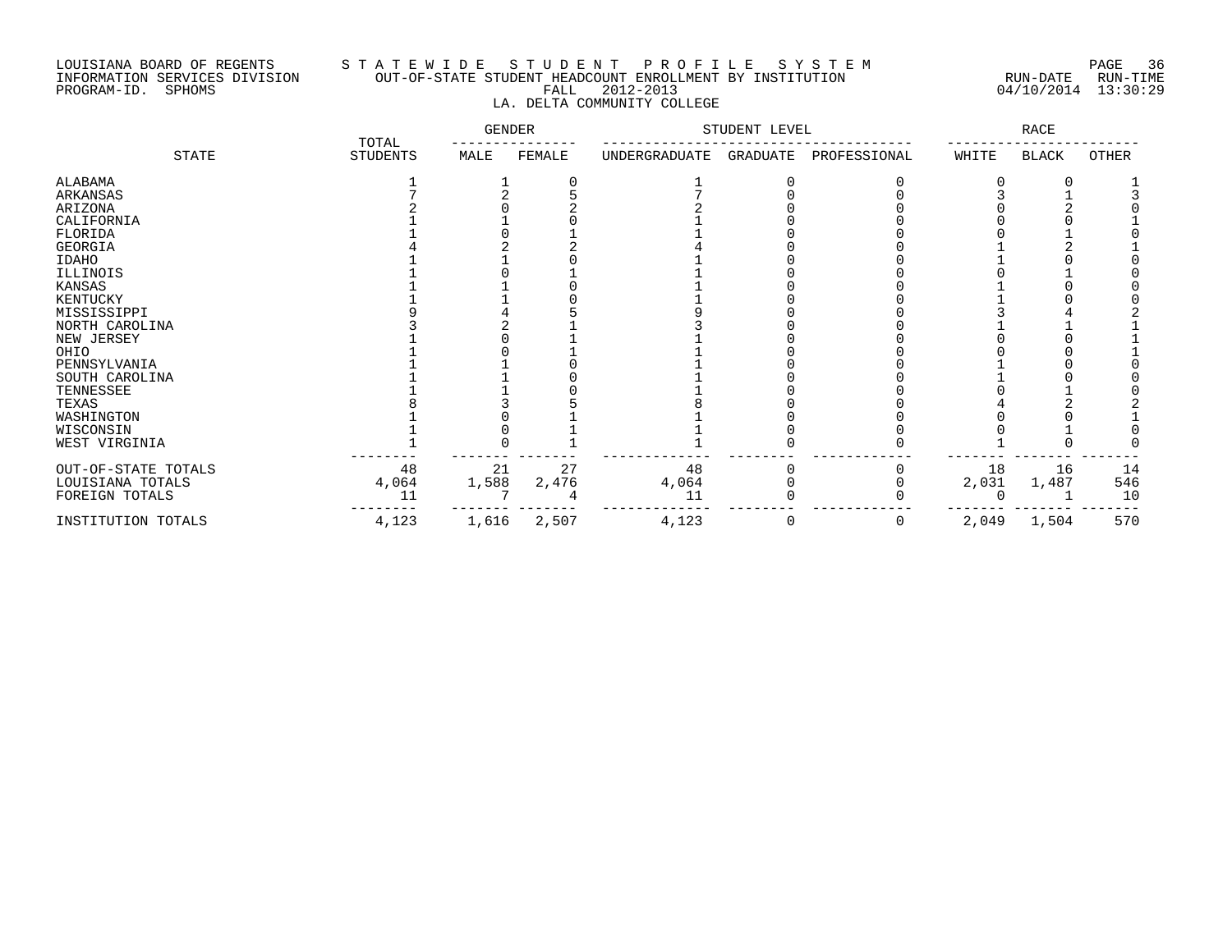### LOUISIANA BOARD OF REGENTS S T A T E W I D E S T U D E N T P R O F I L E S Y S T E M PAGE 36 INFORMATION SERVICES DIVISION OUT-OF-STATE STUDENT HEADCOUNT ENROLLMENT BY INSTITUTION RUN-DATE RUN-TIME PROGRAM-ID. SPHOMS FALL 2012-2013 04/10/2014 13:30:29 LA. DELTA COMMUNITY COLLEGE

|                     |                          | GENDER |        | STUDENT LEVEL |          | RACE         |       |              |       |
|---------------------|--------------------------|--------|--------|---------------|----------|--------------|-------|--------------|-------|
| STATE               | TOTAL<br><b>STUDENTS</b> | MALE   | FEMALE | UNDERGRADUATE | GRADUATE | PROFESSIONAL | WHITE | <b>BLACK</b> | OTHER |
| ALABAMA             |                          |        |        |               |          |              |       |              |       |
| ARKANSAS            |                          |        |        |               |          |              |       |              |       |
| ARIZONA             |                          |        |        |               |          |              |       |              |       |
| CALIFORNIA          |                          |        |        |               |          |              |       |              |       |
| FLORIDA             |                          |        |        |               |          |              |       |              |       |
| GEORGIA             |                          |        |        |               |          |              |       |              |       |
| <b>IDAHO</b>        |                          |        |        |               |          |              |       |              |       |
| ILLINOIS            |                          |        |        |               |          |              |       |              |       |
| KANSAS              |                          |        |        |               |          |              |       |              |       |
| KENTUCKY            |                          |        |        |               |          |              |       |              |       |
| MISSISSIPPI         |                          |        |        |               |          |              |       |              |       |
| NORTH CAROLINA      |                          |        |        |               |          |              |       |              |       |
| NEW JERSEY          |                          |        |        |               |          |              |       |              |       |
| OHIO                |                          |        |        |               |          |              |       |              |       |
| PENNSYLVANIA        |                          |        |        |               |          |              |       |              |       |
| SOUTH CAROLINA      |                          |        |        |               |          |              |       |              |       |
| TENNESSEE           |                          |        |        |               |          |              |       |              |       |
| TEXAS               |                          |        |        |               |          |              |       |              |       |
| WASHINGTON          |                          |        |        |               |          |              |       |              |       |
| WISCONSIN           |                          |        |        |               |          |              |       |              |       |
| WEST VIRGINIA       |                          |        |        |               |          |              |       |              |       |
| OUT-OF-STATE TOTALS | 48                       | 21     | 27     | 48            |          |              | 18    | 16           | 14    |
| LOUISIANA TOTALS    | 4,064                    | 1,588  | 2,476  | 4,064         |          |              | 2,031 | 1,487        | 546   |
| FOREIGN TOTALS      | 11                       |        |        | 11            |          |              |       |              | 10    |
| INSTITUTION TOTALS  | 4,123                    | 1,616  | 2,507  | 4,123         | 0        | 0            | 2,049 | 1,504        | 570   |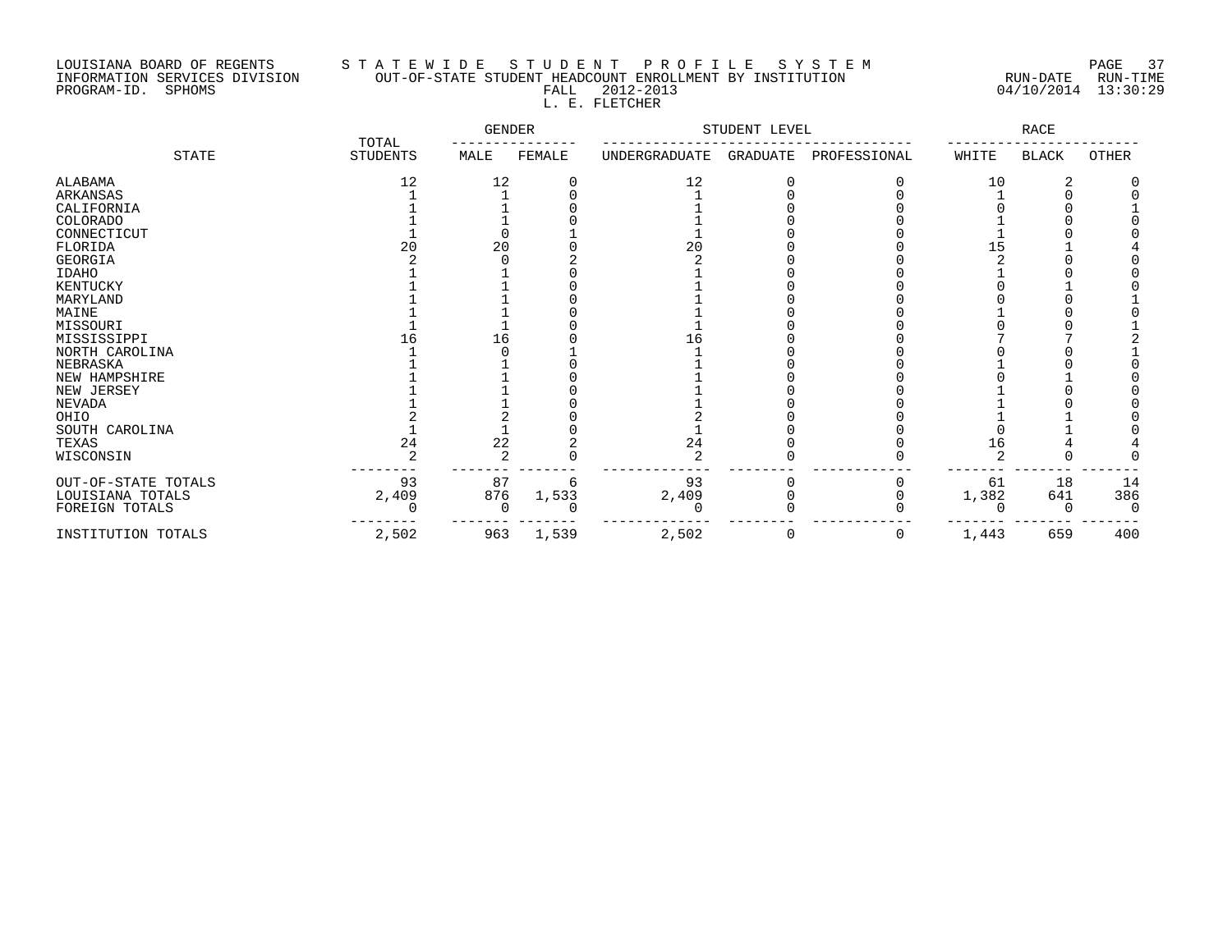# LOUISIANA BOARD OF REGENTS S T A T E W I D E S T U D E N T P R O F I L E S Y S T E M PAGE 37 INFORMATION SERVICES DIVISION OUT-OF-STATE STUDENT HEADCOUNT ENROLLMENT BY INSTITUTION RUN-DATE RUN-TIME PROGRAM-ID. SPHOMS FALL 2012-2013 04/10/2014 13:30:29 L. E. FLETCHER

|                     |                          | GENDER |        | STUDENT LEVEL |          |              | RACE  |              |       |
|---------------------|--------------------------|--------|--------|---------------|----------|--------------|-------|--------------|-------|
| <b>STATE</b>        | TOTAL<br><b>STUDENTS</b> | MALE   | FEMALE | UNDERGRADUATE | GRADUATE | PROFESSIONAL | WHITE | <b>BLACK</b> | OTHER |
| ALABAMA             | 12                       | 12     |        | 12            |          |              | 10    | 2            |       |
| <b>ARKANSAS</b>     |                          |        |        |               |          |              |       |              |       |
| CALIFORNIA          |                          |        |        |               |          |              |       |              |       |
| <b>COLORADO</b>     |                          |        |        |               |          |              |       |              |       |
| CONNECTICUT         |                          |        |        |               |          |              |       |              |       |
| FLORIDA             | 20                       | 20     |        | 20            |          |              | 15    |              |       |
| GEORGIA             |                          |        |        |               |          |              |       |              |       |
| IDAHO               |                          |        |        |               |          |              |       |              |       |
| KENTUCKY            |                          |        |        |               |          |              |       |              |       |
| MARYLAND            |                          |        |        |               |          |              |       |              |       |
| MAINE               |                          |        |        |               |          |              |       |              |       |
| MISSOURI            |                          |        |        |               |          |              |       |              |       |
| MISSISSIPPI         | 16                       | 16     |        | 16            |          |              |       |              |       |
| NORTH CAROLINA      |                          |        |        |               |          |              |       |              |       |
| NEBRASKA            |                          |        |        |               |          |              |       |              |       |
| NEW HAMPSHIRE       |                          |        |        |               |          |              |       |              |       |
| NEW JERSEY          |                          |        |        |               |          |              |       |              |       |
| <b>NEVADA</b>       |                          |        |        |               |          |              |       |              |       |
| OHIO                |                          |        |        |               |          |              |       |              |       |
| SOUTH CAROLINA      |                          |        |        |               |          |              |       |              |       |
| TEXAS               | 24                       | 22     |        | 24            |          |              | 16    |              |       |
| WISCONSIN           |                          |        |        | 2             |          |              |       |              |       |
| OUT-OF-STATE TOTALS | 93                       | 87     | 6      | 93            | O        |              | 61    | 18           | 14    |
| LOUISIANA TOTALS    | 2,409                    | 876    | 1,533  | 2,409         |          |              | 1,382 | 641          | 386   |
| FOREIGN TOTALS      |                          |        |        |               |          |              |       | C            |       |
| INSTITUTION TOTALS  | 2,502                    | 963    | 1,539  | 2,502         | 0        | 0            | 1,443 | 659          | 400   |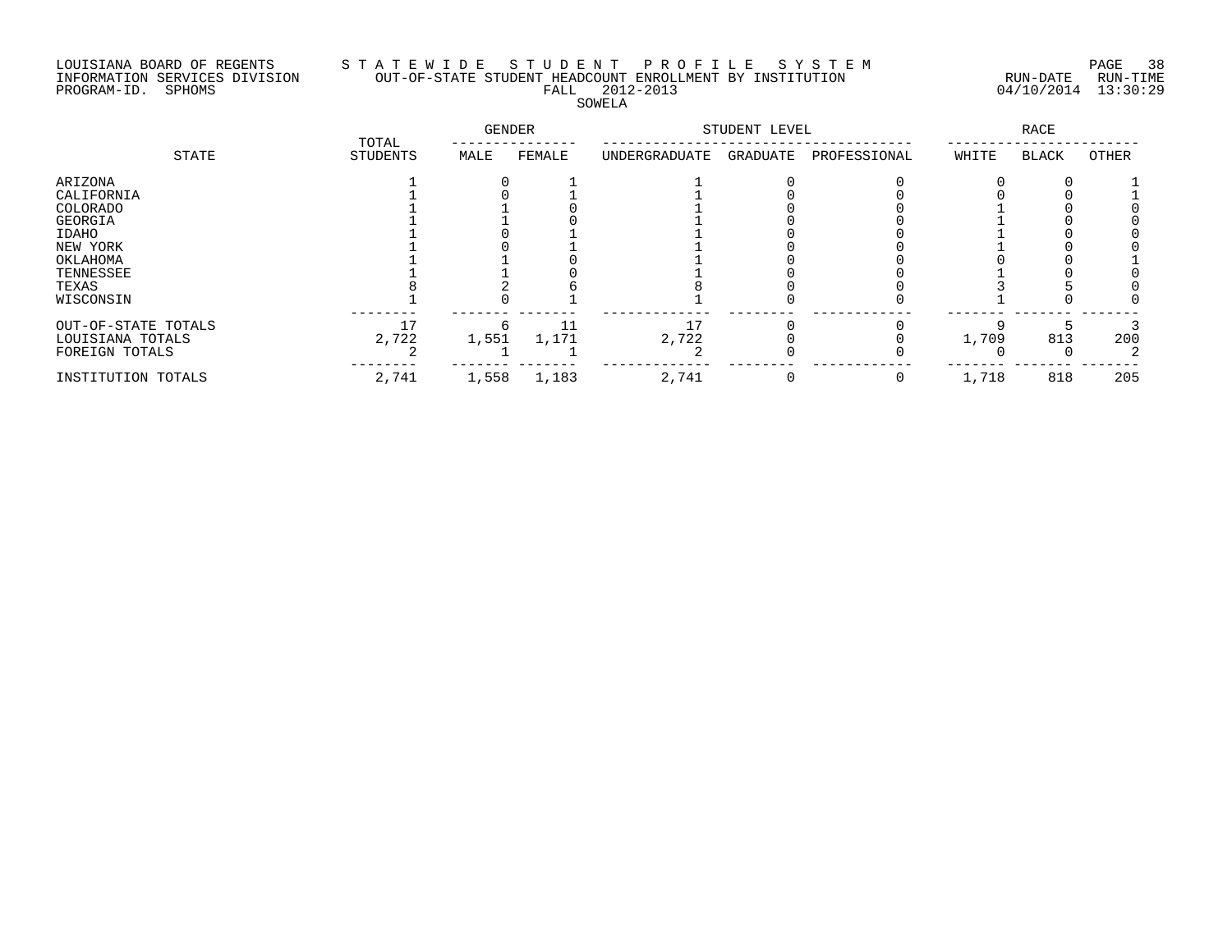## LOUISIANA BOARD OF REGENTS S T A T E W I D E S T U D E N T P R O F I L E S Y S T E M PAGE 38 INFORMATION SERVICES DIVISION OUT-OF-STATE STUDENT HEADCOUNT ENROLLMENT BY INSTITUTION RUN-DATE RUN-TIME PROGRAM-ID. SPHOMS FALL 2012-2013 04/10/2014 13:30:29 SOWELA

|                     | TOTAL<br><b>STUDENTS</b> | <b>GENDER</b> |        | STUDENT LEVEL |          |              | <b>RACE</b> |              |       |
|---------------------|--------------------------|---------------|--------|---------------|----------|--------------|-------------|--------------|-------|
| STATE               |                          | MALE          | FEMALE | UNDERGRADUATE | GRADUATE | PROFESSIONAL | WHITE       | <b>BLACK</b> | OTHER |
| ARIZONA             |                          |               |        |               |          |              |             |              |       |
| CALIFORNIA          |                          |               |        |               |          |              |             |              |       |
| COLORADO            |                          |               |        |               |          |              |             |              |       |
| GEORGIA             |                          |               |        |               |          |              |             |              |       |
| IDAHO               |                          |               |        |               |          |              |             |              |       |
| NEW YORK            |                          |               |        |               |          |              |             |              |       |
| OKLAHOMA            |                          |               |        |               |          |              |             |              |       |
| TENNESSEE           |                          |               |        |               |          |              |             |              |       |
| TEXAS               |                          |               |        |               |          |              |             |              |       |
| WISCONSIN           |                          |               |        |               |          |              |             |              |       |
| OUT-OF-STATE TOTALS | 17                       |               | 11     |               |          |              |             |              |       |
| LOUISIANA TOTALS    | 2,722                    | 1,551         | 1,171  | 2,722         |          |              | 1,709       | 813          | 200   |
| FOREIGN TOTALS      |                          |               |        |               |          |              |             |              |       |
| INSTITUTION TOTALS  | 2,741                    | 1,558         | 1,183  | 2,741         | 0        | 0            | 1,718       | 818          | 205   |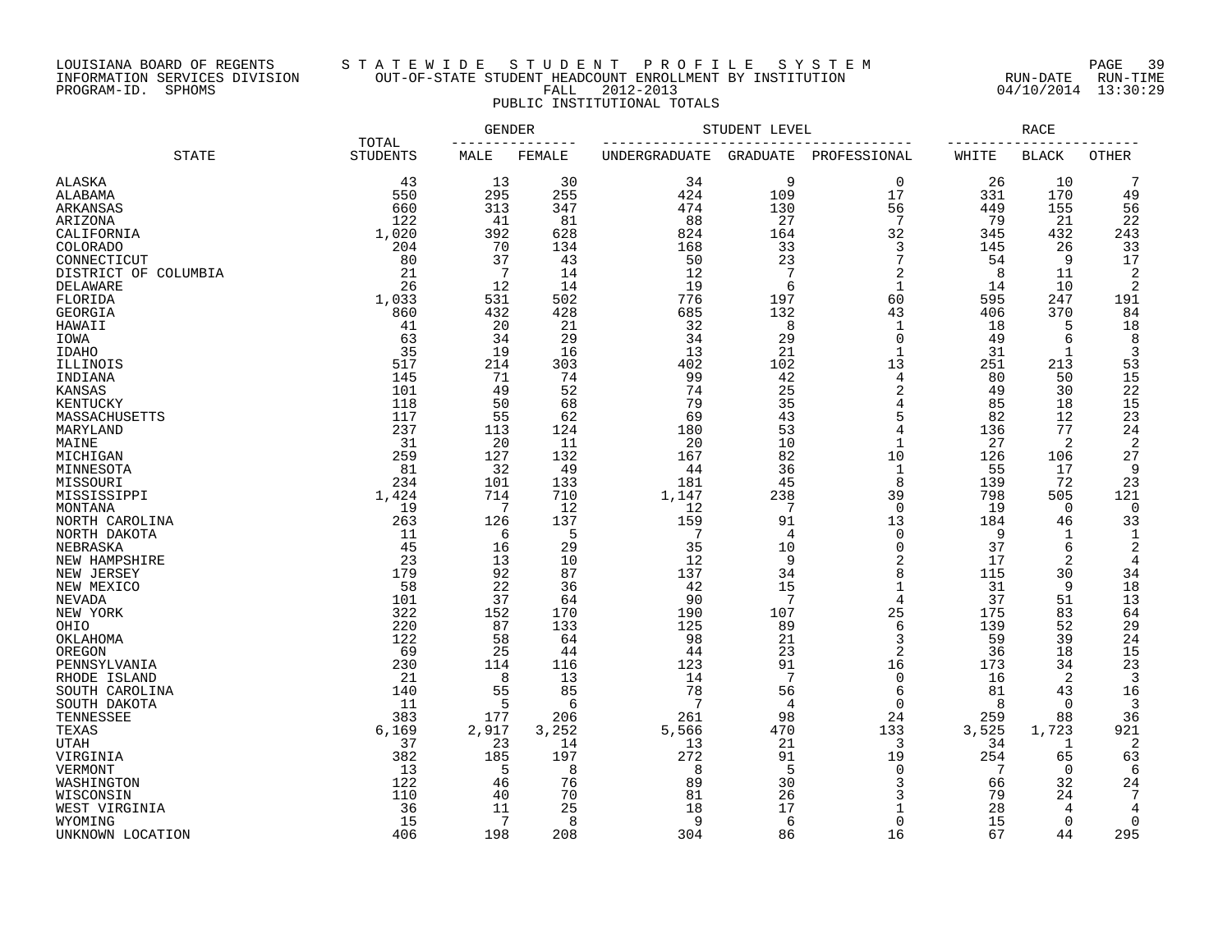### LOUISIANA BOARD OF REGENTS S T A T E W I D E S T U D E N T P R O F I L E S Y S T E M PAGE 39 INFORMATION SERVICES DIVISION OUT-OF-STATE STUDENT HEADCOUNT ENROLLMENT BY INSTITUTION RUN-DATE RUN-TIME PROGRAM-ID. SPHOMS FALL 2012-2013 04/10/2014 13:30:29 PUBLIC INSTITUTIONAL TOTALS

|                                |                          | <b>GENDER</b> |           | STUDENT LEVEL        | <b>RACE</b>           |                     |           |              |                |
|--------------------------------|--------------------------|---------------|-----------|----------------------|-----------------------|---------------------|-----------|--------------|----------------|
| <b>STATE</b>                   | TOTAL<br><b>STUDENTS</b> | MALE          | FEMALE    | <b>UNDERGRADUATE</b> | <b>GRADUATE</b>       | PROFESSIONAL        | WHITE     | <b>BLACK</b> | <b>OTHER</b>   |
| <b>ALASKA</b>                  | 43                       | 13            | 30        | 34                   | 9                     | $\mathbf 0$         | 26        | 10           | 7              |
| ALABAMA                        | 550                      | 295           | 255       | 424                  | 109                   | 17                  | 331       | 170          | 49             |
| ARKANSAS                       | 660                      | 313           | 347       | 474                  | 130                   | 56                  | 449       | 155          | 56             |
| ARIZONA                        | 122                      | 41            | 81        | 88                   | 27                    | $7\phantom{.0}$     | 79        | 21           | 22             |
| CALIFORNIA                     | 1,020                    | 392           | 628       | 824                  | 164                   | 32                  | 345       | 432          | 243            |
| <b>COLORADO</b>                | 204                      | 70            | 134       | 168                  | 33                    | 3                   | 145       | 26           | 33             |
| CONNECTICUT                    | 80                       | 37            | 43        | 50                   | 23                    | 7                   | 54        | 9            | 17             |
| DISTRICT OF COLUMBIA           | 21                       | 7             | 14        | 12                   | 7                     | 2                   | 8         | 11           | 2              |
| DELAWARE                       | 26                       | 12            | 14        | 19                   | 6                     | $\mathbf{1}$        | 14        | 10           | 2              |
| FLORIDA                        | 1,033                    | 531           | 502       | 776                  | 197                   | 60                  | 595       | 247          | 191            |
| GEORGIA                        | 860                      | 432           | 428       | 685                  | 132                   | 43                  | 406       | 370          | 84             |
| HAWAII                         | 41                       | 20            | 21        | 32                   | 8                     | 1                   | 18        | 5            | 18             |
| IOWA                           | 63                       | 34            | 29        | 34                   | 29                    | $\Omega$            | 49        | 6            | 8              |
| <b>IDAHO</b>                   | 35                       | 19            | 16        | 13                   | 21                    | 1                   | 31        | 1            | $\mathsf 3$    |
| ILLINOIS                       | 517                      | 214           | 303       | 402                  | 102                   | 13                  | 251       | 213          | 53             |
| INDIANA                        | 145                      | 71            | 74        | 99                   | 42                    | 4                   | 80        | 50           | 15             |
| <b>KANSAS</b>                  | 101                      | 49            | 52        | 74                   | 25                    | 2                   | 49        | 30           | 22             |
| KENTUCKY                       | 118                      | 50            | 68        | 79                   | 35                    | 4                   | 85        | 18           | 15             |
| MASSACHUSETTS                  | 117                      | 55            | 62        | 69                   | 43                    | 5<br>$\overline{4}$ | 82        | 12           | 23             |
| MARYLAND                       | 237                      | 113           | 124       | 180                  | 53<br>10              | $\mathbf{1}$        | 136       | 77           | 24<br>2        |
| MAINE<br>MICHIGAN              | 31<br>259                | 20<br>127     | 11<br>132 | 20<br>167            | 82                    | 10                  | 27<br>126 | 2<br>106     | 27             |
| MINNESOTA                      | 81                       | 32            | 49        | 44                   | 36                    | $\mathbf 1$         | 55        | 17           | 9              |
| MISSOURI                       | 234                      | 101           | 133       | 181                  | 45                    | 8                   | 139       | 72           | 23             |
| MISSISSIPPI                    | 1,424                    | 714           | 710       | 1,147                | 238                   | 39                  | 798       | 505          | 121            |
| MONTANA                        | 19                       | 7             | 12        | 12                   | $7\phantom{.0}$       | $\overline{0}$      | 19        | $\mathbf 0$  | $\mathbf 0$    |
| NORTH CAROLINA                 | 263                      | 126           | 137       | 159                  | 91                    | 13                  | 184       | 46           | 33             |
| NORTH DAKOTA                   | 11                       | 6             | 5         | $7\phantom{.0}$      | 4                     | $\mathbf 0$         | 9         | $\mathbf 1$  | $\mathbf{1}$   |
| NEBRASKA                       | 45                       | 16            | 29        | 35                   | 10                    | 0                   | 37        | 6            | 2              |
| NEW HAMPSHIRE                  | 23                       | 13            | 10        | 12                   | 9                     | $\overline{2}$      | 17        | 2            | 4              |
| NEW JERSEY                     | 179                      | 92            | 87        | 137                  | 34                    | 8                   | 115       | 30           | 34             |
| NEW MEXICO                     | 58                       | 22            | 36        | 42                   | 15                    | $\mathbf 1$         | 31        | 9            | 18             |
| <b>NEVADA</b>                  | 101                      | 37            | 64        | 90                   | 7                     | 4                   | 37        | 51           | 13             |
| NEW YORK                       | 322                      | 152           | 170       | 190                  | 107                   | 25                  | 175       | 83           | 64             |
| OHIO                           | 220                      | 87            | 133       | 125                  | 89                    | 6                   | 139       | 52           | 29             |
| OKLAHOMA                       | 122                      | 58            | 64        | 98                   | 21                    | 3                   | 59        | 39           | 24             |
| OREGON                         | 69                       | 25            | 44        | 44                   | 23                    | $\sqrt{2}$          | 36        | 18           | 15             |
| PENNSYLVANIA                   | 230                      | 114           | 116       | 123                  | 91<br>$7\phantom{.0}$ | 16                  | 173       | 34           | 23             |
| RHODE ISLAND                   | 21<br>140                | 8<br>55       | 13<br>85  | 14<br>78             | 56                    | $\mathbf 0$<br>6    | 16<br>81  | 2<br>43      | 3<br>16        |
| SOUTH CAROLINA<br>SOUTH DAKOTA | 11                       | 5             | 6         | 7                    | 4                     | $\Omega$            | 8         | $\mathbf 0$  | 3              |
| TENNESSEE                      | 383                      | 177           | 206       | 261                  | 98                    | 24                  | 259       | 88           | 36             |
| TEXAS                          | 6,169                    | 2,917         | 3,252     | 5,566                | 470                   | 133                 | 3,525     | 1,723        | 921            |
| <b>UTAH</b>                    | 37                       | 23            | 14        | 13                   | 21                    | 3                   | 34        | 1            | $\overline{2}$ |
| VIRGINIA                       | 382                      | 185           | 197       | 272                  | 91                    | 19                  | 254       | 65           | 63             |
| VERMONT                        | 13                       | 5             | 8         | 8                    | 5                     | $\mathbf 0$         | 7         | $\mathbf 0$  | 6              |
| WASHINGTON                     | 122                      | 46            | 76        | 89                   | 30                    | 3                   | 66        | 32           | 24             |
| WISCONSIN                      | 110                      | 40            | 70        | 81                   | 26                    | 3                   | 79        | 24           | 7              |
| WEST VIRGINIA                  | 36                       | 11            | 25        | 18                   | 17                    | $\mathbf{1}$        | 28        | 4            | 4              |
| WYOMING                        | 15                       | 7             | 8         | 9                    | 6                     | $\Omega$            | 15        | $\mathbf 0$  | $\mathbf 0$    |
| UNKNOWN LOCATION               | 406                      | 198           | 208       | 304                  | 86                    | 16                  | 67        | 44           | 295            |